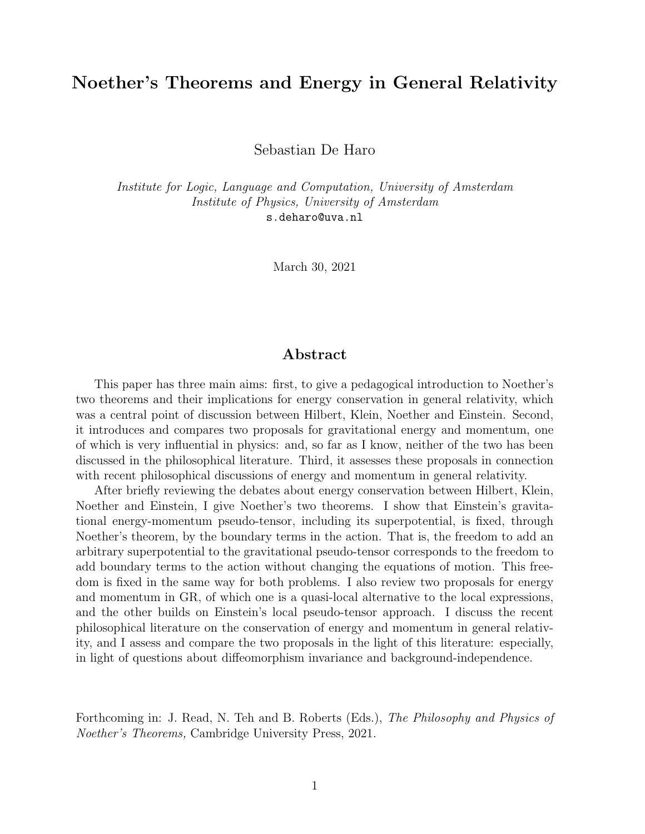### Noether's Theorems and Energy in General Relativity

Sebastian De Haro

Institute for Logic, Language and Computation, University of Amsterdam Institute of Physics, University of Amsterdam s.deharo@uva.nl

March 30, 2021

#### Abstract

This paper has three main aims: first, to give a pedagogical introduction to Noether's two theorems and their implications for energy conservation in general relativity, which was a central point of discussion between Hilbert, Klein, Noether and Einstein. Second, it introduces and compares two proposals for gravitational energy and momentum, one of which is very influential in physics: and, so far as I know, neither of the two has been discussed in the philosophical literature. Third, it assesses these proposals in connection with recent philosophical discussions of energy and momentum in general relativity.

After briefly reviewing the debates about energy conservation between Hilbert, Klein, Noether and Einstein, I give Noether's two theorems. I show that Einstein's gravitational energy-momentum pseudo-tensor, including its superpotential, is fixed, through Noether's theorem, by the boundary terms in the action. That is, the freedom to add an arbitrary superpotential to the gravitational pseudo-tensor corresponds to the freedom to add boundary terms to the action without changing the equations of motion. This freedom is fixed in the same way for both problems. I also review two proposals for energy and momentum in GR, of which one is a quasi-local alternative to the local expressions, and the other builds on Einstein's local pseudo-tensor approach. I discuss the recent philosophical literature on the conservation of energy and momentum in general relativity, and I assess and compare the two proposals in the light of this literature: especially, in light of questions about diffeomorphism invariance and background-independence.

Forthcoming in: J. Read, N. Teh and B. Roberts (Eds.), The Philosophy and Physics of Noether's Theorems, Cambridge University Press, 2021.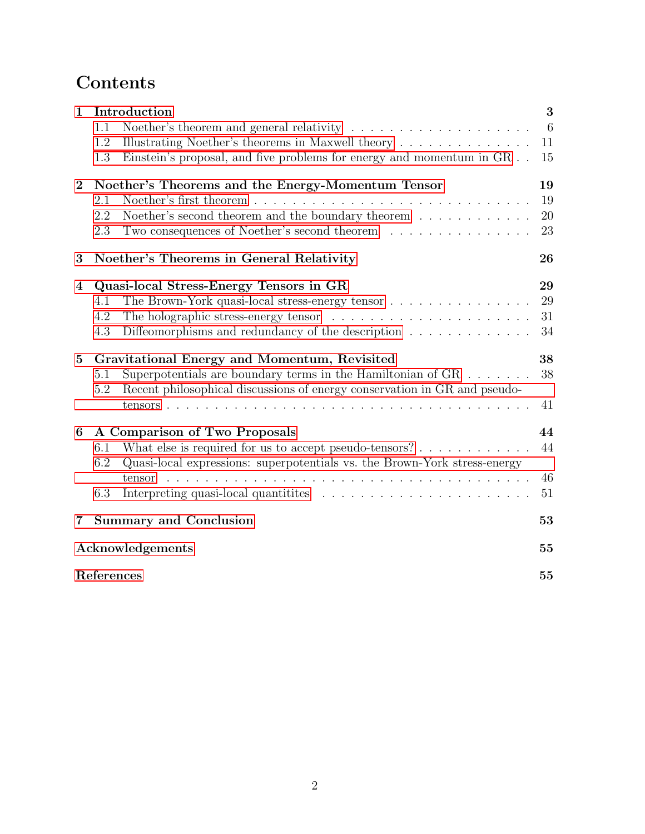# **Contents**

| $\mathbf{1}$   | Introduction                                      |                                                                                  | 3               |
|----------------|---------------------------------------------------|----------------------------------------------------------------------------------|-----------------|
|                | 1.1                                               | Noether's theorem and general relativity $\ldots$ , , , ,                        | $6\phantom{.}6$ |
|                | 1.2                                               | Illustrating Noether's theorems in Maxwell theory                                | 11              |
|                | 1.3                                               | Einstein's proposal, and five problems for energy and momentum in GR             | 15              |
| $\overline{2}$ | Noether's Theorems and the Energy-Momentum Tensor |                                                                                  | 19              |
|                | 2.1                                               |                                                                                  | 19              |
|                | 2.2                                               | Noether's second theorem and the boundary theorem $\dots \dots \dots$            | 20              |
|                | 2.3                                               | Two consequences of Noether's second theorem                                     | 23              |
| 3              |                                                   | Noether's Theorems in General Relativity                                         | 26              |
| 4              |                                                   | Quasi-local Stress-Energy Tensors in GR                                          | 29              |
|                | 4.1                                               | The Brown-York quasi-local stress-energy tensor                                  | 29              |
|                | 4.2                                               |                                                                                  | 31              |
|                | 4.3                                               | Diffeomorphisms and redundancy of the description $\ldots \ldots \ldots \ldots$  | 34              |
| $\mathbf{5}$   |                                                   | Gravitational Energy and Momentum, Revisited                                     | 38              |
|                | 5.1                                               | Superpotentials are boundary terms in the Hamiltonian of $GR \dots \dots$        | 38              |
|                | $5.2\,$                                           | Recent philosophical discussions of energy conservation in GR and pseudo-        |                 |
|                |                                                   |                                                                                  | 41              |
| 6              |                                                   | A Comparison of Two Proposals                                                    | 44              |
|                | 6.1                                               | What else is required for us to accept pseudo-tensors? $\dots \dots \dots \dots$ | 44              |
|                | 6.2                                               | Quasi-local expressions: superpotentials vs. the Brown-York stress-energy        |                 |
|                |                                                   | tensor                                                                           | 46              |
|                | 6.3                                               |                                                                                  | 51              |
| 7              |                                                   | <b>Summary and Conclusion</b>                                                    | 53              |
|                | Acknowledgements                                  |                                                                                  | 55              |
|                | References                                        |                                                                                  |                 |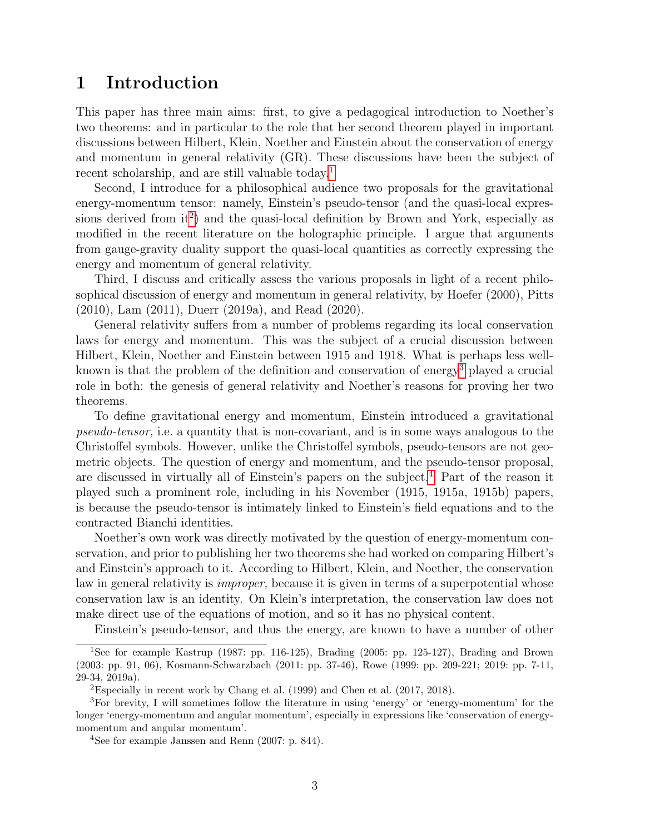## <span id="page-2-0"></span>1 Introduction

This paper has three main aims: first, to give a pedagogical introduction to Noether's two theorems: and in particular to the role that her second theorem played in important discussions between Hilbert, Klein, Noether and Einstein about the conservation of energy and momentum in general relativity (GR). These discussions have been the subject of recent scholarship, and are still valuable today.<sup>[1](#page-2-1)</sup>

Second, I introduce for a philosophical audience two proposals for the gravitational energy-momentum tensor: namely, Einstein's pseudo-tensor (and the quasi-local expressions derived from  $it^2$  $it^2$ ) and the quasi-local definition by Brown and York, especially as modified in the recent literature on the holographic principle. I argue that arguments from gauge-gravity duality support the quasi-local quantities as correctly expressing the energy and momentum of general relativity.

Third, I discuss and critically assess the various proposals in light of a recent philosophical discussion of energy and momentum in general relativity, by Hoefer (2000), Pitts (2010), Lam (2011), Duerr (2019a), and Read (2020).

General relativity suffers from a number of problems regarding its local conservation laws for energy and momentum. This was the subject of a crucial discussion between Hilbert, Klein, Noether and Einstein between 1915 and 1918. What is perhaps less well-known is that the problem of the definition and conservation of energy<sup>[3](#page-2-3)</sup> played a crucial role in both: the genesis of general relativity and Noether's reasons for proving her two theorems.

To define gravitational energy and momentum, Einstein introduced a gravitational pseudo-tensor, i.e. a quantity that is non-covariant, and is in some ways analogous to the Christoffel symbols. However, unlike the Christoffel symbols, pseudo-tensors are not geometric objects. The question of energy and momentum, and the pseudo-tensor proposal, are discussed in virtually all of Einstein's papers on the subject.[4](#page-2-4) Part of the reason it played such a prominent role, including in his November (1915, 1915a, 1915b) papers, is because the pseudo-tensor is intimately linked to Einstein's field equations and to the contracted Bianchi identities.

Noether's own work was directly motivated by the question of energy-momentum conservation, and prior to publishing her two theorems she had worked on comparing Hilbert's and Einstein's approach to it. According to Hilbert, Klein, and Noether, the conservation law in general relativity is *improper*, because it is given in terms of a superpotential whose conservation law is an identity. On Klein's interpretation, the conservation law does not make direct use of the equations of motion, and so it has no physical content.

<span id="page-2-1"></span>Einstein's pseudo-tensor, and thus the energy, are known to have a number of other

<sup>1</sup>See for example Kastrup (1987: pp. 116-125), Brading (2005: pp. 125-127), Brading and Brown (2003: pp. 91, 06), Kosmann-Schwarzbach (2011: pp. 37-46), Rowe (1999: pp. 209-221; 2019: pp. 7-11, 29-34, 2019a).

<span id="page-2-3"></span><span id="page-2-2"></span><sup>&</sup>lt;sup>2</sup>Especially in recent work by Chang et al. (1999) and Chen et al. (2017, 2018).

<sup>3</sup>For brevity, I will sometimes follow the literature in using 'energy' or 'energy-momentum' for the longer 'energy-momentum and angular momentum', especially in expressions like 'conservation of energymomentum and angular momentum'.

<span id="page-2-4"></span><sup>4</sup>See for example Janssen and Renn (2007: p. 844).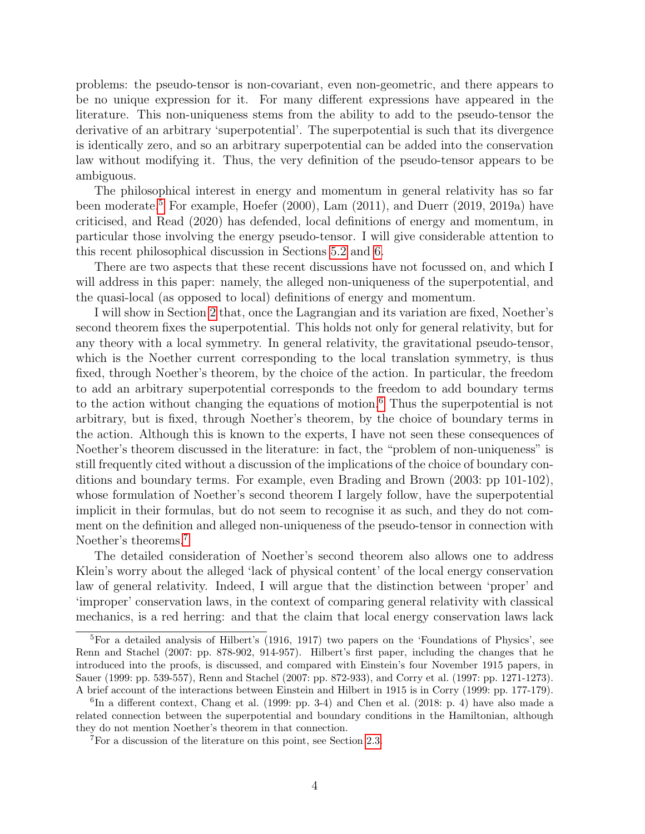problems: the pseudo-tensor is non-covariant, even non-geometric, and there appears to be no unique expression for it. For many different expressions have appeared in the literature. This non-uniqueness stems from the ability to add to the pseudo-tensor the derivative of an arbitrary 'superpotential'. The superpotential is such that its divergence is identically zero, and so an arbitrary superpotential can be added into the conservation law without modifying it. Thus, the very definition of the pseudo-tensor appears to be ambiguous.

The philosophical interest in energy and momentum in general relativity has so far been moderate.<sup>[5](#page-3-0)</sup> For example, Hoefer (2000), Lam (2011), and Duerr (2019, 2019a) have criticised, and Read (2020) has defended, local definitions of energy and momentum, in particular those involving the energy pseudo-tensor. I will give considerable attention to this recent philosophical discussion in Sections [5.2](#page-40-0) and [6.](#page-43-0)

There are two aspects that these recent discussions have not focussed on, and which I will address in this paper: namely, the alleged non-uniqueness of the superpotential, and the quasi-local (as opposed to local) definitions of energy and momentum.

I will show in Section [2](#page-18-0) that, once the Lagrangian and its variation are fixed, Noether's second theorem fixes the superpotential. This holds not only for general relativity, but for any theory with a local symmetry. In general relativity, the gravitational pseudo-tensor, which is the Noether current corresponding to the local translation symmetry, is thus fixed, through Noether's theorem, by the choice of the action. In particular, the freedom to add an arbitrary superpotential corresponds to the freedom to add boundary terms to the action without changing the equations of motion.<sup>[6](#page-3-1)</sup> Thus the superpotential is not arbitrary, but is fixed, through Noether's theorem, by the choice of boundary terms in the action. Although this is known to the experts, I have not seen these consequences of Noether's theorem discussed in the literature: in fact, the "problem of non-uniqueness" is still frequently cited without a discussion of the implications of the choice of boundary conditions and boundary terms. For example, even Brading and Brown (2003: pp 101-102), whose formulation of Noether's second theorem I largely follow, have the superpotential implicit in their formulas, but do not seem to recognise it as such, and they do not comment on the definition and alleged non-uniqueness of the pseudo-tensor in connection with Noether's theorems.<sup>[7](#page-3-2)</sup>

The detailed consideration of Noether's second theorem also allows one to address Klein's worry about the alleged 'lack of physical content' of the local energy conservation law of general relativity. Indeed, I will argue that the distinction between 'proper' and 'improper' conservation laws, in the context of comparing general relativity with classical mechanics, is a red herring: and that the claim that local energy conservation laws lack

<span id="page-3-0"></span><sup>5</sup>For a detailed analysis of Hilbert's (1916, 1917) two papers on the 'Foundations of Physics', see Renn and Stachel (2007: pp. 878-902, 914-957). Hilbert's first paper, including the changes that he introduced into the proofs, is discussed, and compared with Einstein's four November 1915 papers, in Sauer (1999: pp. 539-557), Renn and Stachel (2007: pp. 872-933), and Corry et al. (1997: pp. 1271-1273). A brief account of the interactions between Einstein and Hilbert in 1915 is in Corry (1999: pp. 177-179).

<span id="page-3-1"></span><sup>&</sup>lt;sup>6</sup>In a different context, Chang et al. (1999: pp. 3-4) and Chen et al. (2018: p. 4) have also made a related connection between the superpotential and boundary conditions in the Hamiltonian, although they do not mention Noether's theorem in that connection.

<span id="page-3-2"></span><sup>7</sup>For a discussion of the literature on this point, see Section [2.3.](#page-22-0)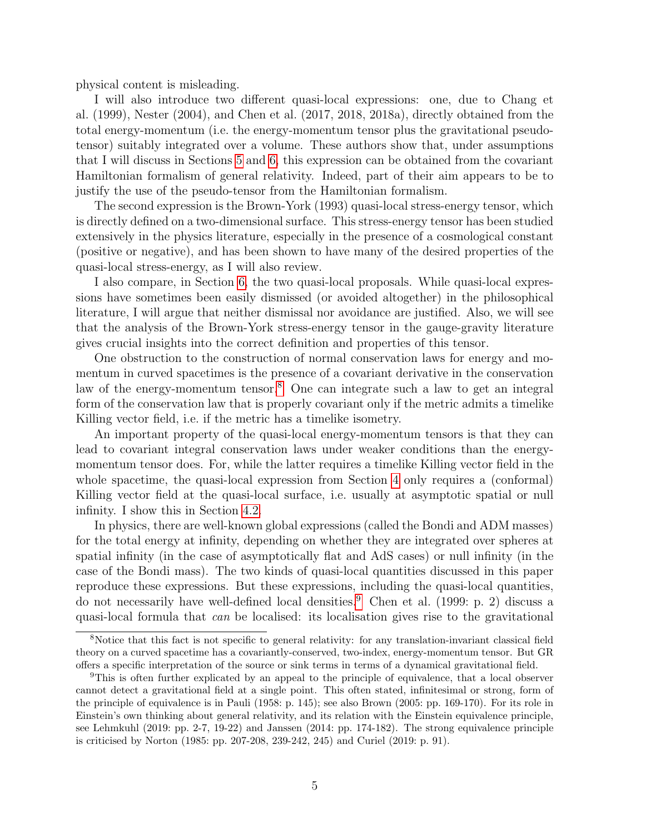physical content is misleading.

I will also introduce two different quasi-local expressions: one, due to Chang et al. (1999), Nester (2004), and Chen et al. (2017, 2018, 2018a), directly obtained from the total energy-momentum (i.e. the energy-momentum tensor plus the gravitational pseudotensor) suitably integrated over a volume. These authors show that, under assumptions that I will discuss in Sections [5](#page-37-0) and [6,](#page-43-0) this expression can be obtained from the covariant Hamiltonian formalism of general relativity. Indeed, part of their aim appears to be to justify the use of the pseudo-tensor from the Hamiltonian formalism.

The second expression is the Brown-York (1993) quasi-local stress-energy tensor, which is directly defined on a two-dimensional surface. This stress-energy tensor has been studied extensively in the physics literature, especially in the presence of a cosmological constant (positive or negative), and has been shown to have many of the desired properties of the quasi-local stress-energy, as I will also review.

I also compare, in Section [6,](#page-43-0) the two quasi-local proposals. While quasi-local expressions have sometimes been easily dismissed (or avoided altogether) in the philosophical literature, I will argue that neither dismissal nor avoidance are justified. Also, we will see that the analysis of the Brown-York stress-energy tensor in the gauge-gravity literature gives crucial insights into the correct definition and properties of this tensor.

One obstruction to the construction of normal conservation laws for energy and momentum in curved spacetimes is the presence of a covariant derivative in the conservation law of the energy-momentum tensor.[8](#page-4-0) One can integrate such a law to get an integral form of the conservation law that is properly covariant only if the metric admits a timelike Killing vector field, i.e. if the metric has a timelike isometry.

An important property of the quasi-local energy-momentum tensors is that they can lead to covariant integral conservation laws under weaker conditions than the energymomentum tensor does. For, while the latter requires a timelike Killing vector field in the whole spacetime, the quasi-local expression from Section [4](#page-28-0) only requires a (conformal) Killing vector field at the quasi-local surface, i.e. usually at asymptotic spatial or null infinity. I show this in Section [4.2.](#page-30-0)

In physics, there are well-known global expressions (called the Bondi and ADM masses) for the total energy at infinity, depending on whether they are integrated over spheres at spatial infinity (in the case of asymptotically flat and AdS cases) or null infinity (in the case of the Bondi mass). The two kinds of quasi-local quantities discussed in this paper reproduce these expressions. But these expressions, including the quasi-local quantities, do not necessarily have well-defined local densities.[9](#page-4-1) Chen et al. (1999: p. 2) discuss a quasi-local formula that can be localised: its localisation gives rise to the gravitational

<span id="page-4-0"></span><sup>8</sup>Notice that this fact is not specific to general relativity: for any translation-invariant classical field theory on a curved spacetime has a covariantly-conserved, two-index, energy-momentum tensor. But GR offers a specific interpretation of the source or sink terms in terms of a dynamical gravitational field.

<span id="page-4-1"></span><sup>9</sup>This is often further explicated by an appeal to the principle of equivalence, that a local observer cannot detect a gravitational field at a single point. This often stated, infinitesimal or strong, form of the principle of equivalence is in Pauli (1958: p. 145); see also Brown (2005: pp. 169-170). For its role in Einstein's own thinking about general relativity, and its relation with the Einstein equivalence principle, see Lehmkuhl (2019: pp. 2-7, 19-22) and Janssen (2014: pp. 174-182). The strong equivalence principle is criticised by Norton (1985: pp. 207-208, 239-242, 245) and Curiel (2019: p. 91).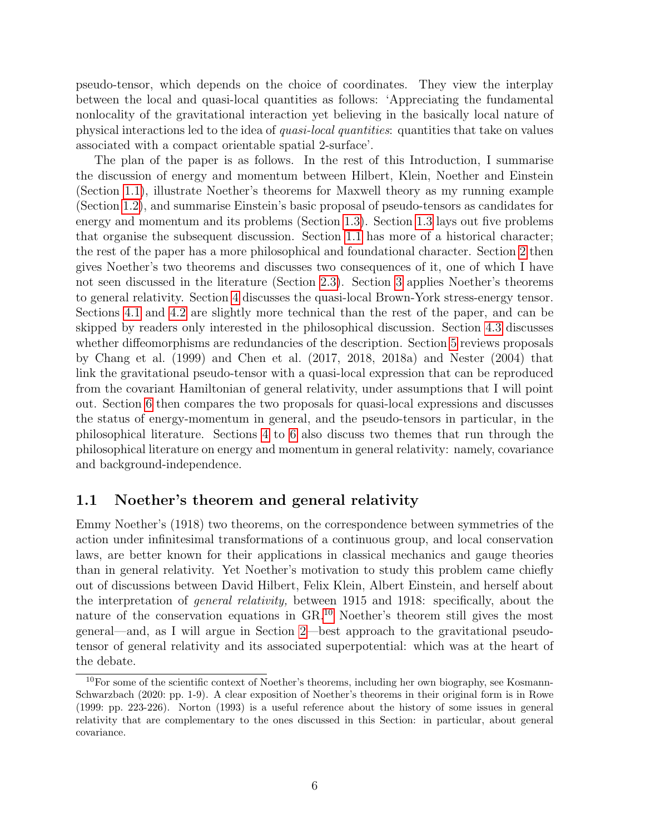pseudo-tensor, which depends on the choice of coordinates. They view the interplay between the local and quasi-local quantities as follows: 'Appreciating the fundamental nonlocality of the gravitational interaction yet believing in the basically local nature of physical interactions led to the idea of quasi-local quantities: quantities that take on values associated with a compact orientable spatial 2-surface'.

The plan of the paper is as follows. In the rest of this Introduction, I summarise the discussion of energy and momentum between Hilbert, Klein, Noether and Einstein (Section [1.1\)](#page-5-0), illustrate Noether's theorems for Maxwell theory as my running example (Section [1.2\)](#page-10-0), and summarise Einstein's basic proposal of pseudo-tensors as candidates for energy and momentum and its problems (Section [1.3\)](#page-14-0). Section [1.3](#page-14-0) lays out five problems that organise the subsequent discussion. Section [1.1](#page-5-0) has more of a historical character; the rest of the paper has a more philosophical and foundational character. Section [2](#page-18-0) then gives Noether's two theorems and discusses two consequences of it, one of which I have not seen discussed in the literature (Section [2.3\)](#page-22-0). Section [3](#page-25-0) applies Noether's theorems to general relativity. Section [4](#page-28-0) discusses the quasi-local Brown-York stress-energy tensor. Sections [4.1](#page-28-1) and [4.2](#page-30-0) are slightly more technical than the rest of the paper, and can be skipped by readers only interested in the philosophical discussion. Section [4.3](#page-33-0) discusses whether diffeomorphisms are redundancies of the description. Section [5](#page-37-0) reviews proposals by Chang et al. (1999) and Chen et al. (2017, 2018, 2018a) and Nester (2004) that link the gravitational pseudo-tensor with a quasi-local expression that can be reproduced from the covariant Hamiltonian of general relativity, under assumptions that I will point out. Section [6](#page-43-0) then compares the two proposals for quasi-local expressions and discusses the status of energy-momentum in general, and the pseudo-tensors in particular, in the philosophical literature. Sections [4](#page-28-0) to [6](#page-43-0) also discuss two themes that run through the philosophical literature on energy and momentum in general relativity: namely, covariance and background-independence.

### <span id="page-5-0"></span>1.1 Noether's theorem and general relativity

Emmy Noether's (1918) two theorems, on the correspondence between symmetries of the action under infinitesimal transformations of a continuous group, and local conservation laws, are better known for their applications in classical mechanics and gauge theories than in general relativity. Yet Noether's motivation to study this problem came chiefly out of discussions between David Hilbert, Felix Klein, Albert Einstein, and herself about the interpretation of general relativity, between 1915 and 1918: specifically, about the nature of the conservation equations in GR.[10](#page-5-1) Noether's theorem still gives the most general—and, as I will argue in Section [2—](#page-18-0)best approach to the gravitational pseudotensor of general relativity and its associated superpotential: which was at the heart of the debate.

<span id="page-5-1"></span><sup>&</sup>lt;sup>10</sup>For some of the scientific context of Noether's theorems, including her own biography, see Kosmann-Schwarzbach (2020: pp. 1-9). A clear exposition of Noether's theorems in their original form is in Rowe (1999: pp. 223-226). Norton (1993) is a useful reference about the history of some issues in general relativity that are complementary to the ones discussed in this Section: in particular, about general covariance.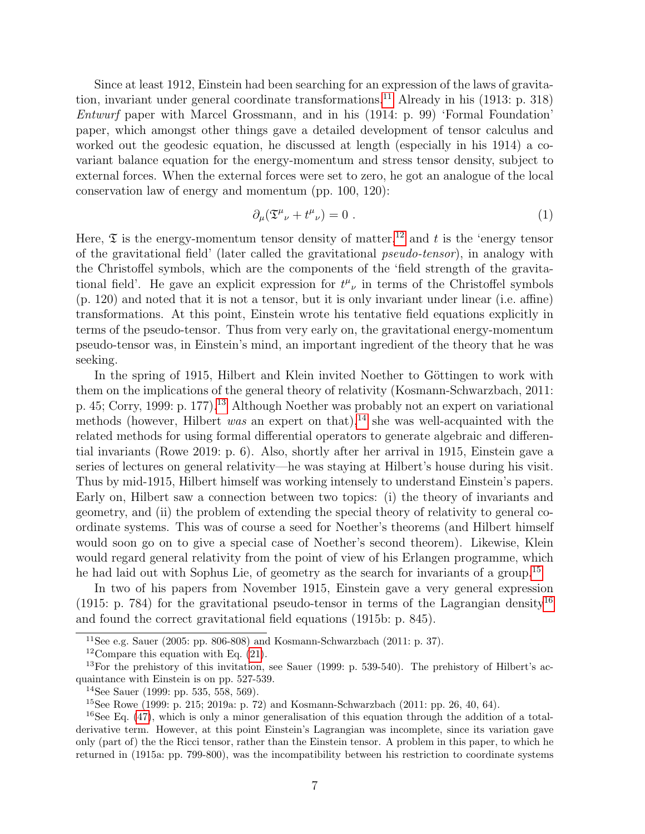Since at least 1912, Einstein had been searching for an expression of the laws of gravita-tion, invariant under general coordinate transformations.<sup>[11](#page-6-0)</sup> Already in his  $(1913: p. 318)$ Entwurf paper with Marcel Grossmann, and in his (1914: p. 99) 'Formal Foundation' paper, which amongst other things gave a detailed development of tensor calculus and worked out the geodesic equation, he discussed at length (especially in his 1914) a covariant balance equation for the energy-momentum and stress tensor density, subject to external forces. When the external forces were set to zero, he got an analogue of the local conservation law of energy and momentum (pp. 100, 120):

<span id="page-6-6"></span>
$$
\partial_{\mu}(\mathfrak{T}^{\mu}{}_{\nu} + t^{\mu}{}_{\nu}) = 0 \tag{1}
$$

Here,  $\mathfrak T$  is the energy-momentum tensor density of matter,<sup>[12](#page-6-1)</sup> and t is the 'energy tensor of the gravitational field' (later called the gravitational pseudo-tensor), in analogy with the Christoffel symbols, which are the components of the 'field strength of the gravitational field'. He gave an explicit expression for  $t^{\mu}{}_{\nu}$  in terms of the Christoffel symbols (p. 120) and noted that it is not a tensor, but it is only invariant under linear (i.e. affine) transformations. At this point, Einstein wrote his tentative field equations explicitly in terms of the pseudo-tensor. Thus from very early on, the gravitational energy-momentum pseudo-tensor was, in Einstein's mind, an important ingredient of the theory that he was seeking.

In the spring of 1915, Hilbert and Klein invited Noether to Göttingen to work with them on the implications of the general theory of relativity (Kosmann-Schwarzbach, 2011: p. 45; Corry, 1999: p. 177).<sup>[13](#page-6-2)</sup> Although Noether was probably not an expert on variational methods (however, Hilbert was an expert on that),<sup>[14](#page-6-3)</sup> she was well-acquainted with the related methods for using formal differential operators to generate algebraic and differential invariants (Rowe 2019: p. 6). Also, shortly after her arrival in 1915, Einstein gave a series of lectures on general relativity—he was staying at Hilbert's house during his visit. Thus by mid-1915, Hilbert himself was working intensely to understand Einstein's papers. Early on, Hilbert saw a connection between two topics: (i) the theory of invariants and geometry, and (ii) the problem of extending the special theory of relativity to general coordinate systems. This was of course a seed for Noether's theorems (and Hilbert himself would soon go on to give a special case of Noether's second theorem). Likewise, Klein would regard general relativity from the point of view of his Erlangen programme, which he had laid out with Sophus Lie, of geometry as the search for invariants of a group.<sup>[15](#page-6-4)</sup>

In two of his papers from November 1915, Einstein gave a very general expression (1915: p. 784) for the gravitational pseudo-tensor in terms of the Lagrangian density<sup>[16](#page-6-5)</sup> and found the correct gravitational field equations (1915b: p. 845).

<span id="page-6-0"></span><sup>&</sup>lt;sup>11</sup>See e.g. Sauer (2005: pp. 806-808) and Kosmann-Schwarzbach (2011: p. 37).

<span id="page-6-2"></span><span id="page-6-1"></span><sup>&</sup>lt;sup>12</sup>Compare this equation with Eq.  $(21)$ .

 $13$ For the prehistory of this invitation, see Sauer (1999: p. 539-540). The prehistory of Hilbert's acquaintance with Einstein is on pp. 527-539.

<span id="page-6-3"></span> $14$ See Sauer (1999: pp. 535, 558, 569).

<span id="page-6-5"></span><span id="page-6-4"></span><sup>15</sup>See Rowe (1999: p. 215; 2019a: p. 72) and Kosmann-Schwarzbach (2011: pp. 26, 40, 64).

<sup>&</sup>lt;sup>16</sup>See Eq. [\(47\)](#page-26-0), which is only a minor generalisation of this equation through the addition of a totalderivative term. However, at this point Einstein's Lagrangian was incomplete, since its variation gave only (part of) the the Ricci tensor, rather than the Einstein tensor. A problem in this paper, to which he returned in (1915a: pp. 799-800), was the incompatibility between his restriction to coordinate systems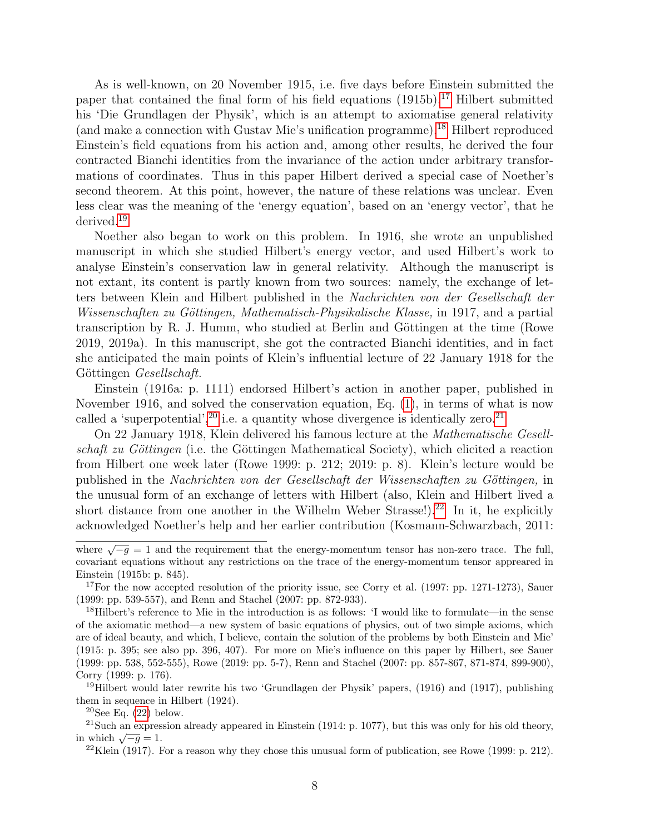As is well-known, on 20 November 1915, i.e. five days before Einstein submitted the paper that contained the final form of his field equations  $(1915b)$ ,<sup>[17](#page-7-0)</sup> Hilbert submitted his 'Die Grundlagen der Physik', which is an attempt to axiomatise general relativity (and make a connection with Gustav Mie's unification programme).[18](#page-7-1) Hilbert reproduced Einstein's field equations from his action and, among other results, he derived the four contracted Bianchi identities from the invariance of the action under arbitrary transformations of coordinates. Thus in this paper Hilbert derived a special case of Noether's second theorem. At this point, however, the nature of these relations was unclear. Even less clear was the meaning of the 'energy equation', based on an 'energy vector', that he derived.[19](#page-7-2)

Noether also began to work on this problem. In 1916, she wrote an unpublished manuscript in which she studied Hilbert's energy vector, and used Hilbert's work to analyse Einstein's conservation law in general relativity. Although the manuscript is not extant, its content is partly known from two sources: namely, the exchange of letters between Klein and Hilbert published in the Nachrichten von der Gesellschaft der Wissenschaften zu Göttingen, Mathematisch-Physikalische Klasse, in 1917, and a partial transcription by R. J. Humm, who studied at Berlin and Göttingen at the time (Rowe 2019, 2019a). In this manuscript, she got the contracted Bianchi identities, and in fact she anticipated the main points of Klein's influential lecture of 22 January 1918 for the Göttingen *Gesellschaft*.

Einstein (1916a: p. 1111) endorsed Hilbert's action in another paper, published in November 1916, and solved the conservation equation, Eq. [\(1\)](#page-6-6), in terms of what is now called a 'superpotential',  $^{20}$  $^{20}$  $^{20}$  i.e. a quantity whose divergence is identically zero.<sup>[21](#page-7-4)</sup>

On 22 January 1918, Klein delivered his famous lecture at the Mathematische Gesellschaft zu Göttingen (i.e. the Göttingen Mathematical Society), which elicited a reaction from Hilbert one week later (Rowe 1999: p. 212; 2019: p. 8). Klein's lecture would be published in the Nachrichten von der Gesellschaft der Wissenschaften zu Göttingen, in the unusual form of an exchange of letters with Hilbert (also, Klein and Hilbert lived a short distance from one another in the Wilhelm Weber Strasse!).<sup>[22](#page-7-5)</sup> In it, he explicitly acknowledged Noether's help and her earlier contribution (Kosmann-Schwarzbach, 2011:

<span id="page-7-2"></span><sup>19</sup>Hilbert would later rewrite his two 'Grundlagen der Physik' papers, (1916) and (1917), publishing them in sequence in Hilbert (1924).

<span id="page-7-4"></span><span id="page-7-3"></span> $20$ See Eq.  $(22)$  below.

<sup>21</sup>Such an expression already appeared in Einstein (1914: p. 1077), but this was only for his old theory,  $\frac{1}{\sqrt{-g}} = 1.$ 

<span id="page-7-5"></span> $22$ Klein (1917). For a reason why they chose this unusual form of publication, see Rowe (1999: p. 212).

where  $\sqrt{-g} = 1$  and the requirement that the energy-momentum tensor has non-zero trace. The full, covariant equations without any restrictions on the trace of the energy-momentum tensor appreared in Einstein (1915b: p. 845).

<span id="page-7-0"></span><sup>&</sup>lt;sup>17</sup>For the now accepted resolution of the priority issue, see Corry et al.  $(1997: pp. 1271-1273)$ , Sauer (1999: pp. 539-557), and Renn and Stachel (2007: pp. 872-933).

<span id="page-7-1"></span><sup>18</sup>Hilbert's reference to Mie in the introduction is as follows: 'I would like to formulate—in the sense of the axiomatic method—a new system of basic equations of physics, out of two simple axioms, which are of ideal beauty, and which, I believe, contain the solution of the problems by both Einstein and Mie' (1915: p. 395; see also pp. 396, 407). For more on Mie's influence on this paper by Hilbert, see Sauer (1999: pp. 538, 552-555), Rowe (2019: pp. 5-7), Renn and Stachel (2007: pp. 857-867, 871-874, 899-900), Corry (1999: p. 176).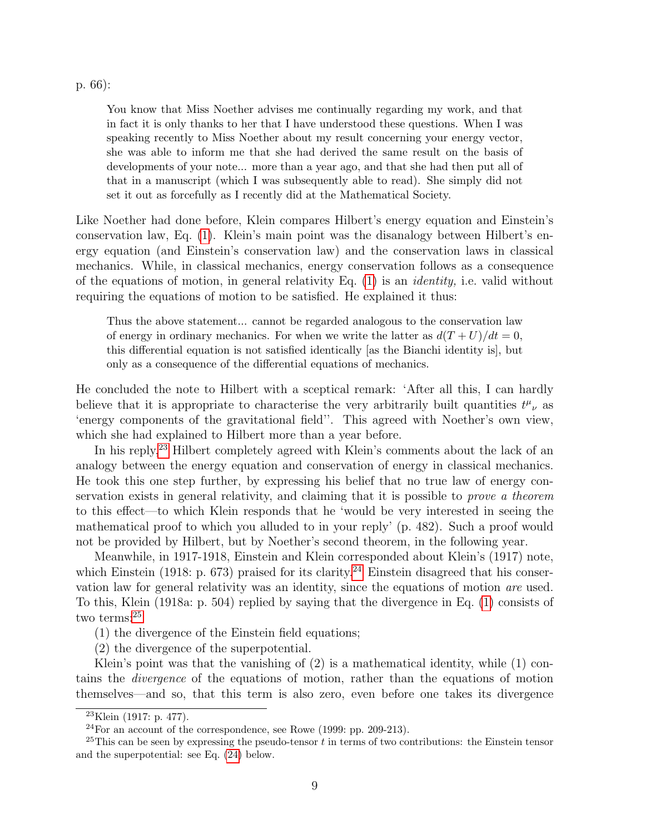p. 66):

You know that Miss Noether advises me continually regarding my work, and that in fact it is only thanks to her that I have understood these questions. When I was speaking recently to Miss Noether about my result concerning your energy vector, she was able to inform me that she had derived the same result on the basis of developments of your note... more than a year ago, and that she had then put all of that in a manuscript (which I was subsequently able to read). She simply did not set it out as forcefully as I recently did at the Mathematical Society.

Like Noether had done before, Klein compares Hilbert's energy equation and Einstein's conservation law, Eq. [\(1\)](#page-6-6). Klein's main point was the disanalogy between Hilbert's energy equation (and Einstein's conservation law) and the conservation laws in classical mechanics. While, in classical mechanics, energy conservation follows as a consequence of the equations of motion, in general relativity Eq.  $(1)$  is an *identity*, i.e. valid without requiring the equations of motion to be satisfied. He explained it thus:

Thus the above statement... cannot be regarded analogous to the conservation law of energy in ordinary mechanics. For when we write the latter as  $d(T+U)/dt = 0$ , this differential equation is not satisfied identically [as the Bianchi identity is], but only as a consequence of the differential equations of mechanics.

He concluded the note to Hilbert with a sceptical remark: 'After all this, I can hardly believe that it is appropriate to characterise the very arbitrarily built quantities  $t^{\mu}{}_{\nu}$  as 'energy components of the gravitational field''. This agreed with Noether's own view, which she had explained to Hilbert more than a year before.

In his reply,<sup>[23](#page-8-0)</sup> Hilbert completely agreed with Klein's comments about the lack of an analogy between the energy equation and conservation of energy in classical mechanics. He took this one step further, by expressing his belief that no true law of energy conservation exists in general relativity, and claiming that it is possible to prove a theorem to this effect—to which Klein responds that he 'would be very interested in seeing the mathematical proof to which you alluded to in your reply' (p. 482). Such a proof would not be provided by Hilbert, but by Noether's second theorem, in the following year.

Meanwhile, in 1917-1918, Einstein and Klein corresponded about Klein's (1917) note, which Einstein (1918: p. 673) praised for its clarity.<sup>[24](#page-8-1)</sup> Einstein disagreed that his conservation law for general relativity was an identity, since the equations of motion are used. To this, Klein (1918a: p. 504) replied by saying that the divergence in Eq. [\(1\)](#page-6-6) consists of two terms:<sup>[25](#page-8-2)</sup>

(1) the divergence of the Einstein field equations;

(2) the divergence of the superpotential.

Klein's point was that the vanishing of (2) is a mathematical identity, while (1) contains the divergence of the equations of motion, rather than the equations of motion themselves—and so, that this term is also zero, even before one takes its divergence

<span id="page-8-0"></span><sup>23</sup>Klein (1917: p. 477).

<span id="page-8-2"></span><span id="page-8-1"></span> $24$ For an account of the correspondence, see Rowe (1999: pp. 209-213).

 $^{25}$ This can be seen by expressing the pseudo-tensor t in terms of two contributions: the Einstein tensor and the superpotential: see Eq. [\(24\)](#page-16-1) below.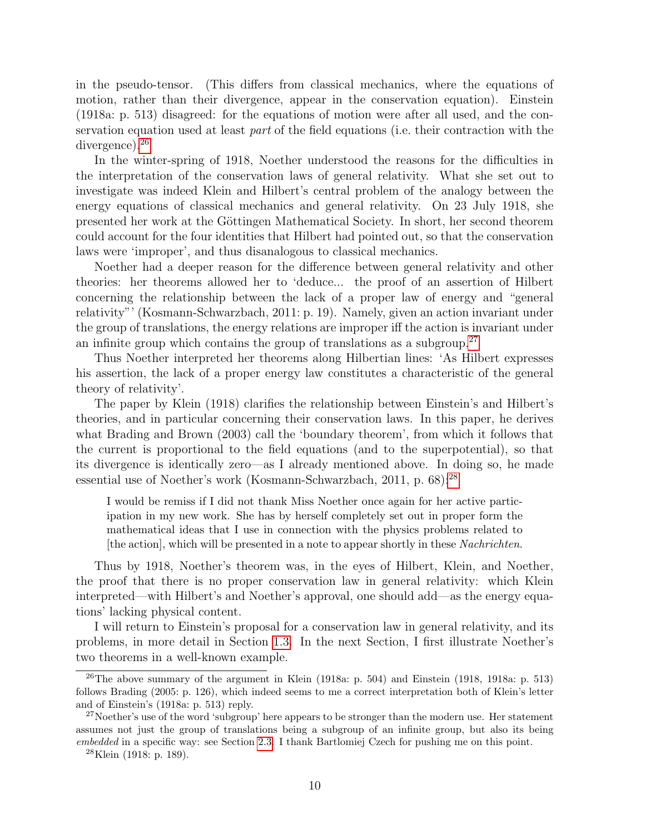in the pseudo-tensor. (This differs from classical mechanics, where the equations of motion, rather than their divergence, appear in the conservation equation). Einstein (1918a: p. 513) disagreed: for the equations of motion were after all used, and the conservation equation used at least *part* of the field equations (i.e. their contraction with the divergence).<sup>[26](#page-9-0)</sup>

In the winter-spring of 1918, Noether understood the reasons for the difficulties in the interpretation of the conservation laws of general relativity. What she set out to investigate was indeed Klein and Hilbert's central problem of the analogy between the energy equations of classical mechanics and general relativity. On 23 July 1918, she presented her work at the Göttingen Mathematical Society. In short, her second theorem could account for the four identities that Hilbert had pointed out, so that the conservation laws were 'improper', and thus disanalogous to classical mechanics.

Noether had a deeper reason for the difference between general relativity and other theories: her theorems allowed her to 'deduce... the proof of an assertion of Hilbert concerning the relationship between the lack of a proper law of energy and "general relativity"' (Kosmann-Schwarzbach, 2011: p. 19). Namely, given an action invariant under the group of translations, the energy relations are improper iff the action is invariant under an infinite group which contains the group of translations as a subgroup.<sup>[27](#page-9-1)</sup>

Thus Noether interpreted her theorems along Hilbertian lines: 'As Hilbert expresses his assertion, the lack of a proper energy law constitutes a characteristic of the general theory of relativity'.

The paper by Klein (1918) clarifies the relationship between Einstein's and Hilbert's theories, and in particular concerning their conservation laws. In this paper, he derives what Brading and Brown (2003) call the 'boundary theorem', from which it follows that the current is proportional to the field equations (and to the superpotential), so that its divergence is identically zero—as I already mentioned above. In doing so, he made essential use of Noether's work (Kosmann-Schwarzbach, 2011, p. 68):<sup>[28](#page-9-2)</sup>

I would be remiss if I did not thank Miss Noether once again for her active participation in my new work. She has by herself completely set out in proper form the mathematical ideas that I use in connection with the physics problems related to [the action], which will be presented in a note to appear shortly in these Nachrichten.

Thus by 1918, Noether's theorem was, in the eyes of Hilbert, Klein, and Noether, the proof that there is no proper conservation law in general relativity: which Klein interpreted—with Hilbert's and Noether's approval, one should add—as the energy equations' lacking physical content.

I will return to Einstein's proposal for a conservation law in general relativity, and its problems, in more detail in Section [1.3.](#page-14-0) In the next Section, I first illustrate Noether's two theorems in a well-known example.

<span id="page-9-0"></span><sup>&</sup>lt;sup>26</sup>The above summary of the argument in Klein (1918a: p. 504) and Einstein (1918, 1918a: p. 513) follows Brading (2005: p. 126), which indeed seems to me a correct interpretation both of Klein's letter and of Einstein's (1918a: p. 513) reply.

<span id="page-9-1"></span><sup>&</sup>lt;sup>27</sup>Noether's use of the word 'subgroup' here appears to be stronger than the modern use. Her statement assumes not just the group of translations being a subgroup of an infinite group, but also its being embedded in a specific way: see Section [2.3.](#page-22-0) I thank Bartlomiej Czech for pushing me on this point.

<span id="page-9-2"></span> $^{28}$ Klein (1918: p. 189).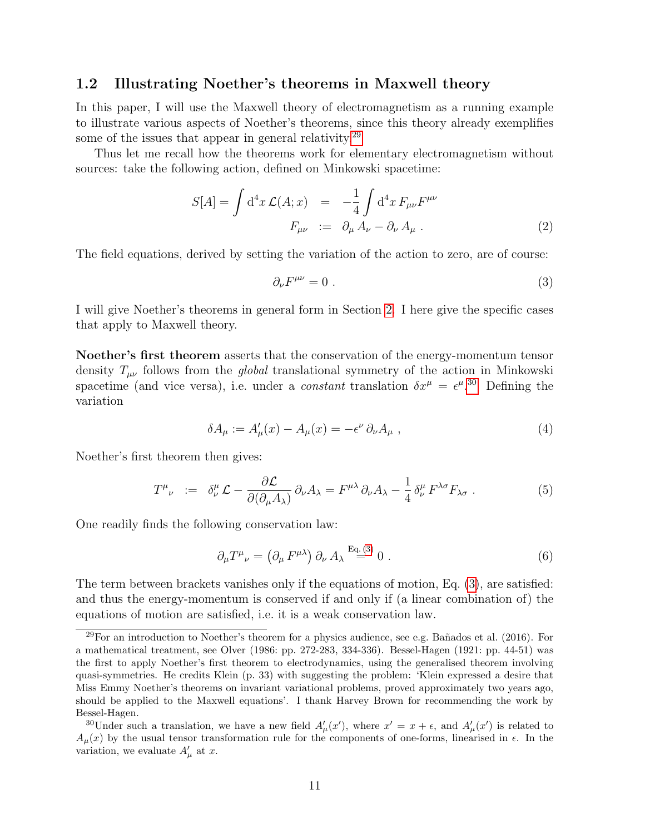#### <span id="page-10-0"></span>1.2 Illustrating Noether's theorems in Maxwell theory

In this paper, I will use the Maxwell theory of electromagnetism as a running example to illustrate various aspects of Noether's theorems, since this theory already exemplifies some of the issues that appear in general relativity.<sup>[29](#page-10-1)</sup>

Thus let me recall how the theorems work for elementary electromagnetism without sources: take the following action, defined on Minkowski spacetime:

$$
S[A] = \int d^4x \mathcal{L}(A; x) = -\frac{1}{4} \int d^4x F_{\mu\nu} F^{\mu\nu}
$$
  

$$
F_{\mu\nu} := \partial_\mu A_\nu - \partial_\nu A_\mu . \tag{2}
$$

The field equations, derived by setting the variation of the action to zero, are of course:

<span id="page-10-3"></span>
$$
\partial_{\nu}F^{\mu\nu} = 0 \tag{3}
$$

I will give Noether's theorems in general form in Section [2.](#page-18-0) I here give the specific cases that apply to Maxwell theory.

Noether's first theorem asserts that the conservation of the energy-momentum tensor density  $T_{\mu\nu}$  follows from the *global* translational symmetry of the action in Minkowski spacetime (and vice versa), i.e. under a *constant* translation  $\delta x^{\mu} = \epsilon^{\mu}$ .<sup>[30](#page-10-2)</sup> Defining the variation

<span id="page-10-5"></span>
$$
\delta A_{\mu} := A'_{\mu}(x) - A_{\mu}(x) = -\epsilon^{\nu} \partial_{\nu} A_{\mu} , \qquad (4)
$$

Noether's first theorem then gives:

<span id="page-10-4"></span>
$$
T^{\mu}{}_{\nu} := \delta^{\mu}_{\nu} \mathcal{L} - \frac{\partial \mathcal{L}}{\partial(\partial_{\mu} A_{\lambda})} \partial_{\nu} A_{\lambda} = F^{\mu \lambda} \partial_{\nu} A_{\lambda} - \frac{1}{4} \delta^{\mu}_{\nu} F^{\lambda \sigma} F_{\lambda \sigma} . \tag{5}
$$

One readily finds the following conservation law:

<span id="page-10-6"></span>
$$
\partial_{\mu}T^{\mu}{}_{\nu} = \left(\partial_{\mu}F^{\mu\lambda}\right)\partial_{\nu}A_{\lambda} \stackrel{\text{Eq. (3)}}{=} 0 \tag{6}
$$

The term between brackets vanishes only if the equations of motion, Eq. [\(3\)](#page-10-3), are satisfied: and thus the energy-momentum is conserved if and only if (a linear combination of) the equations of motion are satisfied, i.e. it is a weak conservation law.

<span id="page-10-1"></span> $^{29}$ For an introduction to Noether's theorem for a physics audience, see e.g. Bañados et al. (2016). For a mathematical treatment, see Olver (1986: pp. 272-283, 334-336). Bessel-Hagen (1921: pp. 44-51) was the first to apply Noether's first theorem to electrodynamics, using the generalised theorem involving quasi-symmetries. He credits Klein (p. 33) with suggesting the problem: 'Klein expressed a desire that Miss Emmy Noether's theorems on invariant variational problems, proved approximately two years ago, should be applied to the Maxwell equations'. I thank Harvey Brown for recommending the work by Bessel-Hagen.

<span id="page-10-2"></span><sup>&</sup>lt;sup>30</sup>Under such a translation, we have a new field  $A'_\mu(x')$ , where  $x' = x + \epsilon$ , and  $A'_\mu(x')$  is related to  $A_\mu(x)$  by the usual tensor transformation rule for the components of one-forms, linearised in  $\epsilon$ . In the variation, we evaluate  $A'_{\mu}$  at x.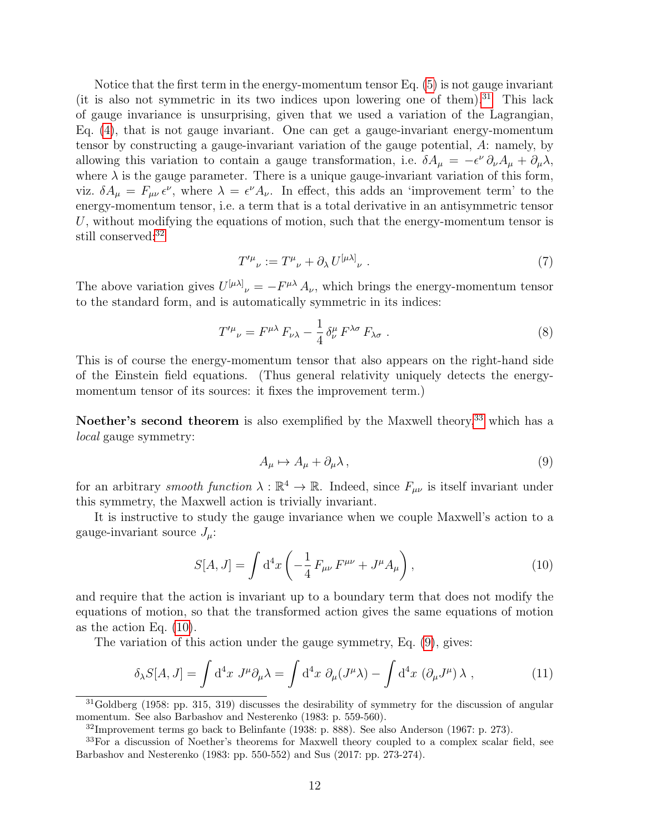Notice that the first term in the energy-momentum tensor Eq. [\(5\)](#page-10-4) is not gauge invariant (it is also not symmetric in its two indices upon lowering one of them).<sup>[31](#page-11-0)</sup> This lack of gauge invariance is unsurprising, given that we used a variation of the Lagrangian, Eq. [\(4\)](#page-10-5), that is not gauge invariant. One can get a gauge-invariant energy-momentum tensor by constructing a gauge-invariant variation of the gauge potential, A: namely, by allowing this variation to contain a gauge transformation, i.e.  $\delta A_\mu = -\epsilon^\nu \partial_\nu A_\mu + \partial_\mu \lambda$ , where  $\lambda$  is the gauge parameter. There is a unique gauge-invariant variation of this form, viz.  $\delta A_{\mu} = F_{\mu\nu} \epsilon^{\nu}$ , where  $\lambda = \epsilon^{\nu} A_{\nu}$ . In effect, this adds an 'improvement term' to the energy-momentum tensor, i.e. a term that is a total derivative in an antisymmetric tensor U, without modifying the equations of motion, such that the energy-momentum tensor is still conserved:<sup>[32](#page-11-1)</sup>

<span id="page-11-5"></span>
$$
T^{\prime \mu}{}_{\nu} := T^{\mu}{}_{\nu} + \partial_{\lambda} U^{[\mu \lambda]}{}_{\nu} \ . \tag{7}
$$

The above variation gives  $U^{[\mu\lambda]}_{\nu} = -F^{\mu\lambda} A_{\nu}$ , which brings the energy-momentum tensor to the standard form, and is automatically symmetric in its indices:

<span id="page-11-6"></span>
$$
T^{\prime \mu}{}_{\nu} = F^{\mu \lambda} F_{\nu \lambda} - \frac{1}{4} \delta^{\mu}_{\nu} F^{\lambda \sigma} F_{\lambda \sigma} . \tag{8}
$$

This is of course the energy-momentum tensor that also appears on the right-hand side of the Einstein field equations. (Thus general relativity uniquely detects the energymomentum tensor of its sources: it fixes the improvement term.)

Noether's second theorem is also exemplified by the Maxwell theory,<sup>[33](#page-11-2)</sup> which has a local gauge symmetry:

<span id="page-11-4"></span>
$$
A_{\mu} \mapsto A_{\mu} + \partial_{\mu} \lambda \,, \tag{9}
$$

for an arbitrary *smooth function*  $\lambda : \mathbb{R}^4 \to \mathbb{R}$ . Indeed, since  $F_{\mu\nu}$  is itself invariant under this symmetry, the Maxwell action is trivially invariant.

It is instructive to study the gauge invariance when we couple Maxwell's action to a gauge-invariant source  $J_\mu$ :

<span id="page-11-3"></span>
$$
S[A, J] = \int d^4x \left( -\frac{1}{4} F_{\mu\nu} F^{\mu\nu} + J^{\mu} A_{\mu} \right), \qquad (10)
$$

and require that the action is invariant up to a boundary term that does not modify the equations of motion, so that the transformed action gives the same equations of motion as the action Eq. [\(10\)](#page-11-3).

The variation of this action under the gauge symmetry, Eq. [\(9\)](#page-11-4), gives:

<span id="page-11-7"></span>
$$
\delta_{\lambda} S[A,J] = \int d^4x J^{\mu} \partial_{\mu} \lambda = \int d^4x \ \partial_{\mu} (J^{\mu} \lambda) - \int d^4x \ (\partial_{\mu} J^{\mu}) \lambda , \qquad (11)
$$

<span id="page-11-0"></span> $31Goldberg$  (1958: pp. 315, 319) discusses the desirability of symmetry for the discussion of angular momentum. See also Barbashov and Nesterenko (1983: p. 559-560).

<span id="page-11-2"></span><span id="page-11-1"></span> $32$ Improvement terms go back to Belinfante (1938: p. 888). See also Anderson (1967: p. 273).

<sup>&</sup>lt;sup>33</sup>For a discussion of Noether's theorems for Maxwell theory coupled to a complex scalar field, see Barbashov and Nesterenko (1983: pp. 550-552) and Sus (2017: pp. 273-274).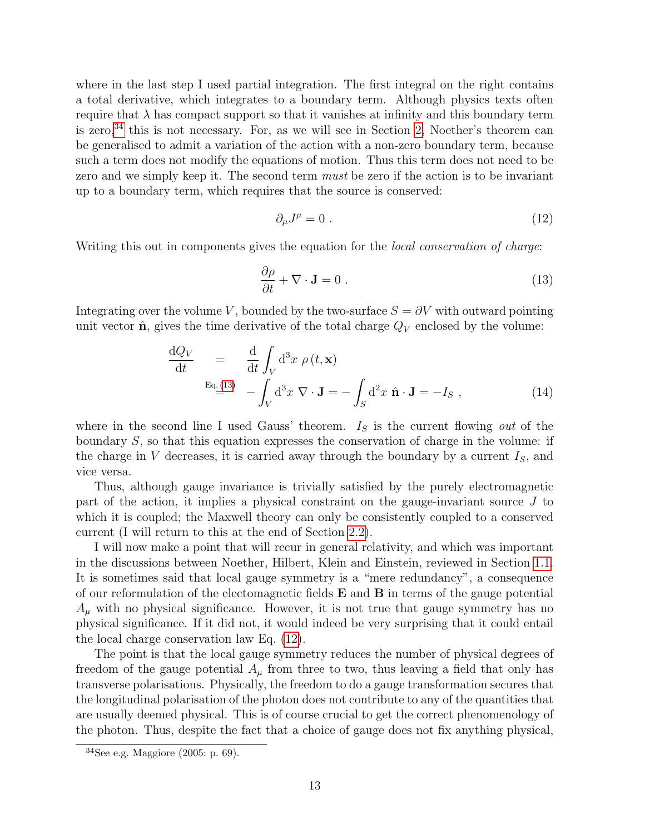where in the last step I used partial integration. The first integral on the right contains a total derivative, which integrates to a boundary term. Although physics texts often require that  $\lambda$  has compact support so that it vanishes at infinity and this boundary term is zero,  $34$  this is not necessary. For, as we will see in Section [2,](#page-18-0) Noether's theorem can be generalised to admit a variation of the action with a non-zero boundary term, because such a term does not modify the equations of motion. Thus this term does not need to be zero and we simply keep it. The second term *must* be zero if the action is to be invariant up to a boundary term, which requires that the source is conserved:

<span id="page-12-2"></span>
$$
\partial_{\mu}J^{\mu} = 0 \tag{12}
$$

Writing this out in components gives the equation for the *local conservation of charge*:

<span id="page-12-1"></span>
$$
\frac{\partial \rho}{\partial t} + \nabla \cdot \mathbf{J} = 0 \tag{13}
$$

Integrating over the volume V, bounded by the two-surface  $S = \partial V$  with outward pointing unit vector  $\hat{\mathbf{n}}$ , gives the time derivative of the total charge  $Q_V$  enclosed by the volume:

<span id="page-12-3"></span>
$$
\frac{dQ_V}{dt} = \frac{d}{dt} \int_V d^3x \, \rho(t, \mathbf{x})
$$
\n
$$
E_q(13) = \int_V d^3x \, \nabla \cdot \mathbf{J} = -\int_S d^2x \, \hat{\mathbf{n}} \cdot \mathbf{J} = -I_S ,
$$
\n(14)

where in the second line I used Gauss' theorem.  $I<sub>S</sub>$  is the current flowing out of the boundary  $S$ , so that this equation expresses the conservation of charge in the volume: if the charge in V decreases, it is carried away through the boundary by a current  $I<sub>S</sub>$ , and vice versa.

Thus, although gauge invariance is trivially satisfied by the purely electromagnetic part of the action, it implies a physical constraint on the gauge-invariant source J to which it is coupled; the Maxwell theory can only be consistently coupled to a conserved current (I will return to this at the end of Section [2.2\)](#page-19-0).

I will now make a point that will recur in general relativity, and which was important in the discussions between Noether, Hilbert, Klein and Einstein, reviewed in Section [1.1.](#page-5-0) It is sometimes said that local gauge symmetry is a "mere redundancy", a consequence of our reformulation of the electomagnetic fields  $E$  and  $B$  in terms of the gauge potential  $A<sub>u</sub>$  with no physical significance. However, it is not true that gauge symmetry has no physical significance. If it did not, it would indeed be very surprising that it could entail the local charge conservation law Eq. [\(12\)](#page-12-2).

The point is that the local gauge symmetry reduces the number of physical degrees of freedom of the gauge potential  $A_\mu$  from three to two, thus leaving a field that only has transverse polarisations. Physically, the freedom to do a gauge transformation secures that the longitudinal polarisation of the photon does not contribute to any of the quantities that are usually deemed physical. This is of course crucial to get the correct phenomenology of the photon. Thus, despite the fact that a choice of gauge does not fix anything physical,

<span id="page-12-0"></span> $34$ See e.g. Maggiore (2005: p. 69).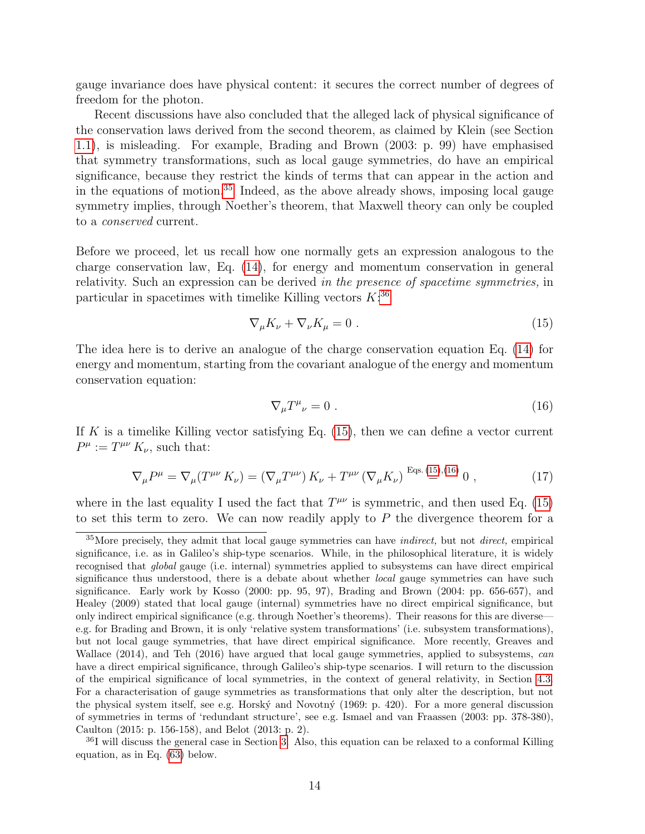gauge invariance does have physical content: it secures the correct number of degrees of freedom for the photon.

Recent discussions have also concluded that the alleged lack of physical significance of the conservation laws derived from the second theorem, as claimed by Klein (see Section [1.1\)](#page-5-0), is misleading. For example, Brading and Brown (2003: p. 99) have emphasised that symmetry transformations, such as local gauge symmetries, do have an empirical significance, because they restrict the kinds of terms that can appear in the action and in the equations of motion.[35](#page-13-0) Indeed, as the above already shows, imposing local gauge symmetry implies, through Noether's theorem, that Maxwell theory can only be coupled to a conserved current.

Before we proceed, let us recall how one normally gets an expression analogous to the charge conservation law, Eq. [\(14\)](#page-12-3), for energy and momentum conservation in general relativity. Such an expression can be derived in the presence of spacetime symmetries, in particular in spacetimes with timelike Killing vectors  $K$ <sup>[36](#page-13-1)</sup>

<span id="page-13-2"></span>
$$
\nabla_{\mu} K_{\nu} + \nabla_{\nu} K_{\mu} = 0 \tag{15}
$$

The idea here is to derive an analogue of the charge conservation equation Eq. [\(14\)](#page-12-3) for energy and momentum, starting from the covariant analogue of the energy and momentum conservation equation:

<span id="page-13-3"></span>
$$
\nabla_{\mu}T^{\mu}{}_{\nu}=0\ .\tag{16}
$$

If K is a timelike Killing vector satisfying Eq.  $(15)$ , then we can define a vector current  $P^{\mu} := T^{\mu\nu} K_{\nu}$ , such that:

<span id="page-13-4"></span>
$$
\nabla_{\mu}P^{\mu} = \nabla_{\mu}(T^{\mu\nu}K_{\nu}) = (\nabla_{\mu}T^{\mu\nu})K_{\nu} + T^{\mu\nu}(\nabla_{\mu}K_{\nu}) \stackrel{\text{Eqs. (15),(16)}}{=} 0 ,
$$
 (17)

where in the last equality I used the fact that  $T^{\mu\nu}$  is symmetric, and then used Eq. [\(15\)](#page-13-2) to set this term to zero. We can now readily apply to  $P$  the divergence theorem for a

<span id="page-13-0"></span> $35$ More precisely, they admit that local gauge symmetries can have *indirect*, but not *direct*, empirical significance, i.e. as in Galileo's ship-type scenarios. While, in the philosophical literature, it is widely recognised that global gauge (i.e. internal) symmetries applied to subsystems can have direct empirical significance thus understood, there is a debate about whether *local* gauge symmetries can have such significance. Early work by Kosso (2000: pp. 95, 97), Brading and Brown (2004: pp. 656-657), and Healey (2009) stated that local gauge (internal) symmetries have no direct empirical significance, but only indirect empirical significance (e.g. through Noether's theorems). Their reasons for this are diverse e.g. for Brading and Brown, it is only 'relative system transformations' (i.e. subsystem transformations), but not local gauge symmetries, that have direct empirical significance. More recently, Greaves and Wallace (2014), and Teh (2016) have argued that local gauge symmetries, applied to subsystems, can have a direct empirical significance, through Galileo's ship-type scenarios. I will return to the discussion of the empirical significance of local symmetries, in the context of general relativity, in Section [4.3.](#page-33-0) For a characterisation of gauge symmetries as transformations that only alter the description, but not the physical system itself, see e.g. Horský and Novotný (1969: p. 420). For a more general discussion of symmetries in terms of 'redundant structure', see e.g. Ismael and van Fraassen (2003: pp. 378-380), Caulton (2015: p. 156-158), and Belot (2013: p. 2).

<span id="page-13-1"></span><sup>&</sup>lt;sup>36</sup>I will discuss the general case in Section [3.](#page-25-0) Also, this equation can be relaxed to a conformal Killing equation, as in Eq. [\(63\)](#page-37-2) below.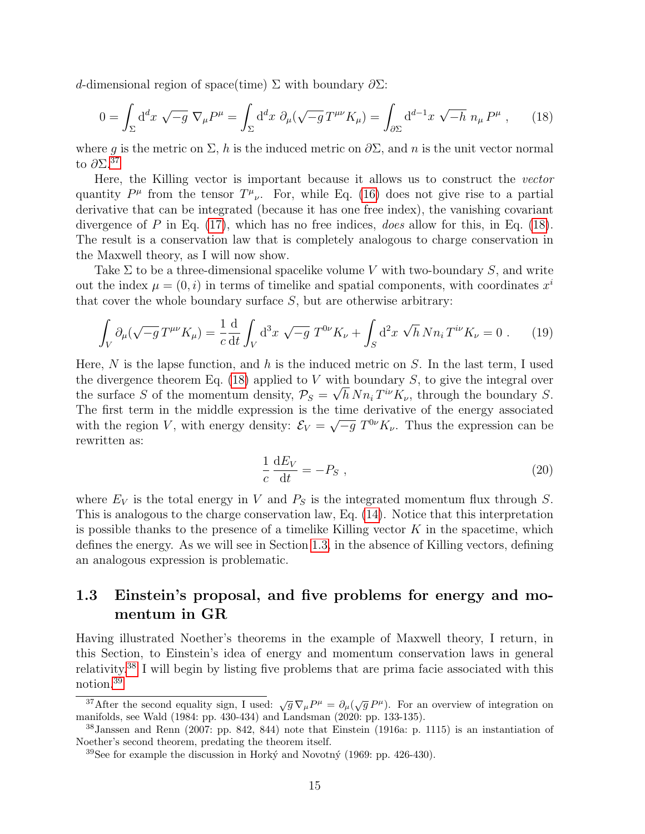d-dimensional region of space(time) Σ with boundary  $\partial \Sigma$ :

<span id="page-14-2"></span>
$$
0 = \int_{\Sigma} d^d x \sqrt{-g} \nabla_{\mu} P^{\mu} = \int_{\Sigma} d^d x \partial_{\mu} (\sqrt{-g} T^{\mu\nu} K_{\mu}) = \int_{\partial \Sigma} d^{d-1} x \sqrt{-h} n_{\mu} P^{\mu} , \qquad (18)
$$

where q is the metric on  $\Sigma$ , h is the induced metric on  $\partial \Sigma$ , and n is the unit vector normal to  $\partial\Sigma$ .<sup>[37](#page-14-1)</sup>

Here, the Killing vector is important because it allows us to construct the vector quantity  $P^{\mu}$  from the tensor  $T^{\mu}{}_{\nu}$ . For, while Eq. [\(16\)](#page-13-3) does not give rise to a partial derivative that can be integrated (because it has one free index), the vanishing covariant divergence of  $P$  in Eq. [\(17\)](#page-13-4), which has no free indices, *does* allow for this, in Eq. [\(18\)](#page-14-2). The result is a conservation law that is completely analogous to charge conservation in the Maxwell theory, as I will now show.

Take  $\Sigma$  to be a three-dimensional spacelike volume V with two-boundary S, and write out the index  $\mu = (0, i)$  in terms of timelike and spatial components, with coordinates  $x^i$ that cover the whole boundary surface  $S$ , but are otherwise arbitrary:

<span id="page-14-5"></span>
$$
\int_{V} \partial_{\mu} (\sqrt{-g} \, T^{\mu \nu} K_{\mu}) = \frac{1}{c} \frac{d}{dt} \int_{V} d^{3}x \, \sqrt{-g} \, T^{0\nu} K_{\nu} + \int_{S} d^{2}x \, \sqrt{h} \, N n_{i} \, T^{i\nu} K_{\nu} = 0 \ . \tag{19}
$$

Here, N is the lapse function, and h is the induced metric on S. In the last term, I used the divergence theorem Eq. [\(18\)](#page-14-2) applied to V with boundary S, to give the integral over the surface S of the momentum density,  $P_S = \sqrt{h} N n_i T^{i\nu} K_{\nu}$ , through the boundary S. The first term in the middle expression is the time derivative of the energy associated with the region V, with energy density:  $\mathcal{E}_V =$ time derivative of the energy associated  $\sqrt{-g} T^{0\nu} K_{\nu}$ . Thus the expression can be rewritten as:

<span id="page-14-6"></span>
$$
\frac{1}{c}\frac{\mathrm{d}E_V}{\mathrm{d}t} = -P_S \;, \tag{20}
$$

where  $E_V$  is the total energy in V and  $P_S$  is the integrated momentum flux through S. This is analogous to the charge conservation law, Eq. [\(14\)](#page-12-3). Notice that this interpretation is possible thanks to the presence of a timelike Killing vector  $K$  in the spacetime, which defines the energy. As we will see in Section [1.3,](#page-14-0) in the absence of Killing vectors, defining an analogous expression is problematic.

### <span id="page-14-0"></span>1.3 Einstein's proposal, and five problems for energy and momentum in GR

Having illustrated Noether's theorems in the example of Maxwell theory, I return, in this Section, to Einstein's idea of energy and momentum conservation laws in general relativity.[38](#page-14-3) I will begin by listing five problems that are prima facie associated with this notion.[39](#page-14-4)

<span id="page-14-1"></span><sup>&</sup>lt;sup>37</sup>After the second equality sign, I used:  $\sqrt{g}\nabla_{\mu}P^{\mu} = \partial_{\mu}(\sqrt{g}P^{\mu})$ . For an overview of integration on manifolds, see Wald (1984: pp. 430-434) and Landsman (2020: pp. 133-135).

<span id="page-14-3"></span> $38$ Janssen and Renn (2007: pp. 842, 844) note that Einstein (1916a: p. 1115) is an instantiation of Noether's second theorem, predating the theorem itself.

<span id="page-14-4"></span> $39$ See for example the discussion in Horký and Novotný (1969: pp. 426-430).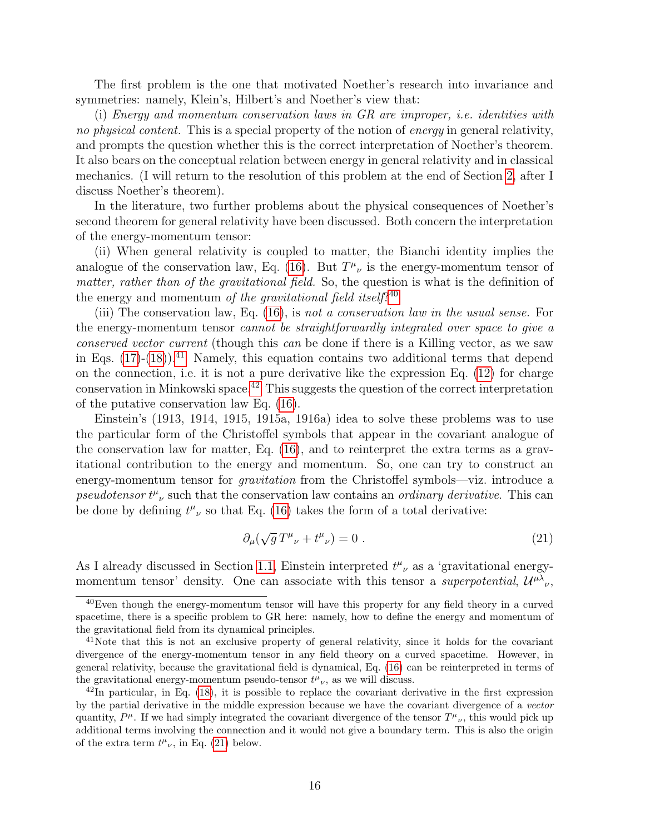The first problem is the one that motivated Noether's research into invariance and symmetries: namely, Klein's, Hilbert's and Noether's view that:

(i) Energy and momentum conservation laws in GR are improper, i.e. identities with no physical content. This is a special property of the notion of energy in general relativity, and prompts the question whether this is the correct interpretation of Noether's theorem. It also bears on the conceptual relation between energy in general relativity and in classical mechanics. (I will return to the resolution of this problem at the end of Section [2,](#page-18-0) after I discuss Noether's theorem).

In the literature, two further problems about the physical consequences of Noether's second theorem for general relativity have been discussed. Both concern the interpretation of the energy-momentum tensor:

(ii) When general relativity is coupled to matter, the Bianchi identity implies the analogue of the conservation law, Eq. [\(16\)](#page-13-3). But  $T^{\mu}{}_{\nu}$  is the energy-momentum tensor of matter, rather than of the gravitational field. So, the question is what is the definition of the energy and momentum of the gravitational field itself?<sup>[40](#page-15-1)</sup>

(iii) The conservation law, Eq. [\(16\)](#page-13-3), is not a conservation law in the usual sense. For the energy-momentum tensor cannot be straightforwardly integrated over space to give a conserved vector current (though this can be done if there is a Killing vector, as we saw in Eqs.  $(17)-(18)$  $(17)-(18)$ .<sup>[41](#page-15-2)</sup> Namely, this equation contains two additional terms that depend on the connection, i.e. it is not a pure derivative like the expression Eq. [\(12\)](#page-12-2) for charge conservation in Minkowski space.[42](#page-15-3) This suggests the question of the correct interpretation of the putative conservation law Eq. [\(16\)](#page-13-3).

Einstein's (1913, 1914, 1915, 1915a, 1916a) idea to solve these problems was to use the particular form of the Christoffel symbols that appear in the covariant analogue of the conservation law for matter, Eq. [\(16\)](#page-13-3), and to reinterpret the extra terms as a gravitational contribution to the energy and momentum. So, one can try to construct an energy-momentum tensor for *gravitation* from the Christoffel symbols—viz. introduce a pseudotensor  $t^{\mu}{}_{\nu}$  such that the conservation law contains an *ordinary derivative*. This can be done by defining  $t^{\mu}{}_{\nu}$  so that Eq. [\(16\)](#page-13-3) takes the form of a total derivative:

<span id="page-15-0"></span>
$$
\partial_{\mu}(\sqrt{g}T^{\mu}{}_{\nu} + t^{\mu}{}_{\nu}) = 0.
$$
 (21)

As I already discussed in Section [1.1,](#page-5-0) Einstein interpreted  $t^{\mu}{}_{\nu}$  as a 'gravitational energymomentum tensor' density. One can associate with this tensor a *superpotential*,  $\mathcal{U}^{\mu\lambda}{}_{\nu}$ ,

<span id="page-15-1"></span><sup>&</sup>lt;sup>40</sup>Even though the energy-momentum tensor will have this property for any field theory in a curved spacetime, there is a specific problem to GR here: namely, how to define the energy and momentum of the gravitational field from its dynamical principles.

<span id="page-15-2"></span><sup>&</sup>lt;sup>41</sup>Note that this is not an exclusive property of general relativity, since it holds for the covariant divergence of the energy-momentum tensor in any field theory on a curved spacetime. However, in general relativity, because the gravitational field is dynamical, Eq. [\(16\)](#page-13-3) can be reinterpreted in terms of the gravitational energy-momentum pseudo-tensor  $t^{\mu}{}_{\nu}$ , as we will discuss.

<span id="page-15-3"></span><sup>42</sup>In particular, in Eq. [\(18\)](#page-14-2), it is possible to replace the covariant derivative in the first expression by the partial derivative in the middle expression because we have the covariant divergence of a vector quantity,  $P^{\mu}$ . If we had simply integrated the covariant divergence of the tensor  $T^{\mu}{}_{\nu}$ , this would pick up additional terms involving the connection and it would not give a boundary term. This is also the origin of the extra term  $t^{\mu}{}_{\nu}$ , in Eq. [\(21\)](#page-15-0) below.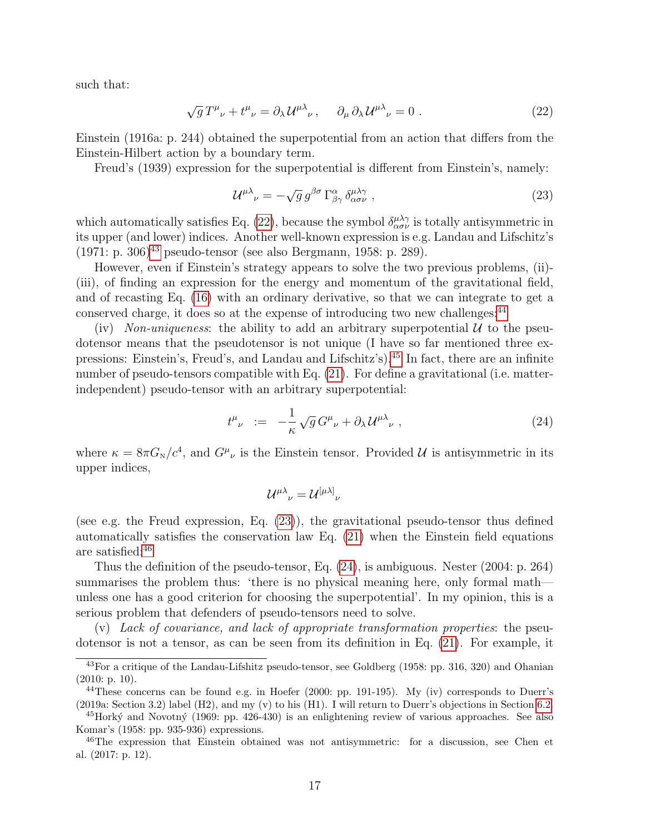such that:

<span id="page-16-0"></span>
$$
\sqrt{g}T^{\mu}{}_{\nu} + t^{\mu}{}_{\nu} = \partial_{\lambda}U^{\mu\lambda}{}_{\nu}, \quad \partial_{\mu}\partial_{\lambda}U^{\mu\lambda}{}_{\nu} = 0.
$$
 (22)

Einstein (1916a: p. 244) obtained the superpotential from an action that differs from the Einstein-Hilbert action by a boundary term.

Freud's (1939) expression for the superpotential is different from Einstein's, namely:

<span id="page-16-5"></span>
$$
\mathcal{U}^{\mu\lambda}{}_{\nu} = -\sqrt{g} \, g^{\beta\sigma} \, \Gamma^{\alpha}_{\beta\gamma} \, \delta^{\mu\lambda\gamma}_{\alpha\sigma\nu} \,, \tag{23}
$$

which automatically satisfies Eq. [\(22\)](#page-16-0), because the symbol  $\delta^{\mu\lambda\gamma}_{\alpha\sigma\nu}$  is totally antisymmetric in its upper (and lower) indices. Another well-known expression is e.g. Landau and Lifschitz's  $(1971: p. 306)^{43}$  $(1971: p. 306)^{43}$  $(1971: p. 306)^{43}$  pseudo-tensor (see also Bergmann, 1958: p. 289).

However, even if Einstein's strategy appears to solve the two previous problems, (ii)- (iii), of finding an expression for the energy and momentum of the gravitational field, and of recasting Eq. [\(16\)](#page-13-3) with an ordinary derivative, so that we can integrate to get a conserved charge, it does so at the expense of introducing two new challenges:<sup>[44](#page-16-3)</sup>

(iv) Non-uniqueness: the ability to add an arbitrary superpotential  $U$  to the pseudotensor means that the pseudotensor is not unique (I have so far mentioned three expressions: Einstein's, Freud's, and Landau and Lifschitz's).[45](#page-16-4) In fact, there are an infinite number of pseudo-tensors compatible with Eq. [\(21\)](#page-15-0). For define a gravitational (i.e. matterindependent) pseudo-tensor with an arbitrary superpotential:

<span id="page-16-1"></span>
$$
t^{\mu}_{\ \nu} \ := \ -\frac{1}{\kappa} \sqrt{g} \, G^{\mu}_{\ \nu} + \partial_{\lambda} \, \mathcal{U}^{\mu \lambda}_{\ \nu} \ , \tag{24}
$$

where  $\kappa = 8\pi G_{\rm N}/c^4$ , and  $G^{\mu}{}_{\nu}$  is the Einstein tensor. Provided U is antisymmetric in its upper indices,

$$
\mathcal{U}^{\mu\lambda}{}_{\nu}=\mathcal{U}^{\left[\mu\lambda\right]}{}_{\nu}
$$

(see e.g. the Freud expression, Eq. [\(23\)](#page-16-5)), the gravitational pseudo-tensor thus defined automatically satisfies the conservation law Eq. [\(21\)](#page-15-0) when the Einstein field equations are satisfied:[46](#page-16-6)

Thus the definition of the pseudo-tensor, Eq. [\(24\)](#page-16-1), is ambiguous. Nester (2004: p. 264) summarises the problem thus: 'there is no physical meaning here, only formal math unless one has a good criterion for choosing the superpotential'. In my opinion, this is a serious problem that defenders of pseudo-tensors need to solve.

(v) Lack of covariance, and lack of appropriate transformation properties: the pseudotensor is not a tensor, as can be seen from its definition in Eq. [\(21\)](#page-15-0). For example, it

<span id="page-16-2"></span><sup>43</sup>For a critique of the Landau-Lifshitz pseudo-tensor, see Goldberg (1958: pp. 316, 320) and Ohanian (2010: p. 10).

<span id="page-16-3"></span> $^{44}$ These concerns can be found e.g. in Hoefer (2000: pp. 191-195). My (iv) corresponds to Duerr's (2019a: Section 3.2) label (H2), and my (v) to his (H1). I will return to Duerr's objections in Section [6.2.](#page-45-0)

<span id="page-16-4"></span> $^{45}$ Horký and Novotný (1969: pp. 426-430) is an enlightening review of various approaches. See also Komar's (1958: pp. 935-936) expressions.

<span id="page-16-6"></span><sup>46</sup>The expression that Einstein obtained was not antisymmetric: for a discussion, see Chen et al. (2017: p. 12).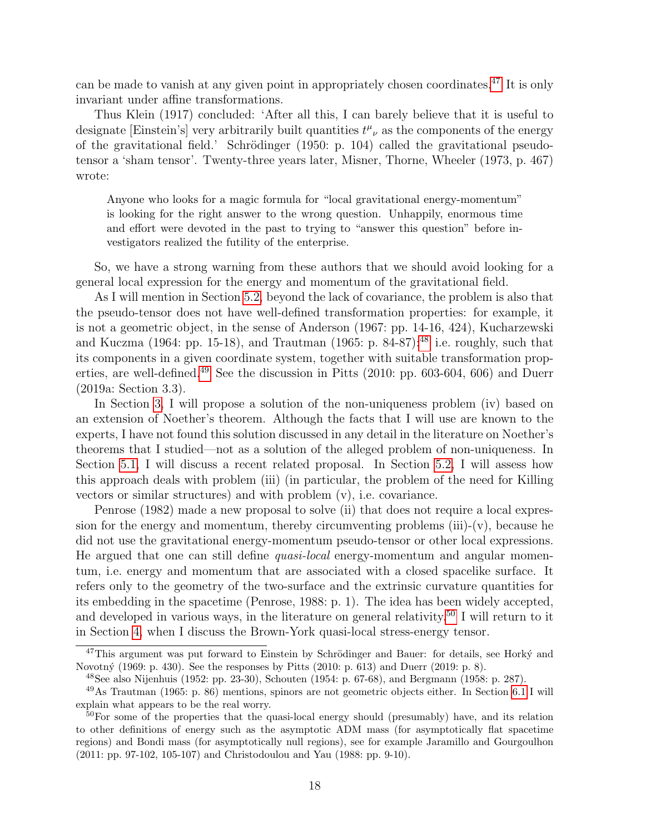can be made to vanish at any given point in appropriately chosen coordinates.[47](#page-17-0) It is only invariant under affine transformations.

Thus Klein (1917) concluded: 'After all this, I can barely believe that it is useful to designate [Einstein's] very arbitrarily built quantities  $t^{\mu}{}_{\nu}$  as the components of the energy of the gravitational field.' Schrödinger  $(1950: p. 104)$  called the gravitational pseudotensor a 'sham tensor'. Twenty-three years later, Misner, Thorne, Wheeler (1973, p. 467) wrote:

Anyone who looks for a magic formula for "local gravitational energy-momentum" is looking for the right answer to the wrong question. Unhappily, enormous time and effort were devoted in the past to trying to "answer this question" before investigators realized the futility of the enterprise.

So, we have a strong warning from these authors that we should avoid looking for a general local expression for the energy and momentum of the gravitational field.

As I will mention in Section [5.2,](#page-40-0) beyond the lack of covariance, the problem is also that the pseudo-tensor does not have well-defined transformation properties: for example, it is not a geometric object, in the sense of Anderson (1967: pp. 14-16, 424), Kucharzewski and Kuczma (1964: pp. 15-18), and Trautman (1965: p. 84-87): $48$  i.e. roughly, such that its components in a given coordinate system, together with suitable transformation prop-erties, are well-defined.<sup>[49](#page-17-2)</sup> See the discussion in Pitts (2010: pp. 603-604, 606) and Duerr (2019a: Section 3.3).

In Section [3,](#page-25-0) I will propose a solution of the non-uniqueness problem (iv) based on an extension of Noether's theorem. Although the facts that I will use are known to the experts, I have not found this solution discussed in any detail in the literature on Noether's theorems that I studied—not as a solution of the alleged problem of non-uniqueness. In Section [5.1,](#page-37-1) I will discuss a recent related proposal. In Section [5.2,](#page-40-0) I will assess how this approach deals with problem (iii) (in particular, the problem of the need for Killing vectors or similar structures) and with problem (v), i.e. covariance.

Penrose (1982) made a new proposal to solve (ii) that does not require a local expression for the energy and momentum, thereby circumventing problems  $(iii)-(v)$ , because he did not use the gravitational energy-momentum pseudo-tensor or other local expressions. He argued that one can still define quasi-local energy-momentum and angular momentum, i.e. energy and momentum that are associated with a closed spacelike surface. It refers only to the geometry of the two-surface and the extrinsic curvature quantities for its embedding in the spacetime (Penrose, 1988: p. 1). The idea has been widely accepted, and developed in various ways, in the literature on general relativity.<sup>[50](#page-17-3)</sup> I will return to it in Section [4,](#page-28-0) when I discuss the Brown-York quasi-local stress-energy tensor.

<span id="page-17-0"></span> $47$ This argument was put forward to Einstein by Schrödinger and Bauer: for details, see Horky and Novotný (1969: p. 430). See the responses by Pitts (2010: p. 613) and Duerr (2019: p. 8).

<span id="page-17-2"></span><span id="page-17-1"></span><sup>&</sup>lt;sup>48</sup>See also Nijenhuis (1952: pp. 23-30), Schouten (1954: p. 67-68), and Bergmann (1958: p. 287).

<sup>49</sup>As Trautman (1965: p. 86) mentions, spinors are not geometric objects either. In Section [6.1](#page-43-1) I will explain what appears to be the real worry.

<span id="page-17-3"></span><sup>&</sup>lt;sup>50</sup>For some of the properties that the quasi-local energy should (presumably) have, and its relation to other definitions of energy such as the asymptotic ADM mass (for asymptotically flat spacetime regions) and Bondi mass (for asymptotically null regions), see for example Jaramillo and Gourgoulhon (2011: pp. 97-102, 105-107) and Christodoulou and Yau (1988: pp. 9-10).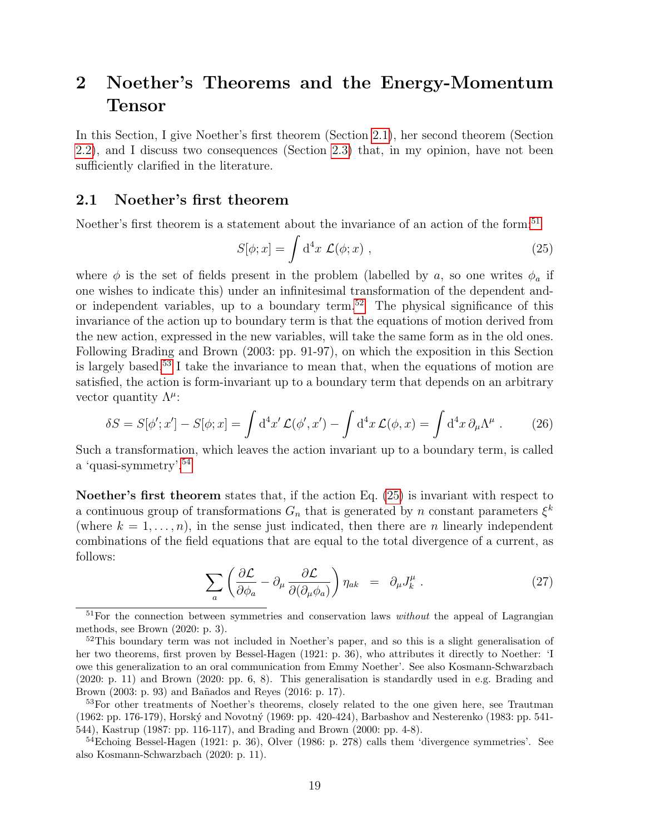# <span id="page-18-0"></span>2 Noether's Theorems and the Energy-Momentum Tensor

In this Section, I give Noether's first theorem (Section [2.1\)](#page-18-1), her second theorem (Section [2.2\)](#page-19-0), and I discuss two consequences (Section [2.3\)](#page-22-0) that, in my opinion, have not been sufficiently clarified in the literature.

#### <span id="page-18-1"></span>2.1 Noether's first theorem

Noether's first theorem is a statement about the invariance of an action of the form:<sup>[51](#page-18-2)</sup>

<span id="page-18-6"></span>
$$
S[\phi; x] = \int d^4x \ \mathcal{L}(\phi; x) \ , \tag{25}
$$

where  $\phi$  is the set of fields present in the problem (labelled by a, so one writes  $\phi_a$  if one wishes to indicate this) under an infinitesimal transformation of the dependent and-or independent variables, up to a boundary term.<sup>[52](#page-18-3)</sup> The physical significance of this invariance of the action up to boundary term is that the equations of motion derived from the new action, expressed in the new variables, will take the same form as in the old ones. Following Brading and Brown (2003: pp. 91-97), on which the exposition in this Section is largely based,<sup>[53](#page-18-4)</sup> I take the invariance to mean that, when the equations of motion are satisfied, the action is form-invariant up to a boundary term that depends on an arbitrary vector quantity  $\Lambda^{\mu}$ :

<span id="page-18-8"></span>
$$
\delta S = S[\phi'; x'] - S[\phi; x] = \int d^4 x' \mathcal{L}(\phi', x') - \int d^4 x \mathcal{L}(\phi, x) = \int d^4 x \, \partial_\mu \Lambda^\mu \,. \tag{26}
$$

Such a transformation, which leaves the action invariant up to a boundary term, is called a 'quasi-symmetry'.[54](#page-18-5)

Noether's first theorem states that, if the action Eq. [\(25\)](#page-18-6) is invariant with respect to a continuous group of transformations  $G_n$  that is generated by n constant parameters  $\xi^k$ (where  $k = 1, \ldots, n$ ), in the sense just indicated, then there are n linearly independent combinations of the field equations that are equal to the total divergence of a current, as follows:

<span id="page-18-7"></span>
$$
\sum_{a} \left( \frac{\partial \mathcal{L}}{\partial \phi_a} - \partial_{\mu} \frac{\partial \mathcal{L}}{\partial (\partial_{\mu} \phi_a)} \right) \eta_{ak} = \partial_{\mu} J^{\mu}_{k} . \tag{27}
$$

<span id="page-18-2"></span> $51$  For the connection between symmetries and conservation laws *without* the appeal of Lagrangian methods, see Brown (2020: p. 3).

<span id="page-18-3"></span> $52$ This boundary term was not included in Noether's paper, and so this is a slight generalisation of her two theorems, first proven by Bessel-Hagen (1921: p. 36), who attributes it directly to Noether: 'I owe this generalization to an oral communication from Emmy Noether'. See also Kosmann-Schwarzbach (2020: p. 11) and Brown (2020: pp. 6, 8). This generalisation is standardly used in e.g. Brading and Brown (2003: p. 93) and Bañados and Reyes (2016: p. 17).

<span id="page-18-4"></span><sup>&</sup>lt;sup>53</sup>For other treatments of Noether's theorems, closely related to the one given here, see Trautman (1962: pp. 176-179), Horský and Novotný (1969: pp. 420-424), Barbashov and Nesterenko (1983: pp. 541-544), Kastrup (1987: pp. 116-117), and Brading and Brown (2000: pp. 4-8).

<span id="page-18-5"></span> $54E$ choing Bessel-Hagen (1921: p. 36), Olver (1986: p. 278) calls them 'divergence symmetries'. See also Kosmann-Schwarzbach (2020: p. 11).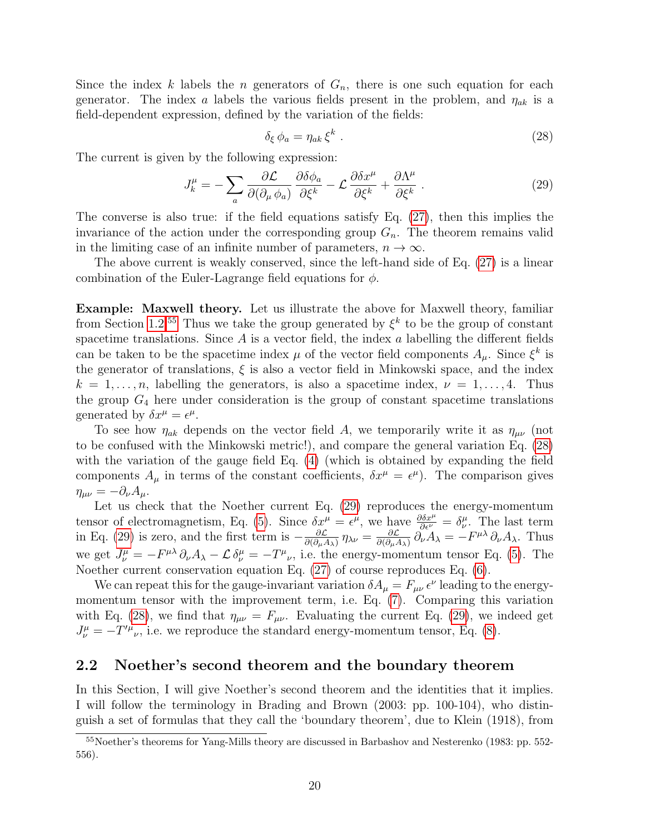Since the index k labels the n generators of  $G_n$ , there is one such equation for each generator. The index a labels the various fields present in the problem, and  $\eta_{ak}$  is a field-dependent expression, defined by the variation of the fields:

<span id="page-19-2"></span>
$$
\delta_{\xi} \phi_a = \eta_{ak} \, \xi^k \tag{28}
$$

The current is given by the following expression:

<span id="page-19-3"></span>
$$
J_k^{\mu} = -\sum_a \frac{\partial \mathcal{L}}{\partial(\partial_{\mu} \phi_a)} \frac{\partial \delta \phi_a}{\partial \xi^k} - \mathcal{L} \frac{\partial \delta x^{\mu}}{\partial \xi^k} + \frac{\partial \Lambda^{\mu}}{\partial \xi^k} . \tag{29}
$$

The converse is also true: if the field equations satisfy Eq. [\(27\)](#page-18-7), then this implies the invariance of the action under the corresponding group  $G_n$ . The theorem remains valid in the limiting case of an infinite number of parameters,  $n \to \infty$ .

The above current is weakly conserved, since the left-hand side of Eq. [\(27\)](#page-18-7) is a linear combination of the Euler-Lagrange field equations for  $\phi$ .

Example: Maxwell theory. Let us illustrate the above for Maxwell theory, familiar from Section [1.2.](#page-10-0)<sup>[55](#page-19-1)</sup> Thus we take the group generated by  $\xi^k$  to be the group of constant spacetime translations. Since  $A$  is a vector field, the index  $a$  labelling the different fields can be taken to be the spacetime index  $\mu$  of the vector field components  $A_{\mu}$ . Since  $\xi^{k}$  is the generator of translations,  $\xi$  is also a vector field in Minkowski space, and the index  $k = 1, \ldots, n$ , labelling the generators, is also a spacetime index,  $\nu = 1, \ldots, 4$ . Thus the group  $G_4$  here under consideration is the group of constant spacetime translations generated by  $\delta x^{\mu} = \epsilon^{\mu}$ .

To see how  $\eta_{ak}$  depends on the vector field A, we temporarily write it as  $\eta_{\mu\nu}$  (not to be confused with the Minkowski metric!), and compare the general variation Eq. [\(28\)](#page-19-2) with the variation of the gauge field Eq.  $(4)$  (which is obtained by expanding the field components  $A_{\mu}$  in terms of the constant coefficients,  $\delta x^{\mu} = \epsilon^{\mu}$ ). The comparison gives  $\eta_{\mu\nu} = -\partial_{\nu}A_{\mu}.$ 

Let us check that the Noether current Eq. [\(29\)](#page-19-3) reproduces the energy-momentum tensor of electromagnetism, Eq. [\(5\)](#page-10-4). Since  $\delta x^{\mu} = \epsilon^{\mu}$ , we have  $\frac{\partial \delta x^{\mu}}{\partial \epsilon^{\nu}} = \delta^{\mu}_{\nu}$ . The last term in Eq. [\(29\)](#page-19-3) is zero, and the first term is  $-\frac{\partial \mathcal{L}}{\partial (\partial x)}$  $\frac{\partial {\cal L}}{\partial (\partial_\mu A_\lambda)}\, \eta_{\lambda\nu} = \frac{\partial {\cal L}}{\partial (\partial_\mu A_\lambda)}$  $\frac{\partial \mathcal{L}}{\partial(\partial_{\mu}A_{\lambda})}\partial_{\nu}A_{\lambda} = -F^{\mu\lambda}\partial_{\nu}A_{\lambda}$ . Thus we get  $J^{\mu}_{\nu} = -F^{\mu\lambda}\partial_{\nu}A_{\lambda} - \mathcal{L}\delta^{\mu}_{\nu} = -T^{\mu}_{\nu}$ , i.e. the energy-momentum tensor Eq. [\(5\)](#page-10-4). The Noether current conservation equation Eq. [\(27\)](#page-18-7) of course reproduces Eq. [\(6\)](#page-10-6).

We can repeat this for the gauge-invariant variation  $\delta A_\mu = F_{\mu\nu} \epsilon^\nu$  leading to the energymomentum tensor with the improvement term, i.e. Eq. [\(7\)](#page-11-5). Comparing this variation with Eq. [\(28\)](#page-19-2), we find that  $\eta_{\mu\nu} = F_{\mu\nu}$ . Evaluating the current Eq. [\(29\)](#page-19-3), we indeed get  $J^{\mu}_{\nu} = -T'^{\mu}_{\nu}$ , i.e. we reproduce the standard energy-momentum tensor, Eq. [\(8\)](#page-11-6).

#### <span id="page-19-0"></span>2.2 Noether's second theorem and the boundary theorem

In this Section, I will give Noether's second theorem and the identities that it implies. I will follow the terminology in Brading and Brown (2003: pp. 100-104), who distinguish a set of formulas that they call the 'boundary theorem', due to Klein (1918), from

<span id="page-19-1"></span><sup>&</sup>lt;sup>55</sup>Noether's theorems for Yang-Mills theory are discussed in Barbashov and Nesterenko (1983: pp. 552-556).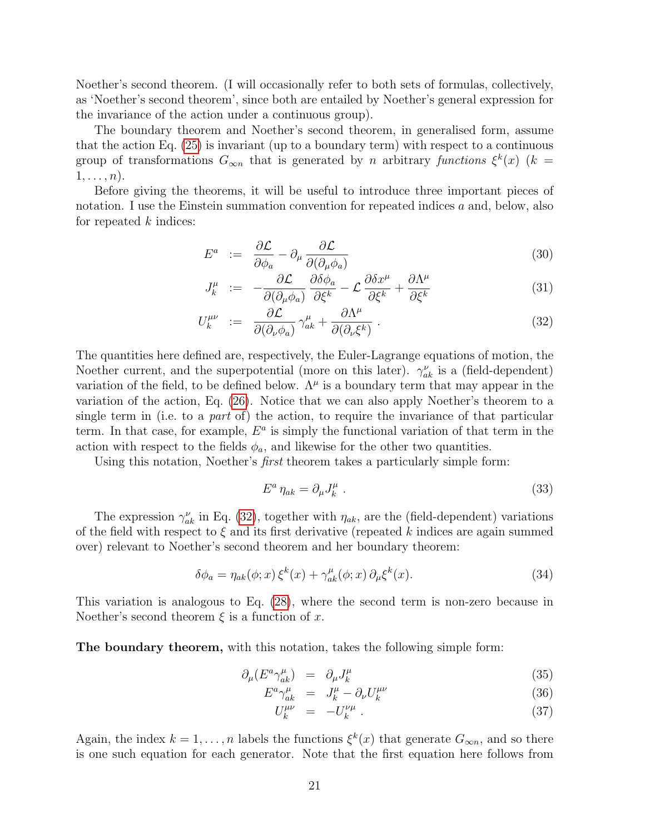Noether's second theorem. (I will occasionally refer to both sets of formulas, collectively, as 'Noether's second theorem', since both are entailed by Noether's general expression for the invariance of the action under a continuous group).

The boundary theorem and Noether's second theorem, in generalised form, assume that the action Eq. [\(25\)](#page-18-6) is invariant (up to a boundary term) with respect to a continuous group of transformations  $G_{\infty n}$  that is generated by n arbitrary functions  $\xi^k(x)$  (k =  $1, \ldots, n$ ).

Before giving the theorems, it will be useful to introduce three important pieces of notation. I use the Einstein summation convention for repeated indices a and, below, also for repeated  $k$  indices:

<span id="page-20-0"></span>
$$
E^a := \frac{\partial \mathcal{L}}{\partial \phi_a} - \partial_\mu \frac{\partial \mathcal{L}}{\partial (\partial_\mu \phi_a)} \tag{30}
$$

$$
J_k^{\mu} := -\frac{\partial \mathcal{L}}{\partial(\partial_{\mu}\phi_a)} \frac{\partial \delta \phi_a}{\partial \xi^k} - \mathcal{L} \frac{\partial \delta x^{\mu}}{\partial \xi^k} + \frac{\partial \Lambda^{\mu}}{\partial \xi^k}
$$
(31)

$$
U_k^{\mu\nu} \quad := \quad \frac{\partial \mathcal{L}}{\partial(\partial_\nu \phi_a)} \gamma_{ak}^\mu + \frac{\partial \Lambda^\mu}{\partial(\partial_\nu \xi^k)} \; . \tag{32}
$$

The quantities here defined are, respectively, the Euler-Lagrange equations of motion, the Noether current, and the superpotential (more on this later).  $\gamma_{ak}^{\nu}$  is a (field-dependent) variation of the field, to be defined below.  $\Lambda^{\mu}$  is a boundary term that may appear in the variation of the action, Eq. [\(26\)](#page-18-8). Notice that we can also apply Noether's theorem to a single term in (i.e. to a part of) the action, to require the invariance of that particular term. In that case, for example,  $E^a$  is simply the functional variation of that term in the action with respect to the fields  $\phi_a$ , and likewise for the other two quantities.

Using this notation, Noether's *first* theorem takes a particularly simple form:

<span id="page-20-2"></span>
$$
E^a \eta_{ak} = \partial_\mu J_k^\mu \tag{33}
$$

The expression  $\gamma_{ak}^{\nu}$  in Eq. [\(32\)](#page-20-0), together with  $\eta_{ak}$ , are the (field-dependent) variations of the field with respect to  $\xi$  and its first derivative (repeated k indices are again summed over) relevant to Noether's second theorem and her boundary theorem:

<span id="page-20-3"></span>
$$
\delta\phi_a = \eta_{ak}(\phi; x) \,\xi^k(x) + \gamma_{ak}^\mu(\phi; x) \,\partial_\mu\xi^k(x). \tag{34}
$$

This variation is analogous to Eq. [\(28\)](#page-19-2), where the second term is non-zero because in Noether's second theorem  $\xi$  is a function of x.

The boundary theorem, with this notation, takes the following simple form:

<span id="page-20-1"></span>
$$
\partial_{\mu} (E^a \gamma_{ak}^{\mu}) = \partial_{\mu} J_k^{\mu} \tag{35}
$$

$$
E^a \gamma_{ak}^\mu = J_k^\mu - \partial_\nu U_k^{\mu\nu} \tag{36}
$$

$$
U_k^{\mu\nu} = -U_k^{\nu\mu} \tag{37}
$$

Again, the index  $k = 1, ..., n$  labels the functions  $\xi^k(x)$  that generate  $G_{\infty n}$ , and so there is one such equation for each generator. Note that the first equation here follows from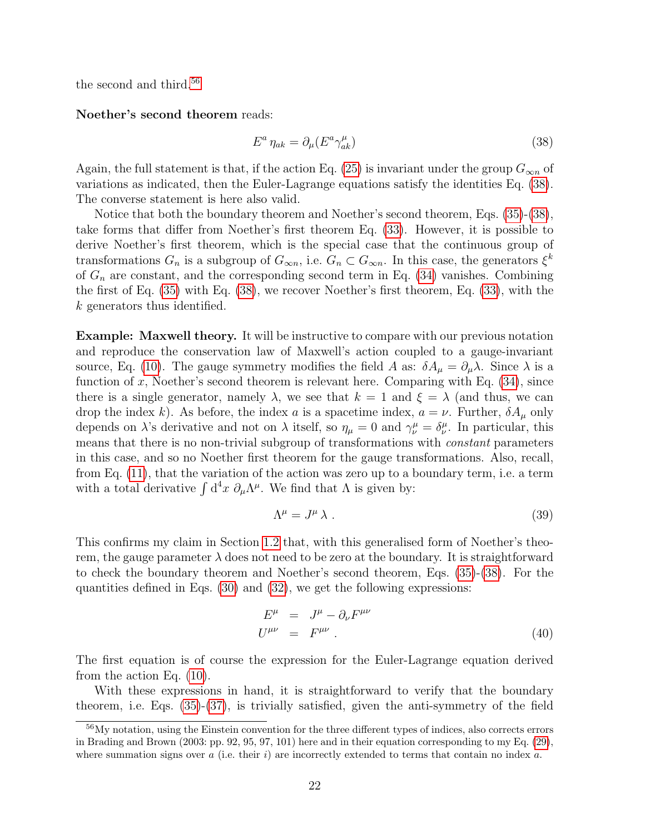the second and third.<sup>[56](#page-21-0)</sup>

Noether's second theorem reads:

<span id="page-21-1"></span>
$$
E^a \eta_{ak} = \partial_\mu (E^a \gamma_{ak}^\mu) \tag{38}
$$

Again, the full statement is that, if the action Eq. [\(25\)](#page-18-6) is invariant under the group  $G_{\infty n}$  of variations as indicated, then the Euler-Lagrange equations satisfy the identities Eq. [\(38\)](#page-21-1). The converse statement is here also valid.

Notice that both the boundary theorem and Noether's second theorem, Eqs. [\(35\)](#page-20-1)-[\(38\)](#page-21-1), take forms that differ from Noether's first theorem Eq. [\(33\)](#page-20-2). However, it is possible to derive Noether's first theorem, which is the special case that the continuous group of transformations  $G_n$  is a subgroup of  $G_{\infty n}$ , i.e.  $G_n \subset G_{\infty n}$ . In this case, the generators  $\xi^k$ of  $G_n$  are constant, and the corresponding second term in Eq. [\(34\)](#page-20-3) vanishes. Combining the first of Eq. [\(35\)](#page-20-1) with Eq. [\(38\)](#page-21-1), we recover Noether's first theorem, Eq. [\(33\)](#page-20-2), with the k generators thus identified.

Example: Maxwell theory. It will be instructive to compare with our previous notation and reproduce the conservation law of Maxwell's action coupled to a gauge-invariant source, Eq. [\(10\)](#page-11-3). The gauge symmetry modifies the field A as:  $\delta A_\mu = \partial_\mu \lambda$ . Since  $\lambda$  is a function of x, Noether's second theorem is relevant here. Comparing with Eq.  $(34)$ , since there is a single generator, namely  $\lambda$ , we see that  $k = 1$  and  $\xi = \lambda$  (and thus, we can drop the index k). As before, the index a is a spacetime index,  $a = \nu$ . Further,  $\delta A_{\mu}$  only depends on  $\lambda$ 's derivative and not on  $\lambda$  itself, so  $\eta_{\mu} = 0$  and  $\gamma_{\nu}^{\mu} = \delta_{\nu}^{\mu}$ . In particular, this means that there is no non-trivial subgroup of transformations with *constant* parameters in this case, and so no Noether first theorem for the gauge transformations. Also, recall, from Eq. [\(11\)](#page-11-7), that the variation of the action was zero up to a boundary term, i.e. a term with a total derivative  $\int d^4x \ \partial_\mu \Lambda^\mu$ . We find that  $\Lambda$  is given by:

$$
\Lambda^{\mu} = J^{\mu} \lambda . \tag{39}
$$

This confirms my claim in Section [1.2](#page-10-0) that, with this generalised form of Noether's theorem, the gauge parameter  $\lambda$  does not need to be zero at the boundary. It is straightforward to check the boundary theorem and Noether's second theorem, Eqs. [\(35\)](#page-20-1)-[\(38\)](#page-21-1). For the quantities defined in Eqs. [\(30\)](#page-20-0) and [\(32\)](#page-20-0), we get the following expressions:

$$
E^{\mu} = J^{\mu} - \partial_{\nu} F^{\mu\nu}
$$
  
\n
$$
U^{\mu\nu} = F^{\mu\nu}.
$$
\n(40)

The first equation is of course the expression for the Euler-Lagrange equation derived from the action Eq. [\(10\)](#page-11-3).

With these expressions in hand, it is straightforward to verify that the boundary theorem, i.e. Eqs.  $(35)-(37)$  $(35)-(37)$ , is trivially satisfied, given the anti-symmetry of the field

<span id="page-21-0"></span><sup>56</sup>My notation, using the Einstein convention for the three different types of indices, also corrects errors in Brading and Brown (2003: pp. 92, 95, 97, 101) here and in their equation corresponding to my Eq. [\(29\)](#page-19-3), where summation signs over  $a$  (i.e. their  $i$ ) are incorrectly extended to terms that contain no index  $a$ .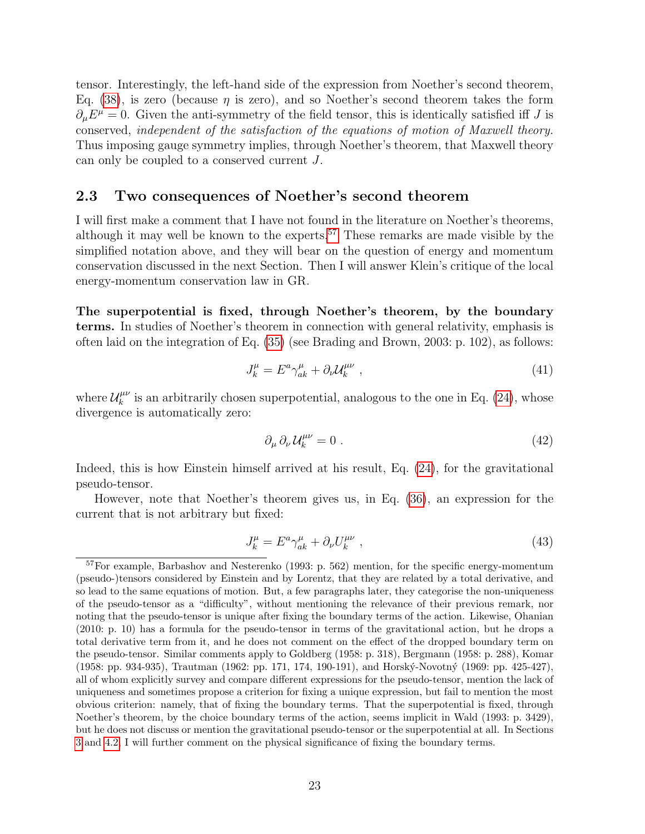tensor. Interestingly, the left-hand side of the expression from Noether's second theorem, Eq. [\(38\)](#page-21-1), is zero (because  $\eta$  is zero), and so Noether's second theorem takes the form  $\partial_{\mu}E^{\mu}=0.$  Given the anti-symmetry of the field tensor, this is identically satisfied iff J is conserved, independent of the satisfaction of the equations of motion of Maxwell theory. Thus imposing gauge symmetry implies, through Noether's theorem, that Maxwell theory can only be coupled to a conserved current J.

#### <span id="page-22-0"></span>2.3 Two consequences of Noether's second theorem

I will first make a comment that I have not found in the literature on Noether's theorems, although it may well be known to the experts.<sup>[57](#page-22-1)</sup> These remarks are made visible by the simplified notation above, and they will bear on the question of energy and momentum conservation discussed in the next Section. Then I will answer Klein's critique of the local energy-momentum conservation law in GR.

The superpotential is fixed, through Noether's theorem, by the boundary terms. In studies of Noether's theorem in connection with general relativity, emphasis is often laid on the integration of Eq. [\(35\)](#page-20-1) (see Brading and Brown, 2003: p. 102), as follows:

<span id="page-22-3"></span>
$$
J_k^{\mu} = E^a \gamma_{ak}^{\mu} + \partial_{\nu} \mathcal{U}_k^{\mu \nu} \tag{41}
$$

where  $\mathcal{U}_k^{\mu\nu}$  $\mu^{\mu\nu}$  is an arbitrarily chosen superpotential, analogous to the one in Eq. [\(24\)](#page-16-1), whose divergence is automatically zero:

<span id="page-22-2"></span>
$$
\partial_{\mu} \partial_{\nu} \mathcal{U}_{k}^{\mu \nu} = 0 \tag{42}
$$

Indeed, this is how Einstein himself arrived at his result, Eq. [\(24\)](#page-16-1), for the gravitational pseudo-tensor.

However, note that Noether's theorem gives us, in Eq. [\(36\)](#page-20-1), an expression for the current that is not arbitrary but fixed:

<span id="page-22-4"></span>
$$
J_k^{\mu} = E^a \gamma_{ak}^{\mu} + \partial_{\nu} U_k^{\mu \nu} \tag{43}
$$

<span id="page-22-1"></span><sup>57</sup>For example, Barbashov and Nesterenko (1993: p. 562) mention, for the specific energy-momentum (pseudo-)tensors considered by Einstein and by Lorentz, that they are related by a total derivative, and so lead to the same equations of motion. But, a few paragraphs later, they categorise the non-uniqueness of the pseudo-tensor as a "difficulty", without mentioning the relevance of their previous remark, nor noting that the pseudo-tensor is unique after fixing the boundary terms of the action. Likewise, Ohanian (2010: p. 10) has a formula for the pseudo-tensor in terms of the gravitational action, but he drops a total derivative term from it, and he does not comment on the effect of the dropped boundary term on the pseudo-tensor. Similar comments apply to Goldberg (1958: p. 318), Bergmann (1958: p. 288), Komar (1958: pp. 934-935), Trautman (1962: pp. 171, 174, 190-191), and Horský-Novotný (1969: pp. 425-427), all of whom explicitly survey and compare different expressions for the pseudo-tensor, mention the lack of uniqueness and sometimes propose a criterion for fixing a unique expression, but fail to mention the most obvious criterion: namely, that of fixing the boundary terms. That the superpotential is fixed, through Noether's theorem, by the choice boundary terms of the action, seems implicit in Wald (1993: p. 3429), but he does not discuss or mention the gravitational pseudo-tensor or the superpotential at all. In Sections [3](#page-25-0) and [4.2,](#page-30-0) I will further comment on the physical significance of fixing the boundary terms.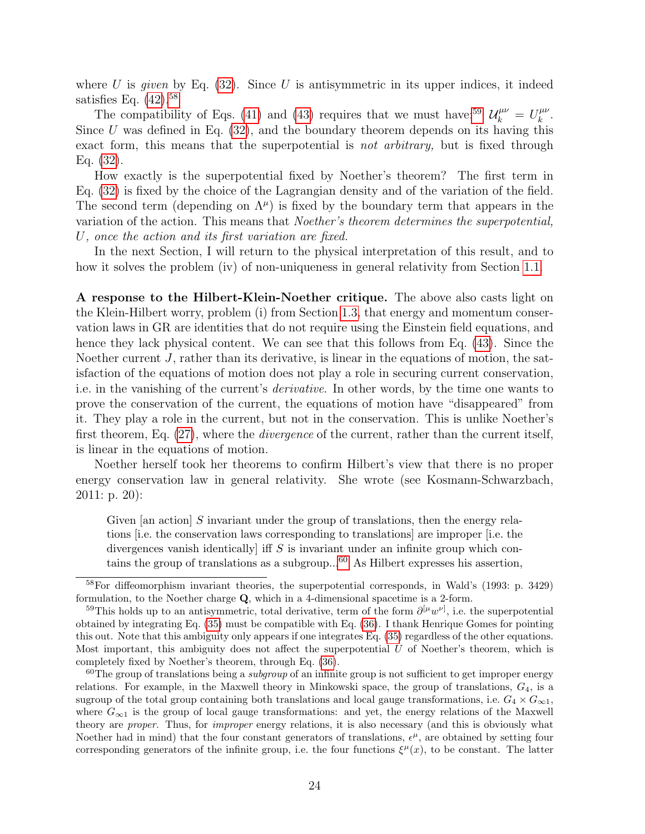where U is given by Eq.  $(32)$ . Since U is antisymmetric in its upper indices, it indeed satisfies Eq.  $(42).58$  $(42).58$ 

The compatibility of Eqs. [\(41\)](#page-22-3) and [\(43\)](#page-22-4) requires that we must have:<sup>[59](#page-23-1)</sup>  $\mathcal{U}_k^{\mu\nu} = U_k^{\mu\nu}$  $_k^{\mu\nu}$  . Since  $U$  was defined in Eq.  $(32)$ , and the boundary theorem depends on its having this exact form, this means that the superpotential is *not arbitrary*, but is fixed through Eq. [\(32\)](#page-20-0).

How exactly is the superpotential fixed by Noether's theorem? The first term in Eq. [\(32\)](#page-20-0) is fixed by the choice of the Lagrangian density and of the variation of the field. The second term (depending on  $\Lambda^{\mu}$ ) is fixed by the boundary term that appears in the variation of the action. This means that Noether's theorem determines the superpotential, U, once the action and its first variation are fixed.

In the next Section, I will return to the physical interpretation of this result, and to how it solves the problem (iv) of non-uniqueness in general relativity from Section [1.1.](#page-5-0)

A response to the Hilbert-Klein-Noether critique. The above also casts light on the Klein-Hilbert worry, problem (i) from Section [1.3,](#page-14-0) that energy and momentum conservation laws in GR are identities that do not require using the Einstein field equations, and hence they lack physical content. We can see that this follows from Eq. [\(43\)](#page-22-4). Since the Noether current J, rather than its derivative, is linear in the equations of motion, the satisfaction of the equations of motion does not play a role in securing current conservation, i.e. in the vanishing of the current's derivative. In other words, by the time one wants to prove the conservation of the current, the equations of motion have "disappeared" from it. They play a role in the current, but not in the conservation. This is unlike Noether's first theorem, Eq. [\(27\)](#page-18-7), where the *divergence* of the current, rather than the current itself, is linear in the equations of motion.

Noether herself took her theorems to confirm Hilbert's view that there is no proper energy conservation law in general relativity. She wrote (see Kosmann-Schwarzbach, 2011: p. 20):

Given [an action] S invariant under the group of translations, then the energy relations [i.e. the conservation laws corresponding to translations] are improper [i.e. the divergences vanish identically if  $S$  is invariant under an infinite group which contains the group of translations as a subgroup...[60](#page-23-2) As Hilbert expresses his assertion,

<span id="page-23-0"></span><sup>58</sup>For diffeomorphism invariant theories, the superpotential corresponds, in Wald's (1993: p. 3429) formulation, to the Noether charge Q, which in a 4-dimensional spacetime is a 2-form.

<span id="page-23-1"></span><sup>&</sup>lt;sup>59</sup>This holds up to an antisymmetric, total derivative, term of the form  $\partial^{[\mu}w^{\nu]}$ , i.e. the superpotential obtained by integrating Eq. [\(35\)](#page-20-1) must be compatible with Eq. [\(36\)](#page-20-1). I thank Henrique Gomes for pointing this out. Note that this ambiguity only appears if one integrates Eq. [\(35\)](#page-20-1) regardless of the other equations. Most important, this ambiguity does not affect the superpotential  $U$  of Noether's theorem, which is completely fixed by Noether's theorem, through Eq. [\(36\)](#page-20-1).

<span id="page-23-2"></span> $60$ The group of translations being a *subgroup* of an infinite group is not sufficient to get improper energy relations. For example, in the Maxwell theory in Minkowski space, the group of translations,  $G_4$ , is a sugroup of the total group containing both translations and local gauge transformations, i.e.  $G_4 \times G_{\infty 1}$ , where  $G_{\infty 1}$  is the group of local gauge transformations: and yet, the energy relations of the Maxwell theory are proper. Thus, for improper energy relations, it is also necessary (and this is obviously what Noether had in mind) that the four constant generators of translations,  $\epsilon^{\mu}$ , are obtained by setting four corresponding generators of the infinite group, i.e. the four functions  $\xi^{\mu}(x)$ , to be constant. The latter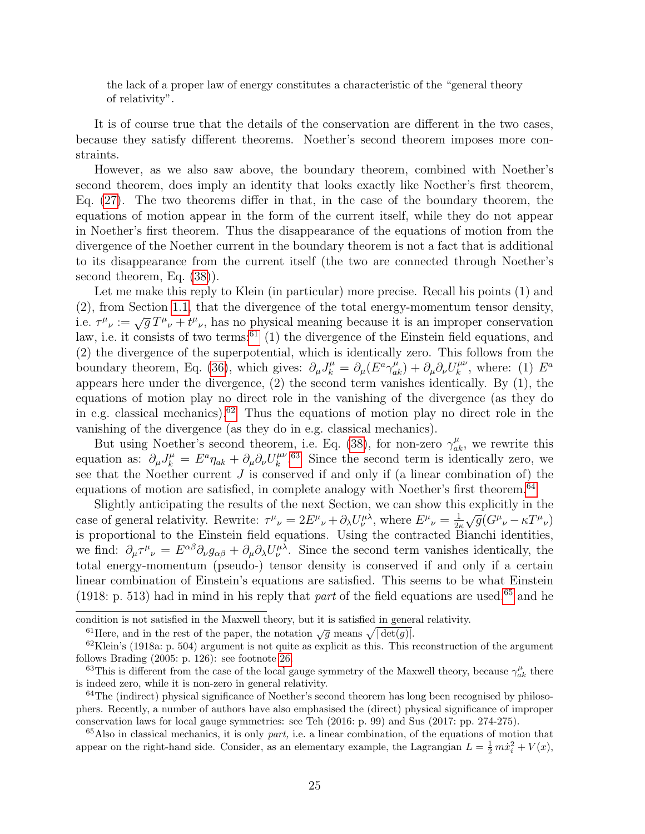the lack of a proper law of energy constitutes a characteristic of the "general theory of relativity".

It is of course true that the details of the conservation are different in the two cases, because they satisfy different theorems. Noether's second theorem imposes more constraints.

However, as we also saw above, the boundary theorem, combined with Noether's second theorem, does imply an identity that looks exactly like Noether's first theorem, Eq. [\(27\)](#page-18-7). The two theorems differ in that, in the case of the boundary theorem, the equations of motion appear in the form of the current itself, while they do not appear in Noether's first theorem. Thus the disappearance of the equations of motion from the divergence of the Noether current in the boundary theorem is not a fact that is additional to its disappearance from the current itself (the two are connected through Noether's second theorem, Eq. [\(38\)](#page-21-1)).

Let me make this reply to Klein (in particular) more precise. Recall his points (1) and (2), from Section [1.1,](#page-5-0) that the divergence of the total energy-momentum tensor density, i.e.  $\tau^{\mu}{}_{\nu} := \sqrt{g} T^{\mu}{}_{\nu} + t^{\mu}{}_{\nu}$ , has no physical meaning because it is an improper conservation law, i.e. it consists of two terms:<sup>[61](#page-24-0)</sup> (1) the divergence of the Einstein field equations, and (2) the divergence of the superpotential, which is identically zero. This follows from the boundary theorem, Eq. [\(36\)](#page-20-1), which gives:  $\partial_{\mu}J_{k}^{\mu} = \partial_{\mu}(E^{a}\gamma_{ak}^{\mu}) + \partial_{\mu}\partial_{\nu}U_{k}^{\mu\nu}$  $\int_k^{\mu\nu}$ , where: (1)  $E^a$ appears here under the divergence, (2) the second term vanishes identically. By (1), the equations of motion play no direct role in the vanishing of the divergence (as they do in e.g. classical mechanics).<sup>[62](#page-24-1)</sup> Thus the equations of motion play no direct role in the vanishing of the divergence (as they do in e.g. classical mechanics).

But using Noether's second theorem, i.e. Eq. [\(38\)](#page-21-1), for non-zero  $\gamma_{ak}^{\mu}$ , we rewrite this equation as:  $\partial_{\mu}J_{k}^{\mu} = E^{a}\eta_{ak} + \partial_{\mu}\partial_{\nu}U_{k}^{\mu\nu}$  $k^{\mu\nu}$ .<sup>[63](#page-24-2)</sup> Since the second term is identically zero, we see that the Noether current  $J$  is conserved if and only if (a linear combination of) the equations of motion are satisfied, in complete analogy with Noether's first theorem.<sup>[64](#page-24-3)</sup>

Slightly anticipating the results of the next Section, we can show this explicitly in the case of general relativity. Rewrite:  $\tau^{\mu}{}_{\nu} = 2E^{\mu}{}_{\nu} + \partial_{\lambda}U^{\mu\lambda}_{\nu}$ , where  $E^{\mu}{}_{\nu} = \frac{1}{2\nu}$  $\frac{1}{2\kappa}\sqrt{g}(G^{\mu}{}_{\nu}-\kappa T^{\mu}{}_{\nu})$ is proportional to the Einstein field equations. Using the contracted Bianchi identities, we find:  $\partial_\mu \tau^\mu{}_\nu = E^{\alpha\beta} \partial_\nu g_{\alpha\beta} + \partial_\mu \partial_\lambda U^{\mu\lambda}_\nu$ . Since the second term vanishes identically, the total energy-momentum (pseudo-) tensor density is conserved if and only if a certain linear combination of Einstein's equations are satisfied. This seems to be what Einstein (1918: p. 513) had in mind in his reply that part of the field equations are used,<sup>[65](#page-24-4)</sup> and he

condition is not satisfied in the Maxwell theory, but it is satisfied in general relativity.

<span id="page-24-1"></span><span id="page-24-0"></span><sup>61</sup> Here, and in the rest of the paper, the notation  $\sqrt{g}$  means  $\sqrt{|\det(g)|}$ .

 $62$ Klein's (1918a: p. 504) argument is not quite as explicit as this. This reconstruction of the argument follows Brading (2005: p. 126): see footnote [26.](#page-9-0)

<span id="page-24-2"></span><sup>&</sup>lt;sup>63</sup>This is different from the case of the local gauge symmetry of the Maxwell theory, because  $\gamma_{ak}^{\mu}$  there is indeed zero, while it is non-zero in general relativity.

<span id="page-24-3"></span> $64$ The (indirect) physical significance of Noether's second theorem has long been recognised by philosophers. Recently, a number of authors have also emphasised the (direct) physical significance of improper conservation laws for local gauge symmetries: see Teh (2016: p. 99) and Sus (2017: pp. 274-275).

<span id="page-24-4"></span> $65$ Also in classical mechanics, it is only part, i.e. a linear combination, of the equations of motion that appear on the right-hand side. Consider, as an elementary example, the Lagrangian  $L = \frac{1}{2} m \dot{x}_i^2 + V(x)$ ,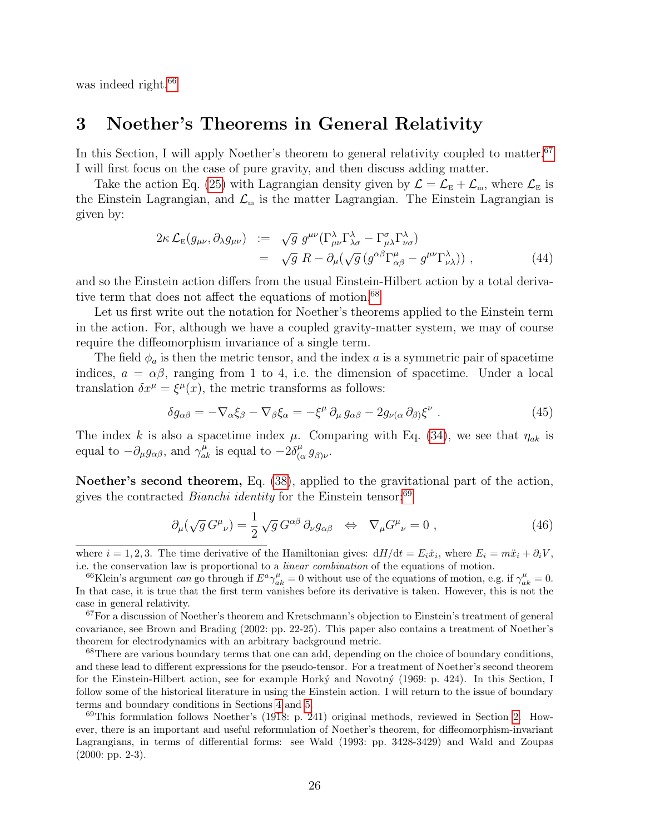was indeed right.<sup>[66](#page-25-1)</sup>

### <span id="page-25-0"></span>3 Noether's Theorems in General Relativity

In this Section, I will apply Noether's theorem to general relativity coupled to matter.<sup>[67](#page-25-2)</sup> I will first focus on the case of pure gravity, and then discuss adding matter.

Take the action Eq. [\(25\)](#page-18-6) with Lagrangian density given by  $\mathcal{L} = \mathcal{L}_{E} + \mathcal{L}_{m}$ , where  $\mathcal{L}_{E}$  is the Einstein Lagrangian, and  $\mathcal{L}_{m}$  is the matter Lagrangian. The Einstein Lagrangian is given by:

<span id="page-25-6"></span>
$$
2\kappa \mathcal{L}_{E}(g_{\mu\nu}, \partial_{\lambda}g_{\mu\nu}) := \sqrt{g} g^{\mu\nu} (\Gamma^{\lambda}_{\mu\nu} \Gamma^{\lambda}_{\lambda\sigma} - \Gamma^{\sigma}_{\mu\lambda} \Gamma^{\lambda}_{\nu\sigma})
$$
  
=  $\sqrt{g} R - \partial_{\mu} (\sqrt{g} (g^{\alpha\beta} \Gamma^{\mu}_{\alpha\beta} - g^{\mu\nu} \Gamma^{\lambda}_{\nu\lambda}))$ , (44)

and so the Einstein action differs from the usual Einstein-Hilbert action by a total deriva-tive term that does not affect the equations of motion.<sup>[68](#page-25-3)</sup>

Let us first write out the notation for Noether's theorems applied to the Einstein term in the action. For, although we have a coupled gravity-matter system, we may of course require the diffeomorphism invariance of a single term.

The field  $\phi_a$  is then the metric tensor, and the index a is a symmetric pair of spacetime indices,  $a = \alpha \beta$ , ranging from 1 to 4, i.e. the dimension of spacetime. Under a local translation  $\delta x^{\mu} = \xi^{\mu}(x)$ , the metric transforms as follows:

$$
\delta g_{\alpha\beta} = -\nabla_{\alpha}\xi_{\beta} - \nabla_{\beta}\xi_{\alpha} = -\xi^{\mu}\partial_{\mu}g_{\alpha\beta} - 2g_{\nu(\alpha}\partial_{\beta)}\xi^{\nu} . \tag{45}
$$

The index k is also a spacetime index  $\mu$ . Comparing with Eq. [\(34\)](#page-20-3), we see that  $\eta_{ak}$  is equal to  $-\partial_{\mu}g_{\alpha\beta}$ , and  $\gamma_{ak}^{\mu}$  is equal to  $-2\delta_{(c)}^{\mu}$  $^{\mu}_{(\alpha}g_{\beta)\nu}$ .

Noether's second theorem, Eq. [\(38\)](#page-21-1), applied to the gravitational part of the action, gives the contracted *Bianchi identity* for the Einstein tensor:<sup>[69](#page-25-4)</sup>

<span id="page-25-5"></span>
$$
\partial_{\mu}(\sqrt{g}G^{\mu}{}_{\nu}) = \frac{1}{2}\sqrt{g}G^{\alpha\beta}\partial_{\nu}g_{\alpha\beta} \iff \nabla_{\mu}G^{\mu}{}_{\nu} = 0 , \qquad (46)
$$

<span id="page-25-3"></span><sup>68</sup>There are various boundary terms that one can add, depending on the choice of boundary conditions, and these lead to different expressions for the pseudo-tensor. For a treatment of Noether's second theorem for the Einstein-Hilbert action, see for example Horký and Novotný (1969: p. 424). In this Section, I follow some of the historical literature in using the Einstein action. I will return to the issue of boundary terms and boundary conditions in Sections [4](#page-28-0) and [5.](#page-37-0)

<span id="page-25-4"></span><sup>69</sup>This formulation follows Noether's (1918: p. 241) original methods, reviewed in Section [2.](#page-18-0) However, there is an important and useful reformulation of Noether's theorem, for diffeomorphism-invariant Lagrangians, in terms of differential forms: see Wald (1993: pp. 3428-3429) and Wald and Zoupas  $(2000: pp. 2-3).$ 

where  $i = 1, 2, 3$ . The time derivative of the Hamiltonian gives:  $dH/dt = E_i \dot{x}_i$ , where  $E_i = m\ddot{x}_i + \partial_i V$ , i.e. the conservation law is proportional to a linear combination of the equations of motion.

<span id="page-25-1"></span><sup>&</sup>lt;sup>66</sup>Klein's argument *can* go through if  $E^a \gamma_{ak}^{\mu} = 0$  without use of the equations of motion, e.g. if  $\gamma_{ak}^{\mu} = 0$ . In that case, it is true that the first term vanishes before its derivative is taken. However, this is not the case in general relativity.

<span id="page-25-2"></span><sup>67</sup>For a discussion of Noether's theorem and Kretschmann's objection to Einstein's treatment of general covariance, see Brown and Brading (2002: pp. 22-25). This paper also contains a treatment of Noether's theorem for electrodynamics with an arbitrary background metric.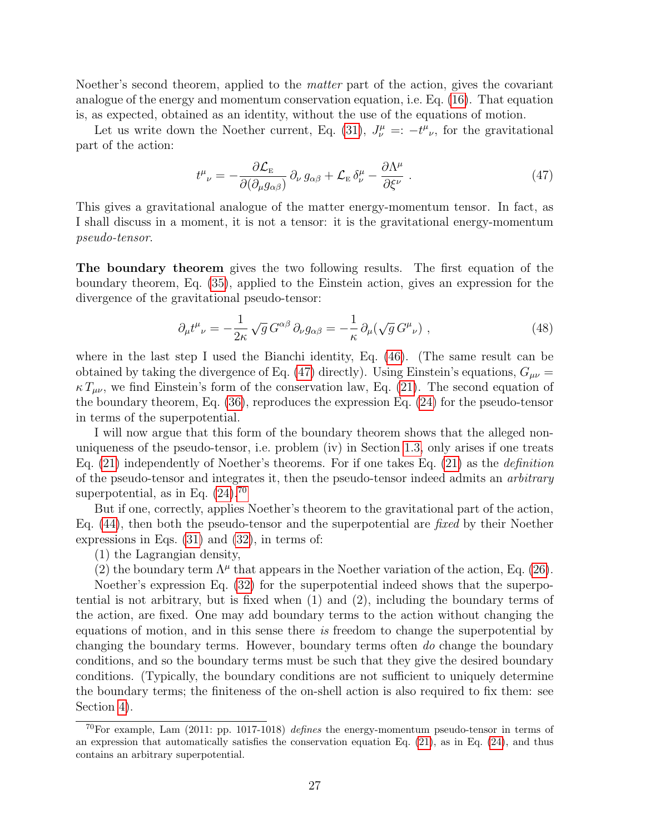Noether's second theorem, applied to the matter part of the action, gives the covariant analogue of the energy and momentum conservation equation, i.e. Eq. [\(16\)](#page-13-3). That equation is, as expected, obtained as an identity, without the use of the equations of motion.

Let us write down the Noether current, Eq. [\(31\)](#page-20-0),  $J^{\mu}_{\nu} =: -t^{\mu}_{\nu}$ , for the gravitational part of the action:

<span id="page-26-0"></span>
$$
t^{\mu}_{\ \nu} = -\frac{\partial \mathcal{L}_{\scriptscriptstyle{\text{E}}}}{\partial(\partial_{\mu}g_{\alpha\beta})} \partial_{\nu}g_{\alpha\beta} + \mathcal{L}_{\scriptscriptstyle{\text{E}}}\,\delta^{\mu}_{\nu} - \frac{\partial \Lambda^{\mu}}{\partial \xi^{\nu}} \,. \tag{47}
$$

This gives a gravitational analogue of the matter energy-momentum tensor. In fact, as I shall discuss in a moment, it is not a tensor: it is the gravitational energy-momentum pseudo-tensor.

The boundary theorem gives the two following results. The first equation of the boundary theorem, Eq. [\(35\)](#page-20-1), applied to the Einstein action, gives an expression for the divergence of the gravitational pseudo-tensor:

$$
\partial_{\mu}t^{\mu}{}_{\nu} = -\frac{1}{2\kappa}\sqrt{g} \, G^{\alpha\beta} \, \partial_{\nu}g_{\alpha\beta} = -\frac{1}{\kappa}\partial_{\mu}(\sqrt{g} \, G^{\mu}{}_{\nu}) \;, \tag{48}
$$

where in the last step I used the Bianchi identity, Eq. [\(46\)](#page-25-5). (The same result can be obtained by taking the divergence of Eq. [\(47\)](#page-26-0) directly). Using Einstein's equations,  $G_{\mu\nu} =$  $\kappa T_{\mu\nu}$ , we find Einstein's form of the conservation law, Eq. [\(21\)](#page-15-0). The second equation of the boundary theorem, Eq. [\(36\)](#page-20-1), reproduces the expression Eq. [\(24\)](#page-16-1) for the pseudo-tensor in terms of the superpotential.

I will now argue that this form of the boundary theorem shows that the alleged nonuniqueness of the pseudo-tensor, i.e. problem (iv) in Section [1.3,](#page-14-0) only arises if one treats Eq.  $(21)$  independently of Noether's theorems. For if one takes Eq.  $(21)$  as the *definition* of the pseudo-tensor and integrates it, then the pseudo-tensor indeed admits an arbitrary superpotential, as in Eq.  $(24).^{70}$  $(24).^{70}$  $(24).^{70}$ 

But if one, correctly, applies Noether's theorem to the gravitational part of the action, Eq. [\(44\)](#page-25-6), then both the pseudo-tensor and the superpotential are fixed by their Noether expressions in Eqs. [\(31\)](#page-20-0) and [\(32\)](#page-20-0), in terms of:

(1) the Lagrangian density,

(2) the boundary term  $\Lambda^{\mu}$  that appears in the Noether variation of the action, Eq. [\(26\)](#page-18-8).

Noether's expression Eq. [\(32\)](#page-20-0) for the superpotential indeed shows that the superpotential is not arbitrary, but is fixed when (1) and (2), including the boundary terms of the action, are fixed. One may add boundary terms to the action without changing the equations of motion, and in this sense there is freedom to change the superpotential by changing the boundary terms. However, boundary terms often do change the boundary conditions, and so the boundary terms must be such that they give the desired boundary conditions. (Typically, the boundary conditions are not sufficient to uniquely determine the boundary terms; the finiteness of the on-shell action is also required to fix them: see Section [4\)](#page-28-0).

<span id="page-26-1"></span><sup>&</sup>lt;sup>70</sup>For example, Lam  $(2011: pp. 1017-1018)$  defines the energy-momentum pseudo-tensor in terms of an expression that automatically satisfies the conservation equation Eq.  $(21)$ , as in Eq.  $(24)$ , and thus contains an arbitrary superpotential.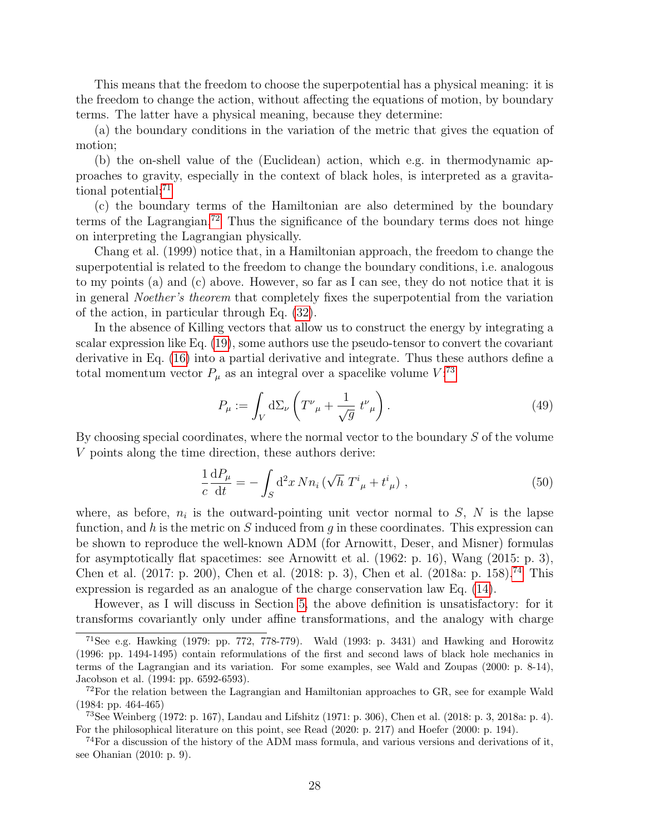This means that the freedom to choose the superpotential has a physical meaning: it is the freedom to change the action, without affecting the equations of motion, by boundary terms. The latter have a physical meaning, because they determine:

(a) the boundary conditions in the variation of the metric that gives the equation of motion;

(b) the on-shell value of the (Euclidean) action, which e.g. in thermodynamic approaches to gravity, especially in the context of black holes, is interpreted as a gravita-tional potential;<sup>[71](#page-27-0)</sup>

(c) the boundary terms of the Hamiltonian are also determined by the boundary terms of the Lagrangian.<sup>[72](#page-27-1)</sup> Thus the significance of the boundary terms does not hinge on interpreting the Lagrangian physically.

Chang et al. (1999) notice that, in a Hamiltonian approach, the freedom to change the superpotential is related to the freedom to change the boundary conditions, i.e. analogous to my points (a) and (c) above. However, so far as I can see, they do not notice that it is in general Noether's theorem that completely fixes the superpotential from the variation of the action, in particular through Eq. [\(32\)](#page-20-0).

In the absence of Killing vectors that allow us to construct the energy by integrating a scalar expression like Eq. [\(19\)](#page-14-5), some authors use the pseudo-tensor to convert the covariant derivative in Eq. [\(16\)](#page-13-3) into a partial derivative and integrate. Thus these authors define a total momentum vector  $P_{\mu}$  as an integral over a spacelike volume  $V$ :<sup>[73](#page-27-2)</sup>

$$
P_{\mu} := \int_{V} d\Sigma_{\nu} \left( T^{\nu}{}_{\mu} + \frac{1}{\sqrt{g}} t^{\nu}{}_{\mu} \right). \tag{49}
$$

By choosing special coordinates, where the normal vector to the boundary S of the volume V points along the time direction, these authors derive:

<span id="page-27-4"></span>
$$
\frac{1}{c}\frac{dP_{\mu}}{dt} = -\int_{S} d^{2}x \, N n_{i} \left(\sqrt{h} \, T^{i}_{\ \mu} + t^{i}_{\ \mu}\right) \,, \tag{50}
$$

where, as before,  $n_i$  is the outward-pointing unit vector normal to  $S$ ,  $N$  is the lapse function, and h is the metric on S induced from q in these coordinates. This expression can be shown to reproduce the well-known ADM (for Arnowitt, Deser, and Misner) formulas for asymptotically flat spacetimes: see Arnowitt et al. (1962: p. 16), Wang (2015: p. 3), Chen et al. (2017: p. 200), Chen et al. (2018: p. 3), Chen et al. (2018a: p. 158).[74](#page-27-3) This expression is regarded as an analogue of the charge conservation law Eq. [\(14\)](#page-12-3).

However, as I will discuss in Section [5,](#page-37-0) the above definition is unsatisfactory: for it transforms covariantly only under affine transformations, and the analogy with charge

<span id="page-27-0"></span><sup>&</sup>lt;sup>71</sup>See e.g. Hawking (1979: pp. 772, 778-779). Wald (1993: p. 3431) and Hawking and Horowitz (1996: pp. 1494-1495) contain reformulations of the first and second laws of black hole mechanics in terms of the Lagrangian and its variation. For some examples, see Wald and Zoupas (2000: p. 8-14), Jacobson et al. (1994: pp. 6592-6593).

<span id="page-27-1"></span> $^{72}$ For the relation between the Lagrangian and Hamiltonian approaches to GR, see for example Wald (1984: pp. 464-465)

<span id="page-27-2"></span><sup>73</sup>See Weinberg (1972: p. 167), Landau and Lifshitz (1971: p. 306), Chen et al. (2018: p. 3, 2018a: p. 4). For the philosophical literature on this point, see Read (2020: p. 217) and Hoefer (2000: p. 194).

<span id="page-27-3"></span> $^{74}$ For a discussion of the history of the ADM mass formula, and various versions and derivations of it, see Ohanian (2010: p. 9).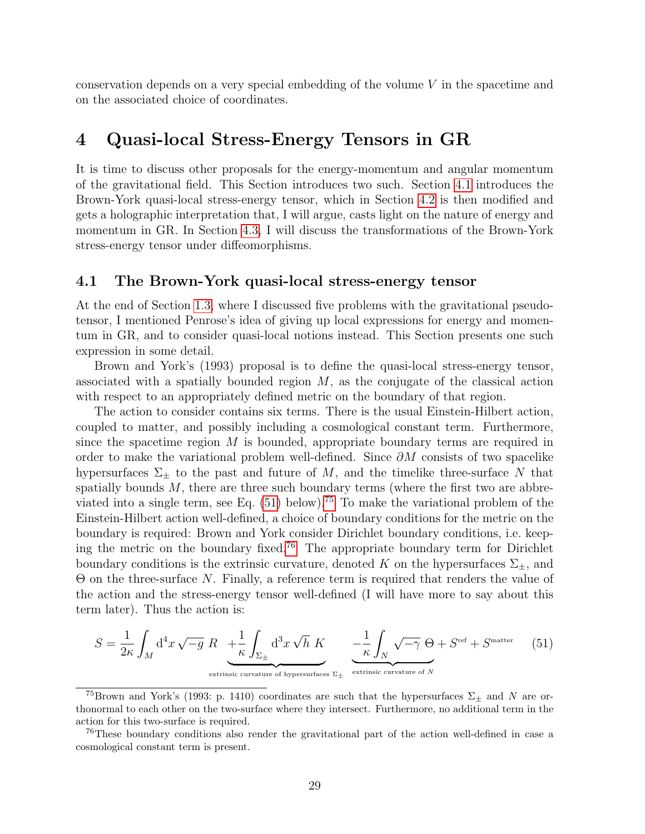conservation depends on a very special embedding of the volume V in the spacetime and on the associated choice of coordinates.

### <span id="page-28-0"></span>4 Quasi-local Stress-Energy Tensors in GR

It is time to discuss other proposals for the energy-momentum and angular momentum of the gravitational field. This Section introduces two such. Section [4.1](#page-28-1) introduces the Brown-York quasi-local stress-energy tensor, which in Section [4.2](#page-30-0) is then modified and gets a holographic interpretation that, I will argue, casts light on the nature of energy and momentum in GR. In Section [4.3,](#page-33-0) I will discuss the transformations of the Brown-York stress-energy tensor under diffeomorphisms.

#### <span id="page-28-1"></span>4.1 The Brown-York quasi-local stress-energy tensor

At the end of Section [1.3,](#page-14-0) where I discussed five problems with the gravitational pseudotensor, I mentioned Penrose's idea of giving up local expressions for energy and momentum in GR, and to consider quasi-local notions instead. This Section presents one such expression in some detail.

Brown and York's (1993) proposal is to define the quasi-local stress-energy tensor, associated with a spatially bounded region  $M$ , as the conjugate of the classical action with respect to an appropriately defined metric on the boundary of that region.

The action to consider contains six terms. There is the usual Einstein-Hilbert action, coupled to matter, and possibly including a cosmological constant term. Furthermore, since the spacetime region  $M$  is bounded, appropriate boundary terms are required in order to make the variational problem well-defined. Since  $\partial M$  consists of two spacelike hypersurfaces  $\Sigma_{\pm}$  to the past and future of M, and the timelike three-surface N that spatially bounds  $M$ , there are three such boundary terms (where the first two are abbreviated into a single term, see Eq.  $(51)$  below).<sup>[75](#page-28-3)</sup> To make the variational problem of the Einstein-Hilbert action well-defined, a choice of boundary conditions for the metric on the boundary is required: Brown and York consider Dirichlet boundary conditions, i.e. keeping the metric on the boundary fixed.[76](#page-28-4) The appropriate boundary term for Dirichlet boundary conditions is the extrinsic curvature, denoted K on the hypersurfaces  $\Sigma_{+}$ , and Θ on the three-surface N. Finally, a reference term is required that renders the value of the action and the stress-energy tensor well-defined (I will have more to say about this term later). Thus the action is:

<span id="page-28-2"></span>
$$
S = \frac{1}{2\kappa} \int_M d^4x \sqrt{-g} \ R \underbrace{+ \frac{1}{\kappa} \int_{\Sigma_{\pm}} d^3x \sqrt{h} \ K}_{\text{extinsic curvature of hypersurfaces } \Sigma_{\pm}} \underbrace{- \frac{1}{\kappa} \int_N \sqrt{-\gamma} \ \Theta + S^{\text{ref}} + S^{\text{matter}}}_{\text{extrinsic curvature of } N} \tag{51}
$$

<span id="page-28-3"></span><sup>&</sup>lt;sup>75</sup>Brown and York's (1993: p. 1410) coordinates are such that the hypersurfaces  $\Sigma_{\pm}$  and N are orthonormal to each other on the two-surface where they intersect. Furthermore, no additional term in the action for this two-surface is required.

<span id="page-28-4"></span><sup>&</sup>lt;sup>76</sup>These boundary conditions also render the gravitational part of the action well-defined in case a cosmological constant term is present.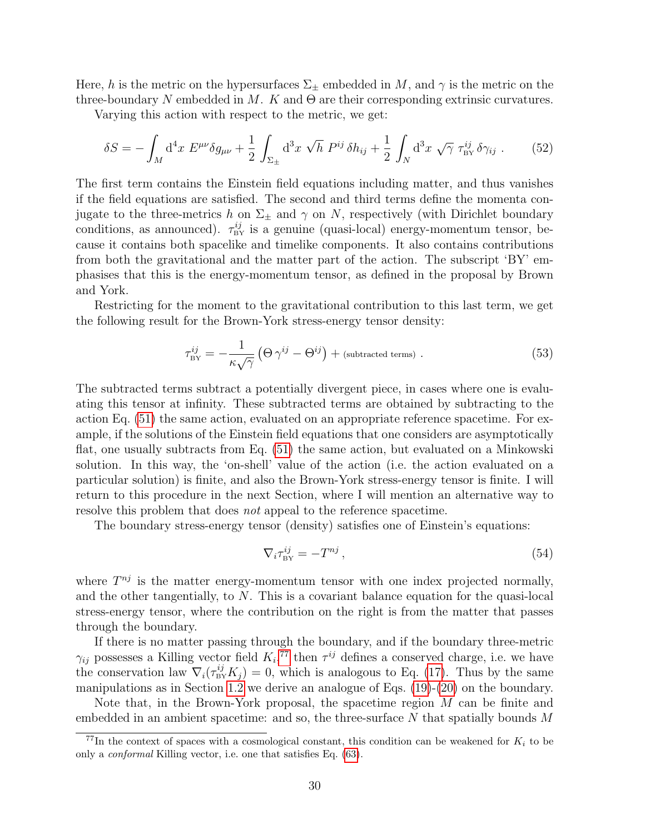Here, h is the metric on the hypersurfaces  $\Sigma_{\pm}$  embedded in M, and  $\gamma$  is the metric on the three-boundary N embedded in M. K and  $\Theta$  are their corresponding extrinsic curvatures.

Varying this action with respect to the metric, we get:

<span id="page-29-1"></span>
$$
\delta S = -\int_M \mathrm{d}^4 x \ E^{\mu\nu} \delta g_{\mu\nu} + \frac{1}{2} \int_{\Sigma_{\pm}} \mathrm{d}^3 x \ \sqrt{h} \ P^{ij} \ \delta h_{ij} + \frac{1}{2} \int_N \mathrm{d}^3 x \ \sqrt{\gamma} \ \tau_{\rm BV}^{ij} \ \delta \gamma_{ij} \ . \tag{52}
$$

The first term contains the Einstein field equations including matter, and thus vanishes if the field equations are satisfied. The second and third terms define the momenta conjugate to the three-metrics h on  $\Sigma_{\pm}$  and  $\gamma$  on N, respectively (with Dirichlet boundary conditions, as announced).  $\tau_{\text{BY}}^{ij}$  is a genuine (quasi-local) energy-momentum tensor, because it contains both spacelike and timelike components. It also contains contributions from both the gravitational and the matter part of the action. The subscript 'BY' emphasises that this is the energy-momentum tensor, as defined in the proposal by Brown and York.

Restricting for the moment to the gravitational contribution to this last term, we get the following result for the Brown-York stress-energy tensor density:

<span id="page-29-2"></span>
$$
\tau_{\text{BY}}^{ij} = -\frac{1}{\kappa \sqrt{\gamma}} \left( \Theta \, \gamma^{ij} - \Theta^{ij} \right) + \text{(subtracted terms)} \,. \tag{53}
$$

The subtracted terms subtract a potentially divergent piece, in cases where one is evaluating this tensor at infinity. These subtracted terms are obtained by subtracting to the action Eq. [\(51\)](#page-28-2) the same action, evaluated on an appropriate reference spacetime. For example, if the solutions of the Einstein field equations that one considers are asymptotically flat, one usually subtracts from Eq. [\(51\)](#page-28-2) the same action, but evaluated on a Minkowski solution. In this way, the 'on-shell' value of the action (i.e. the action evaluated on a particular solution) is finite, and also the Brown-York stress-energy tensor is finite. I will return to this procedure in the next Section, where I will mention an alternative way to resolve this problem that does *not* appeal to the reference spacetime.

The boundary stress-energy tensor (density) satisfies one of Einstein's equations:

<span id="page-29-3"></span>
$$
\nabla_i \tau_{\rm BV}^{ij} = -T^{nj} \,,\tag{54}
$$

where  $T^{nj}$  is the matter energy-momentum tensor with one index projected normally, and the other tangentially, to N. This is a covariant balance equation for the quasi-local stress-energy tensor, where the contribution on the right is from the matter that passes through the boundary.

If there is no matter passing through the boundary, and if the boundary three-metric  $\gamma_{ij}$  possesses a Killing vector field  $K_i$ ,<sup>[77](#page-29-0)</sup> then  $\tau^{ij}$  defines a conserved charge, i.e. we have the conservation law  $\nabla_i(\tau_{\text{BY}}^{ij} K_j) = 0$ , which is analogous to Eq. [\(17\)](#page-13-4). Thus by the same manipulations as in Section [1.2](#page-10-0) we derive an analogue of Eqs. [\(19\)](#page-14-5)-[\(20\)](#page-14-6) on the boundary.

Note that, in the Brown-York proposal, the spacetime region M can be finite and embedded in an ambient spacetime: and so, the three-surface  $N$  that spatially bounds  $M$ 

<span id="page-29-0"></span> $^{77}$ In the context of spaces with a cosmological constant, this condition can be weakened for  $K_i$  to be only a conformal Killing vector, i.e. one that satisfies Eq. [\(63\)](#page-37-2).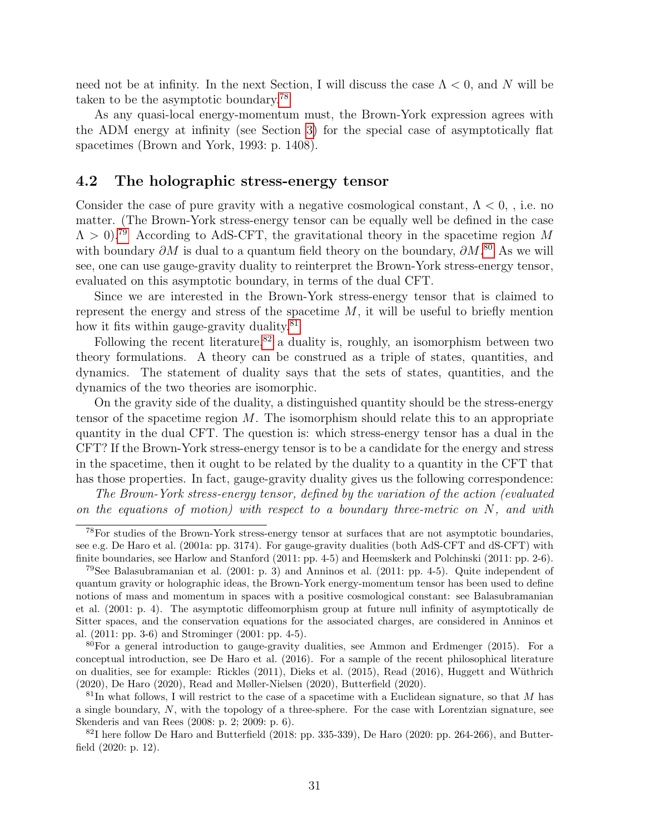need not be at infinity. In the next Section, I will discuss the case  $\Lambda < 0$ , and N will be taken to be the asymptotic boundary.[78](#page-30-1)

As any quasi-local energy-momentum must, the Brown-York expression agrees with the ADM energy at infinity (see Section [3\)](#page-25-0) for the special case of asymptotically flat spacetimes (Brown and York, 1993: p. 1408).

### <span id="page-30-0"></span>4.2 The holographic stress-energy tensor

Consider the case of pure gravity with a negative cosmological constant,  $\Lambda < 0$ , i.e. no matter. (The Brown-York stress-energy tensor can be equally well be defined in the case  $\Lambda > 0$ ).<sup>[79](#page-30-2)</sup> According to AdS-CFT, the gravitational theory in the spacetime region M with boundary  $\partial M$  is dual to a quantum field theory on the boundary,  $\partial M$ .<sup>[80](#page-30-3)</sup> As we will see, one can use gauge-gravity duality to reinterpret the Brown-York stress-energy tensor, evaluated on this asymptotic boundary, in terms of the dual CFT.

Since we are interested in the Brown-York stress-energy tensor that is claimed to represent the energy and stress of the spacetime  $M$ , it will be useful to briefly mention how it fits within gauge-gravity duality.<sup>[81](#page-30-4)</sup>

Following the recent literature,<sup>[82](#page-30-5)</sup> a duality is, roughly, an isomorphism between two theory formulations. A theory can be construed as a triple of states, quantities, and dynamics. The statement of duality says that the sets of states, quantities, and the dynamics of the two theories are isomorphic.

On the gravity side of the duality, a distinguished quantity should be the stress-energy tensor of the spacetime region  $M$ . The isomorphism should relate this to an appropriate quantity in the dual CFT. The question is: which stress-energy tensor has a dual in the CFT? If the Brown-York stress-energy tensor is to be a candidate for the energy and stress in the spacetime, then it ought to be related by the duality to a quantity in the CFT that has those properties. In fact, gauge-gravity duality gives us the following correspondence:

The Brown-York stress-energy tensor, defined by the variation of the action (evaluated on the equations of motion) with respect to a boundary three-metric on  $N$ , and with

<span id="page-30-1"></span><sup>78</sup>For studies of the Brown-York stress-energy tensor at surfaces that are not asymptotic boundaries, see e.g. De Haro et al. (2001a: pp. 3174). For gauge-gravity dualities (both AdS-CFT and dS-CFT) with finite boundaries, see Harlow and Stanford (2011: pp. 4-5) and Heemskerk and Polchinski (2011: pp. 2-6).

<span id="page-30-2"></span><sup>&</sup>lt;sup>79</sup>See Balasubramanian et al.  $(2001: p. 3)$  and Anninos et al.  $(2011: pp. 4-5)$ . Quite independent of quantum gravity or holographic ideas, the Brown-York energy-momentum tensor has been used to define notions of mass and momentum in spaces with a positive cosmological constant: see Balasubramanian et al. (2001: p. 4). The asymptotic diffeomorphism group at future null infinity of asymptotically de Sitter spaces, and the conservation equations for the associated charges, are considered in Anninos et al. (2011: pp. 3-6) and Strominger (2001: pp. 4-5).

<span id="page-30-3"></span> $80$ For a general introduction to gauge-gravity dualities, see Ammon and Erdmenger (2015). For a conceptual introduction, see De Haro et al. (2016). For a sample of the recent philosophical literature on dualities, see for example: Rickles (2011), Dieks et al. (2015), Read (2016), Huggett and W¨uthrich (2020), De Haro (2020), Read and Møller-Nielsen (2020), Butterfield (2020).

<span id="page-30-4"></span> $81$ In what follows, I will restrict to the case of a spacetime with a Euclidean signature, so that M has a single boundary, N, with the topology of a three-sphere. For the case with Lorentzian signature, see Skenderis and van Rees (2008: p. 2; 2009: p. 6).

<span id="page-30-5"></span> $82$ I here follow De Haro and Butterfield (2018: pp. 335-339), De Haro (2020: pp. 264-266), and Butterfield (2020: p. 12).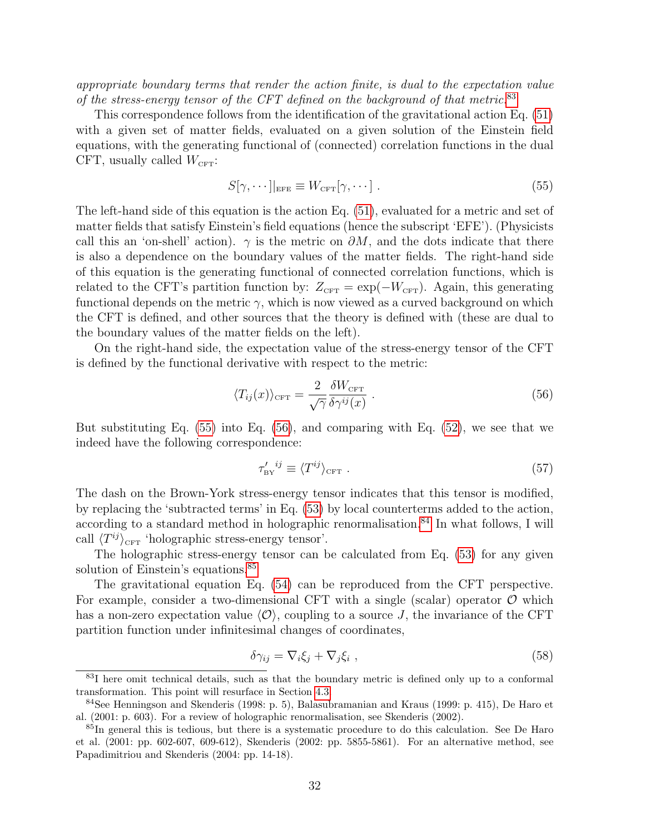appropriate boundary terms that render the action finite, is dual to the expectation value of the stress-energy tensor of the CFT defined on the background of that metric.[83](#page-31-0)

This correspondence follows from the identification of the gravitational action Eq. [\(51\)](#page-28-2) with a given set of matter fields, evaluated on a given solution of the Einstein field equations, with the generating functional of (connected) correlation functions in the dual CFT, usually called  $W_{\text{CFT}}$ :

<span id="page-31-1"></span>
$$
S[\gamma, \cdots]|_{\text{EFE}} \equiv W_{\text{CFT}}[\gamma, \cdots]. \tag{55}
$$

The left-hand side of this equation is the action Eq. [\(51\)](#page-28-2), evaluated for a metric and set of matter fields that satisfy Einstein's field equations (hence the subscript 'EFE'). (Physicists call this an 'on-shell' action).  $\gamma$  is the metric on  $\partial M$ , and the dots indicate that there is also a dependence on the boundary values of the matter fields. The right-hand side of this equation is the generating functional of connected correlation functions, which is related to the CFT's partition function by:  $Z_{\text{CFT}} = \exp(-W_{\text{CFT}})$ . Again, this generating functional depends on the metric  $\gamma$ , which is now viewed as a curved background on which the CFT is defined, and other sources that the theory is defined with (these are dual to the boundary values of the matter fields on the left).

On the right-hand side, the expectation value of the stress-energy tensor of the CFT is defined by the functional derivative with respect to the metric:

<span id="page-31-2"></span>
$$
\langle T_{ij}(x) \rangle_{\text{CFT}} = \frac{2}{\sqrt{\gamma}} \frac{\delta W_{\text{CFT}}}{\delta \gamma^{ij}(x)} . \tag{56}
$$

But substituting Eq. [\(55\)](#page-31-1) into Eq. [\(56\)](#page-31-2), and comparing with Eq. [\(52\)](#page-29-1), we see that we indeed have the following correspondence:

<span id="page-31-5"></span>
$$
\tau_{\rm BV}^{\prime \ ij} \equiv \langle T^{ij} \rangle_{\rm CFT} \ . \tag{57}
$$

The dash on the Brown-York stress-energy tensor indicates that this tensor is modified, by replacing the 'subtracted terms' in Eq. [\(53\)](#page-29-2) by local counterterms added to the action, according to a standard method in holographic renormalisation.<sup>[84](#page-31-3)</sup> In what follows, I will call  $\langle T^{ij} \rangle_{\text{CFT}}$  'holographic stress-energy tensor'.

The holographic stress-energy tensor can be calculated from Eq. [\(53\)](#page-29-2) for any given solution of Einstein's equations.<sup>[85](#page-31-4)</sup>

The gravitational equation Eq. [\(54\)](#page-29-3) can be reproduced from the CFT perspective. For example, consider a two-dimensional CFT with a single (scalar) operator  $\mathcal O$  which has a non-zero expectation value  $\langle \mathcal{O} \rangle$ , coupling to a source J, the invariance of the CFT partition function under infinitesimal changes of coordinates,

$$
\delta \gamma_{ij} = \nabla_i \xi_j + \nabla_j \xi_i \tag{58}
$$

<span id="page-31-0"></span><sup>&</sup>lt;sup>83</sup>I here omit technical details, such as that the boundary metric is defined only up to a conformal transformation. This point will resurface in Section [4.3.](#page-33-0)

<span id="page-31-3"></span><sup>84</sup>See Henningson and Skenderis (1998: p. 5), Balasubramanian and Kraus (1999: p. 415), De Haro et al. (2001: p. 603). For a review of holographic renormalisation, see Skenderis (2002).

<span id="page-31-4"></span><sup>&</sup>lt;sup>85</sup>In general this is tedious, but there is a systematic procedure to do this calculation. See De Haro et al. (2001: pp. 602-607, 609-612), Skenderis (2002: pp. 5855-5861). For an alternative method, see Papadimitriou and Skenderis (2004: pp. 14-18).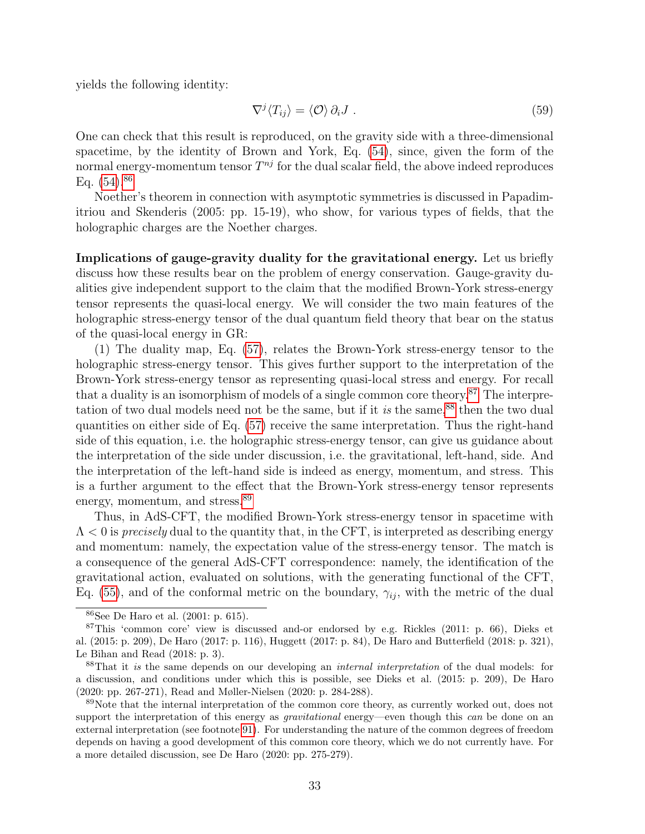yields the following identity:

<span id="page-32-4"></span>
$$
\nabla^j \langle T_{ij} \rangle = \langle \mathcal{O} \rangle \, \partial_i J \,. \tag{59}
$$

One can check that this result is reproduced, on the gravity side with a three-dimensional spacetime, by the identity of Brown and York, Eq. [\(54\)](#page-29-3), since, given the form of the normal energy-momentum tensor  $T^{nj}$  for the dual scalar field, the above indeed reproduces Eq.  $(54)$ <sup>[86](#page-32-0)</sup>

Noether's theorem in connection with asymptotic symmetries is discussed in Papadimitriou and Skenderis (2005: pp. 15-19), who show, for various types of fields, that the holographic charges are the Noether charges.

Implications of gauge-gravity duality for the gravitational energy. Let us briefly discuss how these results bear on the problem of energy conservation. Gauge-gravity dualities give independent support to the claim that the modified Brown-York stress-energy tensor represents the quasi-local energy. We will consider the two main features of the holographic stress-energy tensor of the dual quantum field theory that bear on the status of the quasi-local energy in GR:

(1) The duality map, Eq. [\(57\)](#page-31-5), relates the Brown-York stress-energy tensor to the holographic stress-energy tensor. This gives further support to the interpretation of the Brown-York stress-energy tensor as representing quasi-local stress and energy. For recall that a duality is an isomorphism of models of a single common core theory.<sup>[87](#page-32-1)</sup> The interpretation of two dual models need not be the same, but if it is the same, $88$  then the two dual quantities on either side of Eq. [\(57\)](#page-31-5) receive the same interpretation. Thus the right-hand side of this equation, i.e. the holographic stress-energy tensor, can give us guidance about the interpretation of the side under discussion, i.e. the gravitational, left-hand, side. And the interpretation of the left-hand side is indeed as energy, momentum, and stress. This is a further argument to the effect that the Brown-York stress-energy tensor represents energy, momentum, and stress.<sup>[89](#page-32-3)</sup>

Thus, in AdS-CFT, the modified Brown-York stress-energy tensor in spacetime with  $\Lambda$  < 0 is precisely dual to the quantity that, in the CFT, is interpreted as describing energy and momentum: namely, the expectation value of the stress-energy tensor. The match is a consequence of the general AdS-CFT correspondence: namely, the identification of the gravitational action, evaluated on solutions, with the generating functional of the CFT, Eq. [\(55\)](#page-31-1), and of the conformal metric on the boundary,  $\gamma_{ij}$ , with the metric of the dual

<span id="page-32-1"></span><span id="page-32-0"></span><sup>86</sup>See De Haro et al. (2001: p. 615).

<sup>87</sup>This 'common core' view is discussed and-or endorsed by e.g. Rickles (2011: p. 66), Dieks et al. (2015: p. 209), De Haro (2017: p. 116), Huggett (2017: p. 84), De Haro and Butterfield (2018: p. 321), Le Bihan and Read (2018: p. 3).

<span id="page-32-2"></span><sup>&</sup>lt;sup>88</sup>That it is the same depends on our developing an *internal interpretation* of the dual models: for a discussion, and conditions under which this is possible, see Dieks et al. (2015: p. 209), De Haro (2020: pp. 267-271), Read and Møller-Nielsen (2020: p. 284-288).

<span id="page-32-3"></span><sup>&</sup>lt;sup>89</sup>Note that the internal interpretation of the common core theory, as currently worked out, does not support the interpretation of this energy as *gravitational* energy—even though this can be done on an external interpretation (see footnote [91\)](#page-33-1). For understanding the nature of the common degrees of freedom depends on having a good development of this common core theory, which we do not currently have. For a more detailed discussion, see De Haro (2020: pp. 275-279).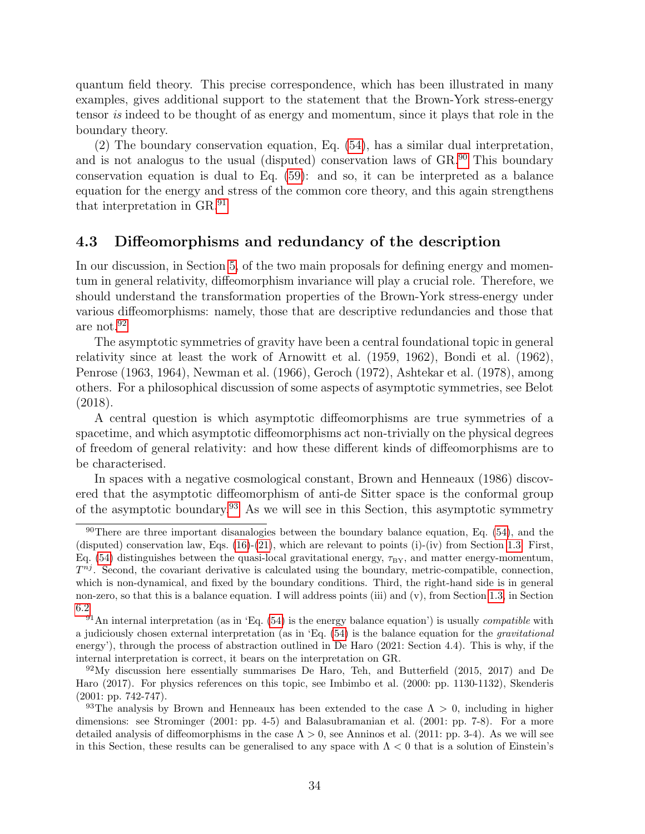quantum field theory. This precise correspondence, which has been illustrated in many examples, gives additional support to the statement that the Brown-York stress-energy tensor is indeed to be thought of as energy and momentum, since it plays that role in the boundary theory.

(2) The boundary conservation equation, Eq. [\(54\)](#page-29-3), has a similar dual interpretation, and is not analogus to the usual (disputed) conservation laws of GR.<sup>[90](#page-33-2)</sup> This boundary conservation equation is dual to Eq. [\(59\)](#page-32-4): and so, it can be interpreted as a balance equation for the energy and stress of the common core theory, and this again strengthens that interpretation in GR.[91](#page-33-1)

### <span id="page-33-0"></span>4.3 Diffeomorphisms and redundancy of the description

In our discussion, in Section [5,](#page-37-0) of the two main proposals for defining energy and momentum in general relativity, diffeomorphism invariance will play a crucial role. Therefore, we should understand the transformation properties of the Brown-York stress-energy under various diffeomorphisms: namely, those that are descriptive redundancies and those that are not.[92](#page-33-3)

The asymptotic symmetries of gravity have been a central foundational topic in general relativity since at least the work of Arnowitt et al. (1959, 1962), Bondi et al. (1962), Penrose (1963, 1964), Newman et al. (1966), Geroch (1972), Ashtekar et al. (1978), among others. For a philosophical discussion of some aspects of asymptotic symmetries, see Belot (2018).

A central question is which asymptotic diffeomorphisms are true symmetries of a spacetime, and which asymptotic diffeomorphisms act non-trivially on the physical degrees of freedom of general relativity: and how these different kinds of diffeomorphisms are to be characterised.

In spaces with a negative cosmological constant, Brown and Henneaux (1986) discovered that the asymptotic diffeomorphism of anti-de Sitter space is the conformal group of the asymptotic boundary.<sup>[93](#page-33-4)</sup> As we will see in this Section, this asymptotic symmetry

<span id="page-33-2"></span> $90$ There are three important disanalogies between the boundary balance equation, Eq. [\(54\)](#page-29-3), and the (disputed) conservation law, Eqs. [\(16\)](#page-13-3)-[\(21\)](#page-15-0), which are relevant to points (i)-(iv) from Section [1.3.](#page-14-0) First, Eq. [\(54\)](#page-29-3) distinguishes between the quasi-local gravitational energy,  $\tau_{BY}$ , and matter energy-momentum,  $T^{nj}$ . Second, the covariant derivative is calculated using the boundary, metric-compatible, connection, which is non-dynamical, and fixed by the boundary conditions. Third, the right-hand side is in general non-zero, so that this is a balance equation. I will address points (iii) and (v), from Section [1.3,](#page-14-0) in Section [6.2](#page-45-0)

<span id="page-33-1"></span> $91$ An internal interpretation (as in 'Eq. [\(54\)](#page-29-3) is the energy balance equation') is usually *compatible* with a judiciously chosen external interpretation (as in 'Eq.  $(54)$  is the balance equation for the *gravitational* energy'), through the process of abstraction outlined in De Haro (2021: Section 4.4). This is why, if the internal interpretation is correct, it bears on the interpretation on GR.

<span id="page-33-3"></span> $92\,\text{My}$  discussion here essentially summarises De Haro, Teh, and Butterfield (2015, 2017) and De Haro (2017). For physics references on this topic, see Imbimbo et al. (2000: pp. 1130-1132), Skenderis (2001: pp. 742-747).

<span id="page-33-4"></span><sup>&</sup>lt;sup>93</sup>The analysis by Brown and Henneaux has been extended to the case  $\Lambda > 0$ , including in higher dimensions: see Strominger (2001: pp. 4-5) and Balasubramanian et al. (2001: pp. 7-8). For a more detailed analysis of diffeomorphisms in the case  $\Lambda > 0$ , see Anninos et al. (2011: pp. 3-4). As we will see in this Section, these results can be generalised to any space with  $\Lambda < 0$  that is a solution of Einstein's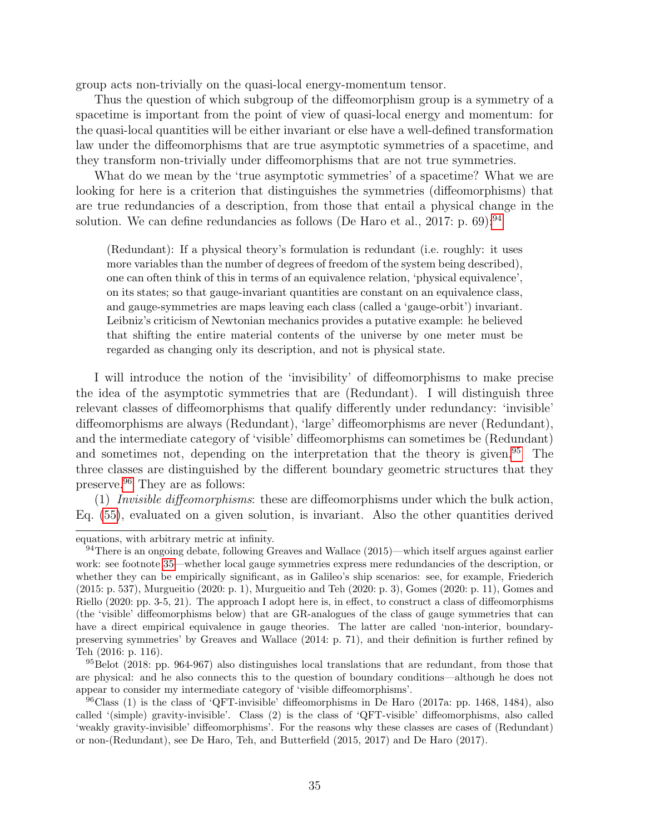group acts non-trivially on the quasi-local energy-momentum tensor.

Thus the question of which subgroup of the diffeomorphism group is a symmetry of a spacetime is important from the point of view of quasi-local energy and momentum: for the quasi-local quantities will be either invariant or else have a well-defined transformation law under the diffeomorphisms that are true asymptotic symmetries of a spacetime, and they transform non-trivially under diffeomorphisms that are not true symmetries.

What do we mean by the 'true asymptotic symmetries' of a spacetime? What we are looking for here is a criterion that distinguishes the symmetries (diffeomorphisms) that are true redundancies of a description, from those that entail a physical change in the solution. We can define redundancies as follows (De Haro et al., 2017: p. 69):  $94$ 

(Redundant): If a physical theory's formulation is redundant (i.e. roughly: it uses more variables than the number of degrees of freedom of the system being described), one can often think of this in terms of an equivalence relation, 'physical equivalence', on its states; so that gauge-invariant quantities are constant on an equivalence class, and gauge-symmetries are maps leaving each class (called a 'gauge-orbit') invariant. Leibniz's criticism of Newtonian mechanics provides a putative example: he believed that shifting the entire material contents of the universe by one meter must be regarded as changing only its description, and not is physical state.

I will introduce the notion of the 'invisibility' of diffeomorphisms to make precise the idea of the asymptotic symmetries that are (Redundant). I will distinguish three relevant classes of diffeomorphisms that qualify differently under redundancy: 'invisible' diffeomorphisms are always (Redundant), 'large' diffeomorphisms are never (Redundant), and the intermediate category of 'visible' diffeomorphisms can sometimes be (Redundant) and sometimes not, depending on the interpretation that the theory is given.<sup>[95](#page-34-1)</sup> The three classes are distinguished by the different boundary geometric structures that they preserve.[96](#page-34-2) They are as follows:

 $(1)$  Invisible diffeomorphisms: these are diffeomorphisms under which the bulk action, Eq. [\(55\)](#page-31-1), evaluated on a given solution, is invariant. Also the other quantities derived

equations, with arbitrary metric at infinity.

<span id="page-34-0"></span> $94$ There is an ongoing debate, following Greaves and Wallace (2015)—which itself argues against earlier work: see footnote [35—](#page-13-0)whether local gauge symmetries express mere redundancies of the description, or whether they can be empirically significant, as in Galileo's ship scenarios: see, for example, Friederich (2015: p. 537), Murgueitio (2020: p. 1), Murgueitio and Teh (2020: p. 3), Gomes (2020: p. 11), Gomes and Riello (2020: pp. 3-5, 21). The approach I adopt here is, in effect, to construct a class of diffeomorphisms (the 'visible' diffeomorphisms below) that are GR-analogues of the class of gauge symmetries that can have a direct empirical equivalence in gauge theories. The latter are called 'non-interior, boundarypreserving symmetries' by Greaves and Wallace (2014: p. 71), and their definition is further refined by Teh (2016: p. 116).

<span id="page-34-1"></span> $95Belot$  (2018: pp. 964-967) also distinguishes local translations that are redundant, from those that are physical: and he also connects this to the question of boundary conditions—although he does not appear to consider my intermediate category of 'visible diffeomorphisms'.

<span id="page-34-2"></span> $96$ Class (1) is the class of 'QFT-invisible' diffeomorphisms in De Haro (2017a: pp. 1468, 1484), also called '(simple) gravity-invisible'. Class (2) is the class of 'QFT-visible' diffeomorphisms, also called 'weakly gravity-invisible' diffeomorphisms'. For the reasons why these classes are cases of (Redundant) or non-(Redundant), see De Haro, Teh, and Butterfield (2015, 2017) and De Haro (2017).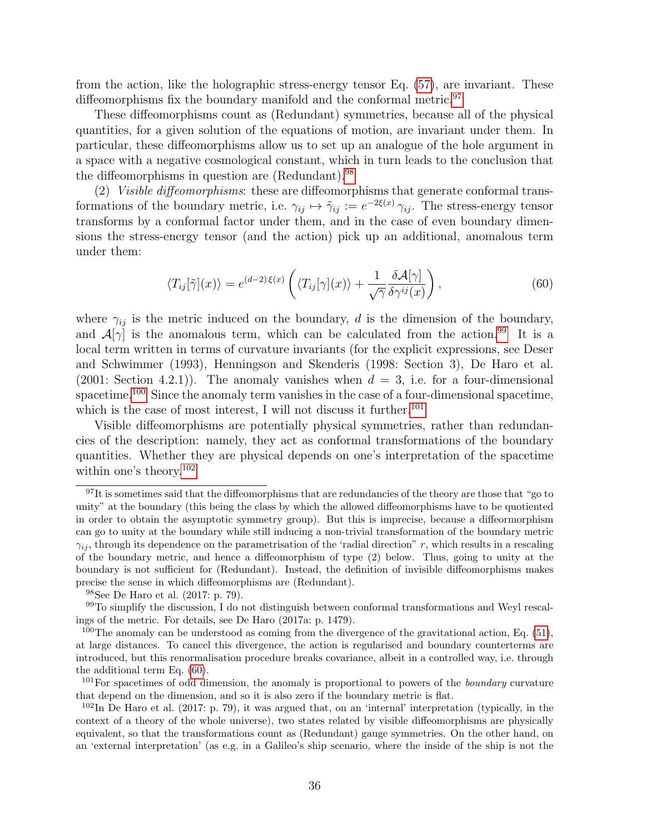from the action, like the holographic stress-energy tensor Eq. [\(57\)](#page-31-5), are invariant. These diffeomorphisms fix the boundary manifold and the conformal metric.<sup>[97](#page-35-0)</sup>

These diffeomorphisms count as (Redundant) symmetries, because all of the physical quantities, for a given solution of the equations of motion, are invariant under them. In particular, these diffeomorphisms allow us to set up an analogue of the hole argument in a space with a negative cosmological constant, which in turn leads to the conclusion that the diffeomorphisms in question are (Redundant).[98](#page-35-1)

(2) Visible diffeomorphisms: these are diffeomorphisms that generate conformal transformations of the boundary metric, i.e.  $\gamma_{ij} \mapsto \tilde{\gamma}_{ij} := e^{-2\xi(x)} \gamma_{ij}$ . The stress-energy tensor transforms by a conformal factor under them, and in the case of even boundary dimensions the stress-energy tensor (and the action) pick up an additional, anomalous term under them:

<span id="page-35-6"></span>
$$
\langle T_{ij}[\tilde{\gamma}](x)\rangle = e^{(d-2)\xi(x)}\left(\langle T_{ij}[\gamma](x)\rangle + \frac{1}{\sqrt{\gamma}}\frac{\delta\mathcal{A}[\gamma]}{\delta\gamma^{ij}(x)}\right),\tag{60}
$$

where  $\gamma_{ij}$  is the metric induced on the boundary, d is the dimension of the boundary, and  $\mathcal{A}[\gamma]$  is the anomalous term, which can be calculated from the action.<sup>[99](#page-35-2)</sup> It is a local term written in terms of curvature invariants (for the explicit expressions, see Deser and Schwimmer (1993), Henningson and Skenderis (1998: Section 3), De Haro et al. (2001: Section 4.2.1)). The anomaly vanishes when  $d = 3$ , i.e. for a four-dimensional spacetime.<sup>[100](#page-35-3)</sup> Since the anomaly term vanishes in the case of a four-dimensional spacetime, which is the case of most interest, I will not discuss it further.<sup>[101](#page-35-4)</sup>

Visible diffeomorphisms are potentially physical symmetries, rather than redundancies of the description: namely, they act as conformal transformations of the boundary quantities. Whether they are physical depends on one's interpretation of the spacetime within one's theory.<sup>[102](#page-35-5)</sup>

<span id="page-35-0"></span> $97$ It is sometimes said that the diffeomorphisms that are redundancies of the theory are those that "go to unity" at the boundary (this being the class by which the allowed diffeomorphisms have to be quotiented in order to obtain the asymptotic symmetry group). But this is imprecise, because a diffeormorphism can go to unity at the boundary while still inducing a non-trivial transformation of the boundary metric  $\gamma_{ij}$ , through its dependence on the parametrisation of the 'radial direction" r, which results in a rescaling of the boundary metric, and hence a diffeomorphism of type (2) below. Thus, going to unity at the boundary is not sufficient for (Redundant). Instead, the definition of invisible diffeomorphisms makes precise the sense in which diffeomorphisms are (Redundant).

<span id="page-35-2"></span><span id="page-35-1"></span><sup>98</sup>See De Haro et al. (2017: p. 79).

 $99$ To simplify the discussion, I do not distinguish between conformal transformations and Weyl rescalings of the metric. For details, see De Haro (2017a: p. 1479).

<span id="page-35-3"></span><sup>&</sup>lt;sup>100</sup>The anomaly can be understood as coming from the divergence of the gravitational action, Eq.  $(51)$ , at large distances. To cancel this divergence, the action is regularised and boundary counterterms are introduced, but this renormalisation procedure breaks covariance, albeit in a controlled way, i.e. through the additional term Eq. [\(60\)](#page-35-6).

<span id="page-35-4"></span><sup>&</sup>lt;sup>101</sup>For spacetimes of odd dimension, the anomaly is proportional to powers of the *boundary* curvature that depend on the dimension, and so it is also zero if the boundary metric is flat.

<span id="page-35-5"></span> $10^2$ In De Haro et al. (2017: p. 79), it was argued that, on an 'internal' interpretation (typically, in the context of a theory of the whole universe), two states related by visible diffeomorphisms are physically equivalent, so that the transformations count as (Redundant) gauge symmetries. On the other hand, on an 'external interpretation' (as e.g. in a Galileo's ship scenario, where the inside of the ship is not the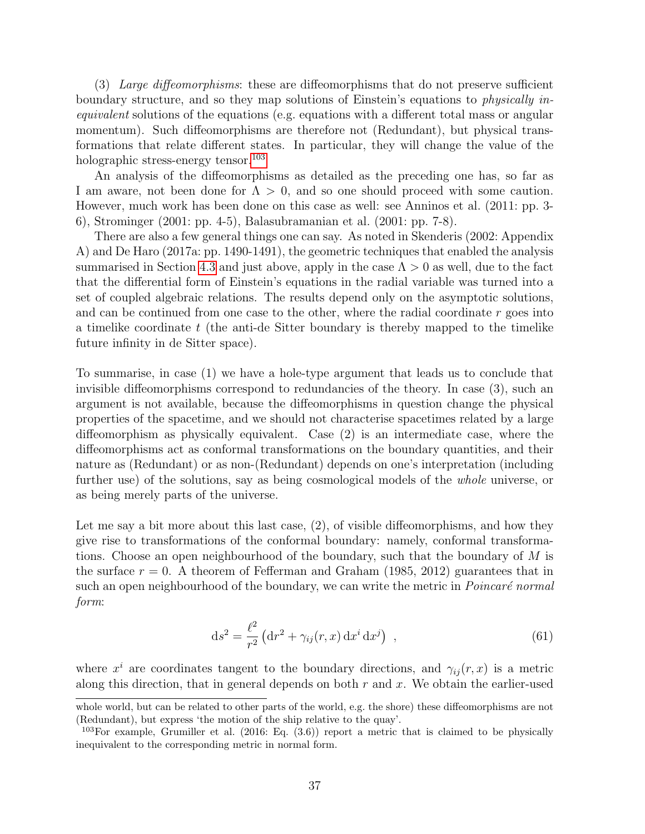(3) Large diffeomorphisms: these are diffeomorphisms that do not preserve sufficient boundary structure, and so they map solutions of Einstein's equations to *physically in*equivalent solutions of the equations (e.g. equations with a different total mass or angular momentum). Such diffeomorphisms are therefore not (Redundant), but physical transformations that relate different states. In particular, they will change the value of the holographic stress-energy tensor.<sup>[103](#page-36-0)</sup>

An analysis of the diffeomorphisms as detailed as the preceding one has, so far as I am aware, not been done for  $\Lambda > 0$ , and so one should proceed with some caution. However, much work has been done on this case as well: see Anninos et al. (2011: pp. 3- 6), Strominger (2001: pp. 4-5), Balasubramanian et al. (2001: pp. 7-8).

There are also a few general things one can say. As noted in Skenderis (2002: Appendix A) and De Haro (2017a: pp. 1490-1491), the geometric techniques that enabled the analysis summarised in Section [4.3](#page-33-0) and just above, apply in the case  $\Lambda > 0$  as well, due to the fact that the differential form of Einstein's equations in the radial variable was turned into a set of coupled algebraic relations. The results depend only on the asymptotic solutions, and can be continued from one case to the other, where the radial coordinate r goes into a timelike coordinate  $t$  (the anti-de Sitter boundary is thereby mapped to the timelike future infinity in de Sitter space).

To summarise, in case (1) we have a hole-type argument that leads us to conclude that invisible diffeomorphisms correspond to redundancies of the theory. In case (3), such an argument is not available, because the diffeomorphisms in question change the physical properties of the spacetime, and we should not characterise spacetimes related by a large diffeomorphism as physically equivalent. Case (2) is an intermediate case, where the diffeomorphisms act as conformal transformations on the boundary quantities, and their nature as (Redundant) or as non-(Redundant) depends on one's interpretation (including further use) of the solutions, say as being cosmological models of the *whole* universe, or as being merely parts of the universe.

Let me say a bit more about this last case,  $(2)$ , of visible diffeomorphisms, and how they give rise to transformations of the conformal boundary: namely, conformal transformations. Choose an open neighbourhood of the boundary, such that the boundary of  $M$  is the surface  $r = 0$ . A theorem of Fefferman and Graham (1985, 2012) guarantees that in such an open neighbourhood of the boundary, we can write the metric in *Poincaré normal* form:

<span id="page-36-1"></span>
$$
ds^{2} = \frac{\ell^{2}}{r^{2}} \left( dr^{2} + \gamma_{ij}(r, x) dx^{i} dx^{j} \right) , \qquad (61)
$$

where  $x^i$  are coordinates tangent to the boundary directions, and  $\gamma_{ij}(r, x)$  is a metric along this direction, that in general depends on both  $r$  and  $x$ . We obtain the earlier-used

whole world, but can be related to other parts of the world, e.g. the shore) these diffeomorphisms are not (Redundant), but express 'the motion of the ship relative to the quay'.

<span id="page-36-0"></span><sup>&</sup>lt;sup>103</sup>For example, Grumiller et al. (2016: Eq.  $(3.6)$ ) report a metric that is claimed to be physically inequivalent to the corresponding metric in normal form.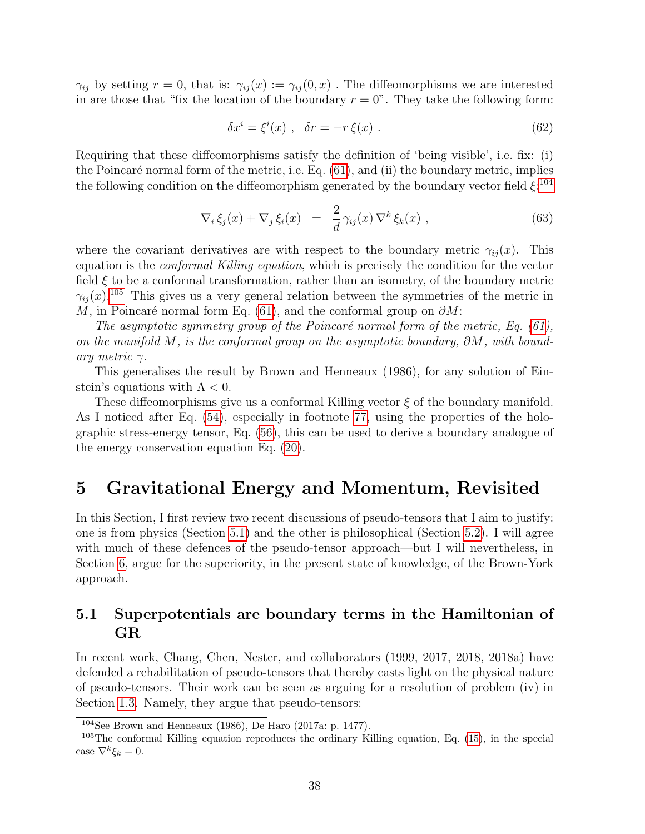$\gamma_{ij}$  by setting  $r = 0$ , that is:  $\gamma_{ij}(x) := \gamma_{ij}(0, x)$ . The diffeomorphisms we are interested in are those that "fix the location of the boundary  $r = 0$ ". They take the following form:

$$
\delta x^i = \xi^i(x) , \quad \delta r = -r \xi(x) . \tag{62}
$$

Requiring that these diffeomorphisms satisfy the definition of 'being visible', i.e. fix: (i) the Poincaré normal form of the metric, i.e. Eq.  $(61)$ , and  $(ii)$  the boundary metric, implies the following condition on the diffeomorphism generated by the boundary vector field  $\xi$ <sup>[104](#page-37-3)</sup>

<span id="page-37-2"></span>
$$
\nabla_i \xi_j(x) + \nabla_j \xi_i(x) = \frac{2}{d} \gamma_{ij}(x) \nabla^k \xi_k(x) , \qquad (63)
$$

where the covariant derivatives are with respect to the boundary metric  $\gamma_{ij}(x)$ . This equation is the conformal Killing equation, which is precisely the condition for the vector field  $\xi$  to be a conformal transformation, rather than an isometry, of the boundary metric  $\gamma_{ii}(x)$ <sup>[105](#page-37-4)</sup>. This gives us a very general relation between the symmetries of the metric in M, in Poincaré normal form Eq. [\(61\)](#page-36-1), and the conformal group on  $\partial M$ :

The asymptotic symmetry group of the Poincaré normal form of the metric, Eq. [\(61\)](#page-36-1), on the manifold M, is the conformal group on the asymptotic boundary,  $\partial M$ , with boundary metric  $\gamma$ .

This generalises the result by Brown and Henneaux (1986), for any solution of Einstein's equations with  $\Lambda < 0$ .

These diffeomorphisms give us a conformal Killing vector  $\xi$  of the boundary manifold. As I noticed after Eq. [\(54\)](#page-29-3), especially in footnote [77,](#page-29-0) using the properties of the holographic stress-energy tensor, Eq. [\(56\)](#page-31-2), this can be used to derive a boundary analogue of the energy conservation equation Eq. [\(20\)](#page-14-6).

## <span id="page-37-0"></span>5 Gravitational Energy and Momentum, Revisited

In this Section, I first review two recent discussions of pseudo-tensors that I aim to justify: one is from physics (Section [5.1\)](#page-37-1) and the other is philosophical (Section [5.2\)](#page-40-0). I will agree with much of these defences of the pseudo-tensor approach—but I will nevertheless, in Section [6,](#page-43-0) argue for the superiority, in the present state of knowledge, of the Brown-York approach.

### <span id="page-37-1"></span>5.1 Superpotentials are boundary terms in the Hamiltonian of GR

In recent work, Chang, Chen, Nester, and collaborators (1999, 2017, 2018, 2018a) have defended a rehabilitation of pseudo-tensors that thereby casts light on the physical nature of pseudo-tensors. Their work can be seen as arguing for a resolution of problem (iv) in Section [1.3.](#page-14-0) Namely, they argue that pseudo-tensors:

<span id="page-37-4"></span><span id="page-37-3"></span> $104$ See Brown and Henneaux (1986), De Haro (2017a: p. 1477).

 $105$ The conformal Killing equation reproduces the ordinary Killing equation, Eq. [\(15\)](#page-13-2), in the special case  $\nabla^k \xi_k = 0$ .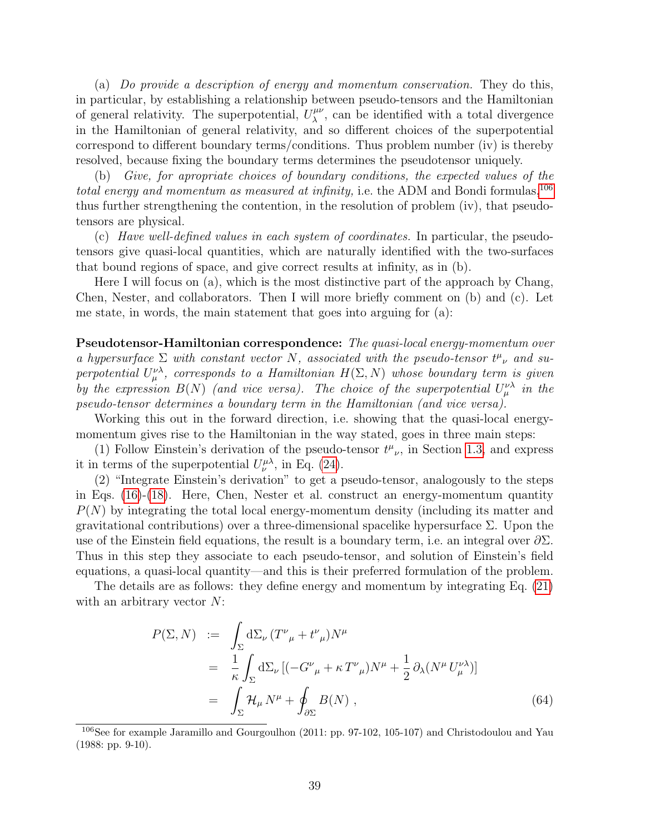(a) Do provide a description of energy and momentum conservation. They do this, in particular, by establishing a relationship between pseudo-tensors and the Hamiltonian of general relativity. The superpotential,  $U^{\mu\nu}_{\lambda}$  $\mu^{\mu\nu}$ , can be identified with a total divergence in the Hamiltonian of general relativity, and so different choices of the superpotential correspond to different boundary terms/conditions. Thus problem number (iv) is thereby resolved, because fixing the boundary terms determines the pseudotensor uniquely.

(b) Give, for apropriate choices of boundary conditions, the expected values of the total energy and momentum as measured at infinity, i.e. the ADM and Bondi formulas,  $^{106}$  $^{106}$  $^{106}$ thus further strengthening the contention, in the resolution of problem (iv), that pseudotensors are physical.

(c) Have well-defined values in each system of coordinates. In particular, the pseudotensors give quasi-local quantities, which are naturally identified with the two-surfaces that bound regions of space, and give correct results at infinity, as in (b).

Here I will focus on (a), which is the most distinctive part of the approach by Chang, Chen, Nester, and collaborators. Then I will more briefly comment on (b) and (c). Let me state, in words, the main statement that goes into arguing for (a):

Pseudotensor-Hamiltonian correspondence: The quasi-local energy-momentum over a hypersurface  $\Sigma$  with constant vector N, associated with the pseudo-tensor  $t^{\mu}{}_{\nu}$  and superpotential  $U^{\nu\lambda}_{\mu}$ , corresponds to a Hamiltonian  $H(\Sigma, N)$  whose boundary term is given by the expression  $B(N)$  (and vice versa). The choice of the superpotential  $U^{\nu\lambda}_{\mu}$  in the pseudo-tensor determines a boundary term in the Hamiltonian (and vice versa).

Working this out in the forward direction, i.e. showing that the quasi-local energymomentum gives rise to the Hamiltonian in the way stated, goes in three main steps:

(1) Follow Einstein's derivation of the pseudo-tensor  $t^{\mu}{}_{\nu}$ , in Section [1.3,](#page-14-0) and express it in terms of the superpotential  $U^{\mu\lambda}_{\nu}$ , in Eq. [\(24\)](#page-16-1).

(2) "Integrate Einstein's derivation" to get a pseudo-tensor, analogously to the steps in Eqs. [\(16\)](#page-13-3)-[\(18\)](#page-14-2). Here, Chen, Nester et al. construct an energy-momentum quantity  $P(N)$  by integrating the total local energy-momentum density (including its matter and gravitational contributions) over a three-dimensional spacelike hypersurface Σ. Upon the use of the Einstein field equations, the result is a boundary term, i.e. an integral over  $\partial \Sigma$ . Thus in this step they associate to each pseudo-tensor, and solution of Einstein's field equations, a quasi-local quantity—and this is their preferred formulation of the problem.

The details are as follows: they define energy and momentum by integrating Eq. [\(21\)](#page-15-0) with an arbitrary vector  $N$ :

<span id="page-38-1"></span>
$$
P(\Sigma, N) := \int_{\Sigma} d\Sigma_{\nu} (T^{\nu}_{\mu} + t^{\nu}_{\mu}) N^{\mu}
$$
  
= 
$$
\frac{1}{\kappa} \int_{\Sigma} d\Sigma_{\nu} [(-G^{\nu}_{\mu} + \kappa T^{\nu}_{\mu}) N^{\mu} + \frac{1}{2} \partial_{\lambda} (N^{\mu} U^{\nu\lambda}_{\mu})]
$$
  
= 
$$
\int_{\Sigma} \mathcal{H}_{\mu} N^{\mu} + \oint_{\partial \Sigma} B(N) , \qquad (64)
$$

<span id="page-38-0"></span><sup>106</sup>See for example Jaramillo and Gourgoulhon (2011: pp. 97-102, 105-107) and Christodoulou and Yau (1988: pp. 9-10).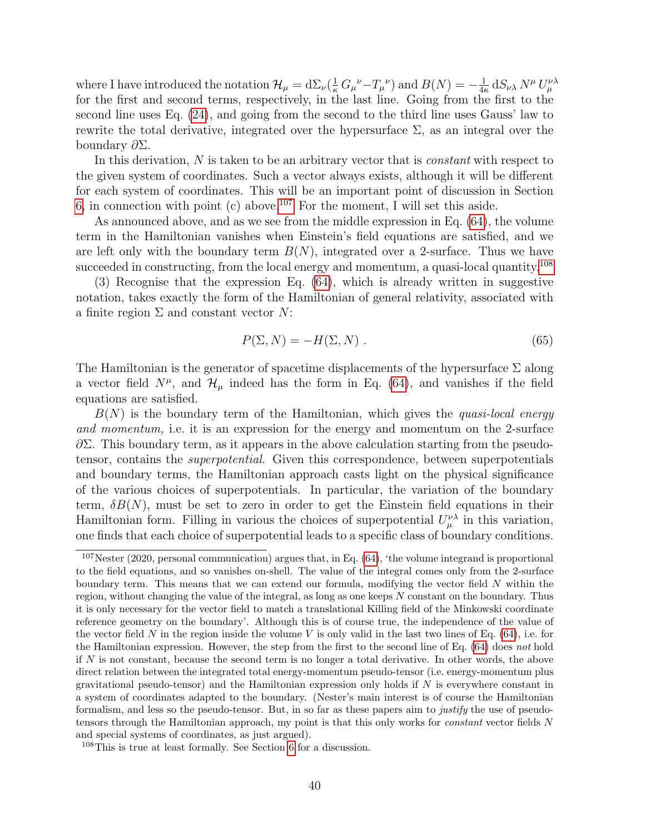where I have introduced the notation  $\mathcal{H}_{\mu} = d\Sigma_{\nu}(\frac{1}{\kappa} G_{\mu}{}^{\nu} - T_{\mu}{}^{\nu})$  and  $B(N) = -\frac{1}{4\kappa}$  $\frac{1}{4\kappa} \, \mathrm{d} S_{\nu\lambda} \, N^{\mu} \, U^{\nu\lambda}_{\mu}$ for the first and second terms, respectively, in the last line. Going from the first to the second line uses Eq. [\(24\)](#page-16-1), and going from the second to the third line uses Gauss' law to rewrite the total derivative, integrated over the hypersurface  $\Sigma$ , as an integral over the boundary ∂Σ.

In this derivation, N is taken to be an arbitrary vector that is *constant* with respect to the given system of coordinates. Such a vector always exists, although it will be different for each system of coordinates. This will be an important point of discussion in Section [6,](#page-43-0) in connection with point (c) above.<sup>[107](#page-39-0)</sup> For the moment, I will set this aside.

As announced above, and as we see from the middle expression in Eq. [\(64\)](#page-38-1), the volume term in the Hamiltonian vanishes when Einstein's field equations are satisfied, and we are left only with the boundary term  $B(N)$ , integrated over a 2-surface. Thus we have succeeded in constructing, from the local energy and momentum, a quasi-local quantity.<sup>[108](#page-39-1)</sup>

(3) Recognise that the expression Eq. [\(64\)](#page-38-1), which is already written in suggestive notation, takes exactly the form of the Hamiltonian of general relativity, associated with a finite region  $\Sigma$  and constant vector  $N$ :

$$
P(\Sigma, N) = -H(\Sigma, N) . \tag{65}
$$

The Hamiltonian is the generator of spacetime displacements of the hypersurface  $\Sigma$  along a vector field  $N^{\mu}$ , and  $\mathcal{H}_{\mu}$  indeed has the form in Eq. [\(64\)](#page-38-1), and vanishes if the field equations are satisfied.

 $B(N)$  is the boundary term of the Hamiltonian, which gives the quasi-local energy and momentum, i.e. it is an expression for the energy and momentum on the 2-surface  $\partial \Sigma$ . This boundary term, as it appears in the above calculation starting from the pseudotensor, contains the superpotential. Given this correspondence, between superpotentials and boundary terms, the Hamiltonian approach casts light on the physical significance of the various choices of superpotentials. In particular, the variation of the boundary term,  $\delta B(N)$ , must be set to zero in order to get the Einstein field equations in their Hamiltonian form. Filling in various the choices of superpotential  $U^{\nu\lambda}_{\mu}$  in this variation, one finds that each choice of superpotential leads to a specific class of boundary conditions.

<span id="page-39-0"></span> $107$ Nester (2020, personal communication) argues that, in Eq. [\(64\)](#page-38-1), 'the volume integrand is proportional to the field equations, and so vanishes on-shell. The value of the integral comes only from the 2-surface boundary term. This means that we can extend our formula, modifying the vector field N within the region, without changing the value of the integral, as long as one keeps N constant on the boundary. Thus it is only necessary for the vector field to match a translational Killing field of the Minkowski coordinate reference geometry on the boundary'. Although this is of course true, the independence of the value of the vector field N in the region inside the volume V is only valid in the last two lines of Eq.  $(64)$ , i.e. for the Hamiltonian expression. However, the step from the first to the second line of Eq. [\(64\)](#page-38-1) does not hold if  $N$  is not constant, because the second term is no longer a total derivative. In other words, the above direct relation between the integrated total energy-momentum pseudo-tensor (i.e. energy-momentum plus gravitational pseudo-tensor) and the Hamiltonian expression only holds if  $N$  is everywhere constant in a system of coordinates adapted to the boundary. (Nester's main interest is of course the Hamiltonian formalism, and less so the pseudo-tensor. But, in so far as these papers aim to justify the use of pseudotensors through the Hamiltonian approach, my point is that this only works for constant vector fields N and special systems of coordinates, as just argued).

<span id="page-39-1"></span><sup>108</sup>This is true at least formally. See Section [6](#page-43-0) for a discussion.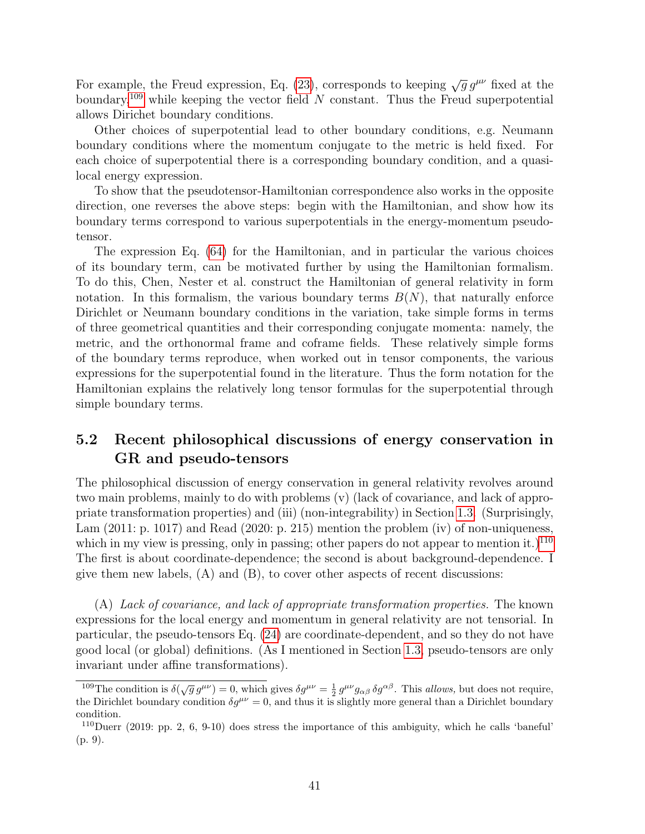For example, the Freud expression, Eq. [\(23\)](#page-16-5), corresponds to keeping  $\sqrt{g} g^{\mu\nu}$  fixed at the boundary,<sup>[109](#page-40-1)</sup> while keeping the vector field N constant. Thus the Freud superpotential allows Dirichet boundary conditions.

Other choices of superpotential lead to other boundary conditions, e.g. Neumann boundary conditions where the momentum conjugate to the metric is held fixed. For each choice of superpotential there is a corresponding boundary condition, and a quasilocal energy expression.

To show that the pseudotensor-Hamiltonian correspondence also works in the opposite direction, one reverses the above steps: begin with the Hamiltonian, and show how its boundary terms correspond to various superpotentials in the energy-momentum pseudotensor.

The expression Eq. [\(64\)](#page-38-1) for the Hamiltonian, and in particular the various choices of its boundary term, can be motivated further by using the Hamiltonian formalism. To do this, Chen, Nester et al. construct the Hamiltonian of general relativity in form notation. In this formalism, the various boundary terms  $B(N)$ , that naturally enforce Dirichlet or Neumann boundary conditions in the variation, take simple forms in terms of three geometrical quantities and their corresponding conjugate momenta: namely, the metric, and the orthonormal frame and coframe fields. These relatively simple forms of the boundary terms reproduce, when worked out in tensor components, the various expressions for the superpotential found in the literature. Thus the form notation for the Hamiltonian explains the relatively long tensor formulas for the superpotential through simple boundary terms.

### <span id="page-40-0"></span>5.2 Recent philosophical discussions of energy conservation in GR and pseudo-tensors

The philosophical discussion of energy conservation in general relativity revolves around two main problems, mainly to do with problems (v) (lack of covariance, and lack of appropriate transformation properties) and (iii) (non-integrability) in Section [1.3.](#page-14-0) (Surprisingly, Lam (2011: p. 1017) and Read (2020: p. 215) mention the problem (iv) of non-uniqueness, which in my view is pressing, only in passing; other papers do not appear to mention it.)<sup>[110](#page-40-2)</sup> The first is about coordinate-dependence; the second is about background-dependence. I give them new labels,  $(A)$  and  $(B)$ , to cover other aspects of recent discussions:

(A) Lack of covariance, and lack of appropriate transformation properties. The known expressions for the local energy and momentum in general relativity are not tensorial. In particular, the pseudo-tensors Eq. [\(24\)](#page-16-1) are coordinate-dependent, and so they do not have good local (or global) definitions. (As I mentioned in Section [1.3,](#page-14-0) pseudo-tensors are only invariant under affine transformations).

<span id="page-40-1"></span><sup>&</sup>lt;sup>109</sup>The condition is  $\delta(\sqrt{g} g^{\mu\nu}) = 0$ , which gives  $\delta g^{\mu\nu} = \frac{1}{2} g^{\mu\nu} g_{\alpha\beta} \delta g^{\alpha\beta}$ . This *allows*, but does not require, the Dirichlet boundary condition  $\delta g^{\mu\nu} = 0$ , and thus it is slightly more general than a Dirichlet boundary condition.

<span id="page-40-2"></span><sup>110</sup>Duerr (2019: pp. 2, 6, 9-10) does stress the importance of this ambiguity, which he calls 'baneful' (p. 9).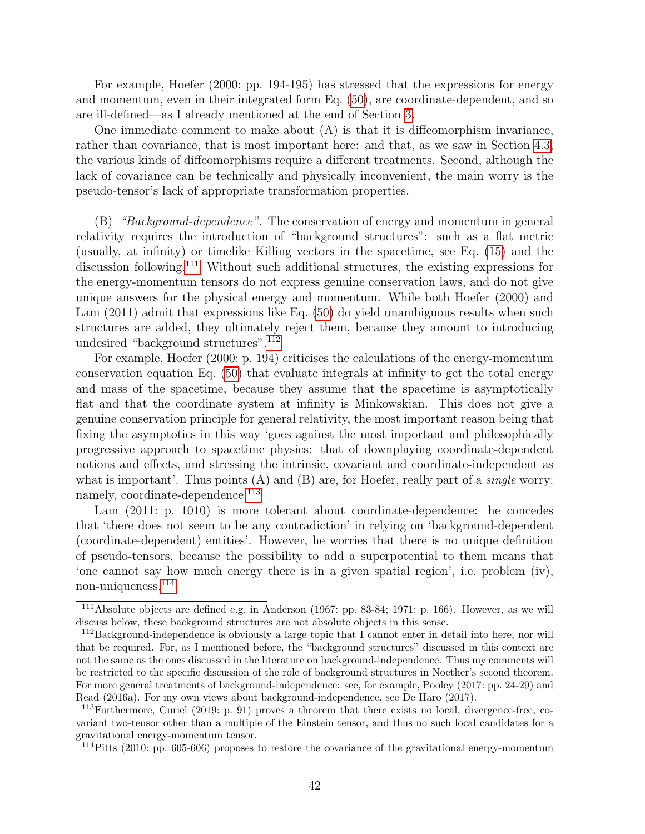For example, Hoefer (2000: pp. 194-195) has stressed that the expressions for energy and momentum, even in their integrated form Eq. [\(50\)](#page-27-4), are coordinate-dependent, and so are ill-defined—as I already mentioned at the end of Section [3.](#page-25-0)

One immediate comment to make about  $(A)$  is that it is diffeomorphism invariance, rather than covariance, that is most important here: and that, as we saw in Section [4.3,](#page-33-0) the various kinds of diffeomorphisms require a different treatments. Second, although the lack of covariance can be technically and physically inconvenient, the main worry is the pseudo-tensor's lack of appropriate transformation properties.

 $(B)$  "Background-dependence". The conservation of energy and momentum in general relativity requires the introduction of "background structures": such as a flat metric (usually, at infinity) or timelike Killing vectors in the spacetime, see Eq. [\(15\)](#page-13-2) and the discussion following.[111](#page-41-0) Without such additional structures, the existing expressions for the energy-momentum tensors do not express genuine conservation laws, and do not give unique answers for the physical energy and momentum. While both Hoefer (2000) and Lam (2011) admit that expressions like Eq. [\(50\)](#page-27-4) do yield unambiguous results when such structures are added, they ultimately reject them, because they amount to introducing undesired "background structures".[112](#page-41-1)

For example, Hoefer (2000: p. 194) criticises the calculations of the energy-momentum conservation equation Eq. [\(50\)](#page-27-4) that evaluate integrals at infinity to get the total energy and mass of the spacetime, because they assume that the spacetime is asymptotically flat and that the coordinate system at infinity is Minkowskian. This does not give a genuine conservation principle for general relativity, the most important reason being that fixing the asymptotics in this way 'goes against the most important and philosophically progressive approach to spacetime physics: that of downplaying coordinate-dependent notions and effects, and stressing the intrinsic, covariant and coordinate-independent as what is important'. Thus points  $(A)$  and  $(B)$  are, for Hoefer, really part of a *single* worry: namely, coordinate-dependence.<sup>[113](#page-41-2)</sup>

Lam (2011: p. 1010) is more tolerant about coordinate-dependence: he concedes that 'there does not seem to be any contradiction' in relying on 'background-dependent (coordinate-dependent) entities'. However, he worries that there is no unique definition of pseudo-tensors, because the possibility to add a superpotential to them means that 'one cannot say how much energy there is in a given spatial region', i.e. problem (iv), non-uniqueness.[114](#page-41-3)

<span id="page-41-0"></span><sup>111</sup>Absolute objects are defined e.g. in Anderson (1967: pp. 83-84; 1971: p. 166). However, as we will discuss below, these background structures are not absolute objects in this sense.

<span id="page-41-1"></span><sup>112</sup>Background-independence is obviously a large topic that I cannot enter in detail into here, nor will that be required. For, as I mentioned before, the "background structures" discussed in this context are not the same as the ones discussed in the literature on background-independence. Thus my comments will be restricted to the specific discussion of the role of background structures in Noether's second theorem. For more general treatments of background-independence: see, for example, Pooley (2017: pp. 24-29) and Read (2016a). For my own views about background-independence, see De Haro (2017).

<span id="page-41-2"></span><sup>113</sup>Furthermore, Curiel (2019: p. 91) proves a theorem that there exists no local, divergence-free, covariant two-tensor other than a multiple of the Einstein tensor, and thus no such local candidates for a gravitational energy-momentum tensor.

<span id="page-41-3"></span><sup>114</sup>Pitts (2010: pp. 605-606) proposes to restore the covariance of the gravitational energy-momentum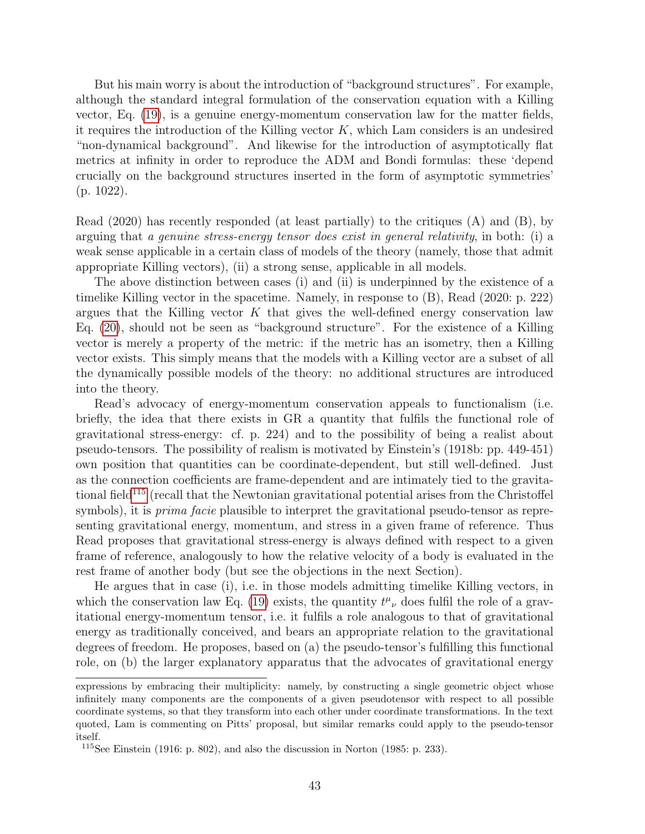But his main worry is about the introduction of "background structures". For example, although the standard integral formulation of the conservation equation with a Killing vector, Eq. [\(19\)](#page-14-5), is a genuine energy-momentum conservation law for the matter fields, it requires the introduction of the Killing vector  $K$ , which Lam considers is an undesired "non-dynamical background". And likewise for the introduction of asymptotically flat metrics at infinity in order to reproduce the ADM and Bondi formulas: these 'depend crucially on the background structures inserted in the form of asymptotic symmetries' (p. 1022).

Read (2020) has recently responded (at least partially) to the critiques (A) and (B), by arguing that a genuine stress-energy tensor does exist in general relativity, in both: (i) a weak sense applicable in a certain class of models of the theory (namely, those that admit appropriate Killing vectors), (ii) a strong sense, applicable in all models.

The above distinction between cases (i) and (ii) is underpinned by the existence of a timelike Killing vector in the spacetime. Namely, in response to (B), Read (2020: p. 222) argues that the Killing vector  $K$  that gives the well-defined energy conservation law Eq. [\(20\)](#page-14-6), should not be seen as "background structure". For the existence of a Killing vector is merely a property of the metric: if the metric has an isometry, then a Killing vector exists. This simply means that the models with a Killing vector are a subset of all the dynamically possible models of the theory: no additional structures are introduced into the theory.

Read's advocacy of energy-momentum conservation appeals to functionalism (i.e. briefly, the idea that there exists in GR a quantity that fulfils the functional role of gravitational stress-energy: cf. p. 224) and to the possibility of being a realist about pseudo-tensors. The possibility of realism is motivated by Einstein's (1918b: pp. 449-451) own position that quantities can be coordinate-dependent, but still well-defined. Just as the connection coefficients are frame-dependent and are intimately tied to the gravita-tional field<sup>[115](#page-42-0)</sup> (recall that the Newtonian gravitational potential arises from the Christoffel symbols), it is *prima facie* plausible to interpret the gravitational pseudo-tensor as representing gravitational energy, momentum, and stress in a given frame of reference. Thus Read proposes that gravitational stress-energy is always defined with respect to a given frame of reference, analogously to how the relative velocity of a body is evaluated in the rest frame of another body (but see the objections in the next Section).

He argues that in case (i), i.e. in those models admitting timelike Killing vectors, in which the conservation law Eq. [\(19\)](#page-14-5) exists, the quantity  $t^{\mu}{}_{\nu}$  does fulfil the role of a gravitational energy-momentum tensor, i.e. it fulfils a role analogous to that of gravitational energy as traditionally conceived, and bears an appropriate relation to the gravitational degrees of freedom. He proposes, based on (a) the pseudo-tensor's fulfilling this functional role, on (b) the larger explanatory apparatus that the advocates of gravitational energy

expressions by embracing their multiplicity: namely, by constructing a single geometric object whose infinitely many components are the components of a given pseudotensor with respect to all possible coordinate systems, so that they transform into each other under coordinate transformations. In the text quoted, Lam is commenting on Pitts' proposal, but similar remarks could apply to the pseudo-tensor itself.

<span id="page-42-0"></span> $115$ See Einstein (1916: p. 802), and also the discussion in Norton (1985: p. 233).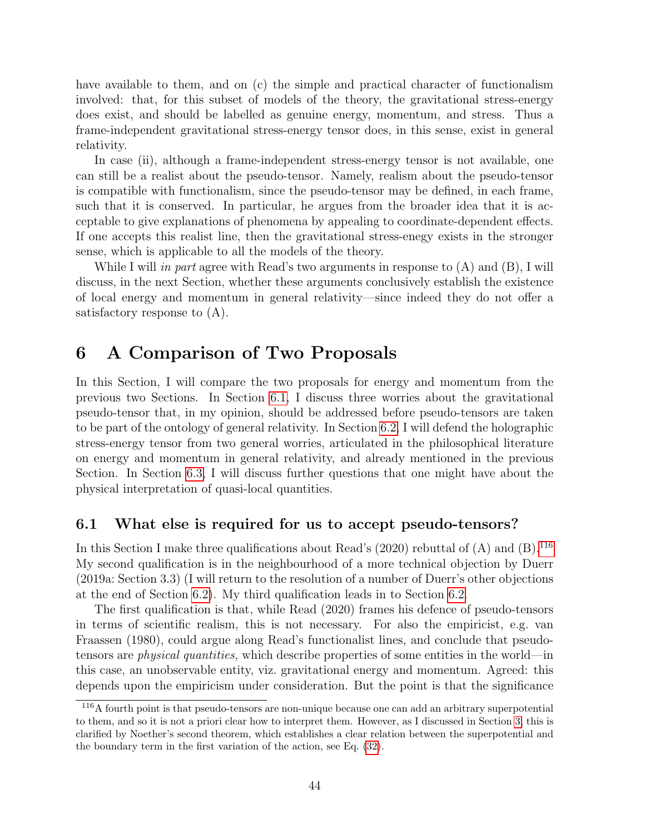have available to them, and on (c) the simple and practical character of functionalism involved: that, for this subset of models of the theory, the gravitational stress-energy does exist, and should be labelled as genuine energy, momentum, and stress. Thus a frame-independent gravitational stress-energy tensor does, in this sense, exist in general relativity.

In case (ii), although a frame-independent stress-energy tensor is not available, one can still be a realist about the pseudo-tensor. Namely, realism about the pseudo-tensor is compatible with functionalism, since the pseudo-tensor may be defined, in each frame, such that it is conserved. In particular, he argues from the broader idea that it is acceptable to give explanations of phenomena by appealing to coordinate-dependent effects. If one accepts this realist line, then the gravitational stress-enegy exists in the stronger sense, which is applicable to all the models of the theory.

While I will *in part* agree with Read's two arguments in response to  $(A)$  and  $(B)$ , I will discuss, in the next Section, whether these arguments conclusively establish the existence of local energy and momentum in general relativity—since indeed they do not offer a satisfactory response to (A).

### <span id="page-43-0"></span>6 A Comparison of Two Proposals

In this Section, I will compare the two proposals for energy and momentum from the previous two Sections. In Section [6.1,](#page-43-1) I discuss three worries about the gravitational pseudo-tensor that, in my opinion, should be addressed before pseudo-tensors are taken to be part of the ontology of general relativity. In Section [6.2,](#page-45-0) I will defend the holographic stress-energy tensor from two general worries, articulated in the philosophical literature on energy and momentum in general relativity, and already mentioned in the previous Section. In Section [6.3,](#page-50-0) I will discuss further questions that one might have about the physical interpretation of quasi-local quantities.

#### <span id="page-43-1"></span>6.1 What else is required for us to accept pseudo-tensors?

In this Section I make three qualifications about Read's  $(2020)$  rebuttal of  $(A)$  and  $(B).<sup>116</sup>$  $(B).<sup>116</sup>$  $(B).<sup>116</sup>$ My second qualification is in the neighbourhood of a more technical objection by Duerr (2019a: Section 3.3) (I will return to the resolution of a number of Duerr's other objections at the end of Section [6.2\)](#page-45-0). My third qualification leads in to Section [6.2.](#page-45-0)

The first qualification is that, while Read (2020) frames his defence of pseudo-tensors in terms of scientific realism, this is not necessary. For also the empiricist, e.g. van Fraassen (1980), could argue along Read's functionalist lines, and conclude that pseudotensors are *physical quantities*, which describe properties of some entities in the world—in this case, an unobservable entity, viz. gravitational energy and momentum. Agreed: this depends upon the empiricism under consideration. But the point is that the significance

<span id="page-43-2"></span><sup>116</sup>A fourth point is that pseudo-tensors are non-unique because one can add an arbitrary superpotential to them, and so it is not a priori clear how to interpret them. However, as I discussed in Section [3,](#page-25-0) this is clarified by Noether's second theorem, which establishes a clear relation between the superpotential and the boundary term in the first variation of the action, see Eq. [\(32\)](#page-20-0).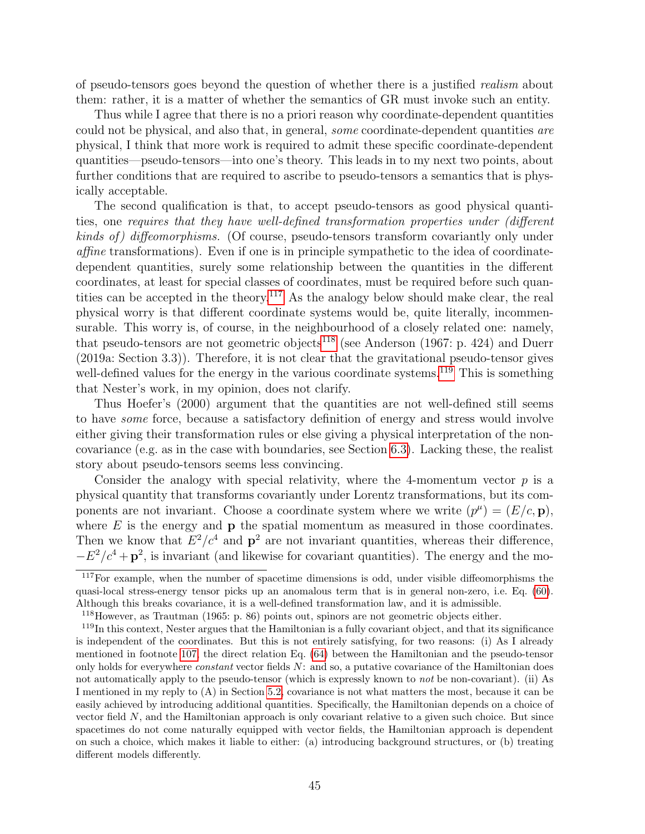of pseudo-tensors goes beyond the question of whether there is a justified realism about them: rather, it is a matter of whether the semantics of GR must invoke such an entity.

Thus while I agree that there is no a priori reason why coordinate-dependent quantities could not be physical, and also that, in general, some coordinate-dependent quantities are physical, I think that more work is required to admit these specific coordinate-dependent quantities—pseudo-tensors—into one's theory. This leads in to my next two points, about further conditions that are required to ascribe to pseudo-tensors a semantics that is physically acceptable.

The second qualification is that, to accept pseudo-tensors as good physical quantities, one requires that they have well-defined transformation properties under (different kinds of) diffeomorphisms. (Of course, pseudo-tensors transform covariantly only under affine transformations). Even if one is in principle sympathetic to the idea of coordinatedependent quantities, surely some relationship between the quantities in the different coordinates, at least for special classes of coordinates, must be required before such quantities can be accepted in the theory.[117](#page-44-0) As the analogy below should make clear, the real physical worry is that different coordinate systems would be, quite literally, incommensurable. This worry is, of course, in the neighbourhood of a closely related one: namely, that pseudo-tensors are not geometric objects<sup>[118](#page-44-1)</sup> (see Anderson  $(1967: p. 424)$ ) and Duerr (2019a: Section 3.3)). Therefore, it is not clear that the gravitational pseudo-tensor gives well-defined values for the energy in the various coordinate systems.<sup>[119](#page-44-2)</sup> This is something that Nester's work, in my opinion, does not clarify.

Thus Hoefer's (2000) argument that the quantities are not well-defined still seems to have some force, because a satisfactory definition of energy and stress would involve either giving their transformation rules or else giving a physical interpretation of the noncovariance (e.g. as in the case with boundaries, see Section [6.3\)](#page-50-0). Lacking these, the realist story about pseudo-tensors seems less convincing.

Consider the analogy with special relativity, where the 4-momentum vector  $p$  is a physical quantity that transforms covariantly under Lorentz transformations, but its components are not invariant. Choose a coordinate system where we write  $(p^{\mu}) = (E/c, \mathbf{p}),$ where  $E$  is the energy and  $\bf{p}$  the spatial momentum as measured in those coordinates. Then we know that  $E^2/c^4$  and  $\mathbf{p}^2$  are not invariant quantities, whereas their difference,  $-E^2/c^4 + p^2$ , is invariant (and likewise for covariant quantities). The energy and the mo-

<span id="page-44-0"></span><sup>&</sup>lt;sup>117</sup>For example, when the number of spacetime dimensions is odd, under visible diffeomorphisms the quasi-local stress-energy tensor picks up an anomalous term that is in general non-zero, i.e. Eq. [\(60\)](#page-35-6). Although this breaks covariance, it is a well-defined transformation law, and it is admissible.

<span id="page-44-2"></span><span id="page-44-1"></span><sup>118</sup>However, as Trautman (1965: p. 86) points out, spinors are not geometric objects either.

<sup>119</sup>In this context, Nester argues that the Hamiltonian is a fully covariant object, and that its significance is independent of the coordinates. But this is not entirely satisfying, for two reasons: (i) As I already mentioned in footnote [107,](#page-39-0) the direct relation Eq. [\(64\)](#page-38-1) between the Hamiltonian and the pseudo-tensor only holds for everywhere *constant* vector fields  $N$ : and so, a putative covariance of the Hamiltonian does not automatically apply to the pseudo-tensor (which is expressly known to not be non-covariant). (ii) As I mentioned in my reply to (A) in Section [5.2,](#page-40-0) covariance is not what matters the most, because it can be easily achieved by introducing additional quantities. Specifically, the Hamiltonian depends on a choice of vector field N, and the Hamiltonian approach is only covariant relative to a given such choice. But since spacetimes do not come naturally equipped with vector fields, the Hamiltonian approach is dependent on such a choice, which makes it liable to either: (a) introducing background structures, or (b) treating different models differently.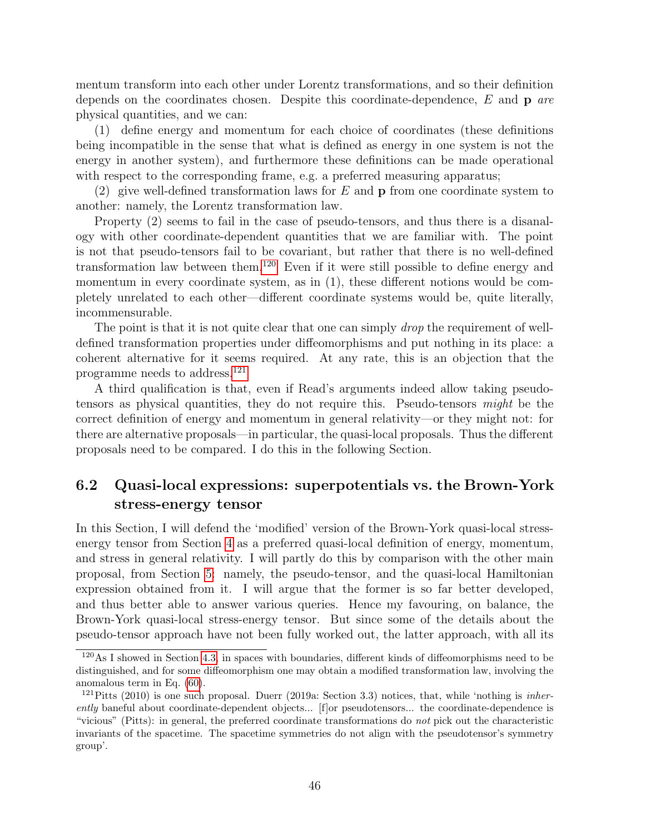mentum transform into each other under Lorentz transformations, and so their definition depends on the coordinates chosen. Despite this coordinate-dependence,  $E$  and  $p$  are physical quantities, and we can:

(1) define energy and momentum for each choice of coordinates (these definitions being incompatible in the sense that what is defined as energy in one system is not the energy in another system), and furthermore these definitions can be made operational with respect to the corresponding frame, e.g. a preferred measuring apparatus;

(2) give well-defined transformation laws for  $E$  and  $p$  from one coordinate system to another: namely, the Lorentz transformation law.

Property (2) seems to fail in the case of pseudo-tensors, and thus there is a disanalogy with other coordinate-dependent quantities that we are familiar with. The point is not that pseudo-tensors fail to be covariant, but rather that there is no well-defined transformation law between them.[120](#page-45-1) Even if it were still possible to define energy and momentum in every coordinate system, as in (1), these different notions would be completely unrelated to each other—different coordinate systems would be, quite literally, incommensurable.

The point is that it is not quite clear that one can simply *drop* the requirement of welldefined transformation properties under diffeomorphisms and put nothing in its place: a coherent alternative for it seems required. At any rate, this is an objection that the programme needs to address.[121](#page-45-2)

A third qualification is that, even if Read's arguments indeed allow taking pseudotensors as physical quantities, they do not require this. Pseudo-tensors might be the correct definition of energy and momentum in general relativity—or they might not: for there are alternative proposals—in particular, the quasi-local proposals. Thus the different proposals need to be compared. I do this in the following Section.

### <span id="page-45-0"></span>6.2 Quasi-local expressions: superpotentials vs. the Brown-York stress-energy tensor

In this Section, I will defend the 'modified' version of the Brown-York quasi-local stressenergy tensor from Section [4](#page-28-0) as a preferred quasi-local definition of energy, momentum, and stress in general relativity. I will partly do this by comparison with the other main proposal, from Section [5:](#page-37-0) namely, the pseudo-tensor, and the quasi-local Hamiltonian expression obtained from it. I will argue that the former is so far better developed, and thus better able to answer various queries. Hence my favouring, on balance, the Brown-York quasi-local stress-energy tensor. But since some of the details about the pseudo-tensor approach have not been fully worked out, the latter approach, with all its

<span id="page-45-1"></span><sup>120</sup>As I showed in Section [4.3,](#page-33-0) in spaces with boundaries, different kinds of diffeomorphisms need to be distinguished, and for some diffeomorphism one may obtain a modified transformation law, involving the anomalous term in Eq. [\(60\)](#page-35-6).

<span id="page-45-2"></span> $121$ Pitts (2010) is one such proposal. Duerr (2019a: Section 3.3) notices, that, while 'nothing is *inher*ently baneful about coordinate-dependent objects... [f]or pseudotensors... the coordinate-dependence is "vicious" (Pitts): in general, the preferred coordinate transformations do not pick out the characteristic invariants of the spacetime. The spacetime symmetries do not align with the pseudotensor's symmetry group'.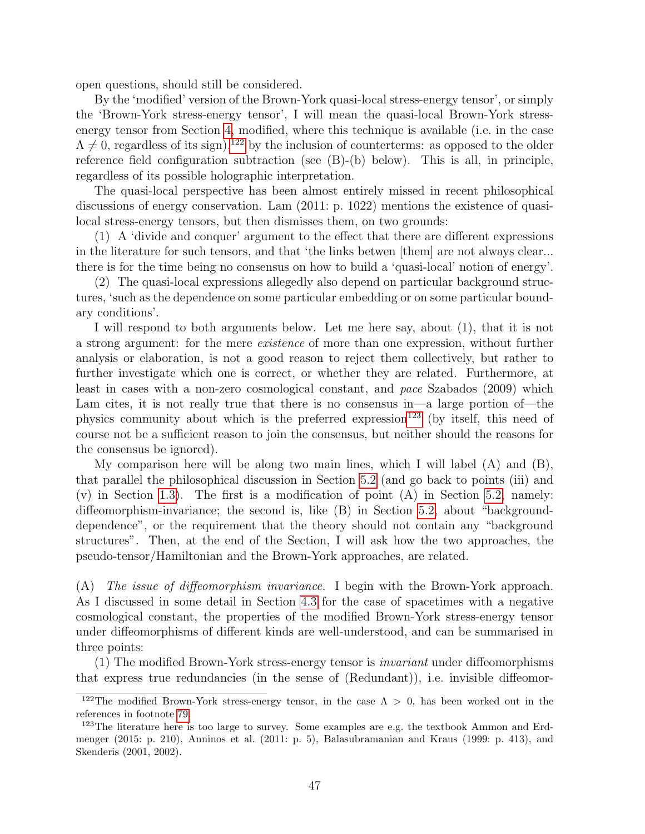open questions, should still be considered.

By the 'modified' version of the Brown-York quasi-local stress-energy tensor', or simply the 'Brown-York stress-energy tensor', I will mean the quasi-local Brown-York stressenergy tensor from Section [4,](#page-28-0) modified, where this technique is available (i.e. in the case  $\Lambda \neq 0$ , regardless of its sign),<sup>[122](#page-46-0)</sup> by the inclusion of counterterms: as opposed to the older reference field configuration subtraction (see (B)-(b) below). This is all, in principle, regardless of its possible holographic interpretation.

The quasi-local perspective has been almost entirely missed in recent philosophical discussions of energy conservation. Lam (2011: p. 1022) mentions the existence of quasilocal stress-energy tensors, but then dismisses them, on two grounds:

(1) A 'divide and conquer' argument to the effect that there are different expressions in the literature for such tensors, and that 'the links betwen [them] are not always clear... there is for the time being no consensus on how to build a 'quasi-local' notion of energy'.

(2) The quasi-local expressions allegedly also depend on particular background structures, 'such as the dependence on some particular embedding or on some particular boundary conditions'.

I will respond to both arguments below. Let me here say, about (1), that it is not a strong argument: for the mere existence of more than one expression, without further analysis or elaboration, is not a good reason to reject them collectively, but rather to further investigate which one is correct, or whether they are related. Furthermore, at least in cases with a non-zero cosmological constant, and pace Szabados (2009) which Lam cites, it is not really true that there is no consensus in—a large portion of—the physics community about which is the preferred expression<sup>[123](#page-46-1)</sup> (by itself, this need of course not be a sufficient reason to join the consensus, but neither should the reasons for the consensus be ignored).

My comparison here will be along two main lines, which I will label (A) and (B), that parallel the philosophical discussion in Section [5.2](#page-40-0) (and go back to points (iii) and  $(v)$  in Section [1.3\)](#page-14-0). The first is a modification of point  $(A)$  in Section [5.2,](#page-40-0) namely: diffeomorphism-invariance; the second is, like (B) in Section [5.2,](#page-40-0) about "backgrounddependence", or the requirement that the theory should not contain any "background structures". Then, at the end of the Section, I will ask how the two approaches, the pseudo-tensor/Hamiltonian and the Brown-York approaches, are related.

(A) The issue of diffeomorphism invariance. I begin with the Brown-York approach. As I discussed in some detail in Section [4.3](#page-33-0) for the case of spacetimes with a negative cosmological constant, the properties of the modified Brown-York stress-energy tensor under diffeomorphisms of different kinds are well-understood, and can be summarised in three points:

(1) The modified Brown-York stress-energy tensor is invariant under diffeomorphisms that express true redundancies (in the sense of (Redundant)), i.e. invisible diffeomor-

<span id="page-46-0"></span><sup>&</sup>lt;sup>122</sup>The modified Brown-York stress-energy tensor, in the case  $\Lambda > 0$ , has been worked out in the references in footnote [79.](#page-30-2)

<span id="page-46-1"></span><sup>&</sup>lt;sup>123</sup>The literature here is too large to survey. Some examples are e.g. the textbook Ammon and Erdmenger (2015: p. 210), Anninos et al. (2011: p. 5), Balasubramanian and Kraus (1999: p. 413), and Skenderis (2001, 2002).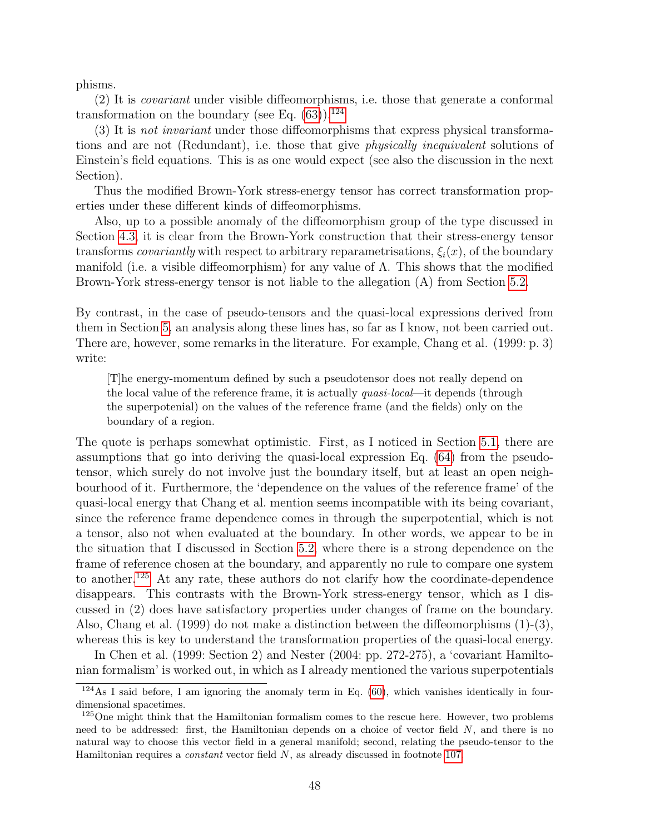phisms.

(2) It is covariant under visible diffeomorphisms, i.e. those that generate a conformal transformation on the boundary (see Eq.  $(63)$ ).<sup>[124](#page-47-0)</sup>

(3) It is not invariant under those diffeomorphisms that express physical transformations and are not (Redundant), i.e. those that give physically inequivalent solutions of Einstein's field equations. This is as one would expect (see also the discussion in the next Section).

Thus the modified Brown-York stress-energy tensor has correct transformation properties under these different kinds of diffeomorphisms.

Also, up to a possible anomaly of the diffeomorphism group of the type discussed in Section [4.3,](#page-33-0) it is clear from the Brown-York construction that their stress-energy tensor transforms *covariantly* with respect to arbitrary reparametrisations,  $\xi_i(x)$ , of the boundary manifold (i.e. a visible diffeomorphism) for any value of  $\Lambda$ . This shows that the modified Brown-York stress-energy tensor is not liable to the allegation (A) from Section [5.2.](#page-40-0)

By contrast, in the case of pseudo-tensors and the quasi-local expressions derived from them in Section [5,](#page-37-0) an analysis along these lines has, so far as I know, not been carried out. There are, however, some remarks in the literature. For example, Chang et al. (1999: p. 3) write:

[T]he energy-momentum defined by such a pseudotensor does not really depend on the local value of the reference frame, it is actually quasi-local—it depends (through the superpotenial) on the values of the reference frame (and the fields) only on the boundary of a region.

The quote is perhaps somewhat optimistic. First, as I noticed in Section [5.1,](#page-37-1) there are assumptions that go into deriving the quasi-local expression Eq. [\(64\)](#page-38-1) from the pseudotensor, which surely do not involve just the boundary itself, but at least an open neighbourhood of it. Furthermore, the 'dependence on the values of the reference frame' of the quasi-local energy that Chang et al. mention seems incompatible with its being covariant, since the reference frame dependence comes in through the superpotential, which is not a tensor, also not when evaluated at the boundary. In other words, we appear to be in the situation that I discussed in Section [5.2,](#page-40-0) where there is a strong dependence on the frame of reference chosen at the boundary, and apparently no rule to compare one system to another.[125](#page-47-1) At any rate, these authors do not clarify how the coordinate-dependence disappears. This contrasts with the Brown-York stress-energy tensor, which as I discussed in (2) does have satisfactory properties under changes of frame on the boundary. Also, Chang et al. (1999) do not make a distinction between the diffeomorphisms  $(1)-(3)$ , whereas this is key to understand the transformation properties of the quasi-local energy.

In Chen et al. (1999: Section 2) and Nester (2004: pp. 272-275), a 'covariant Hamiltonian formalism' is worked out, in which as I already mentioned the various superpotentials

<span id="page-47-0"></span> $124$ As I said before, I am ignoring the anomaly term in Eq. [\(60\)](#page-35-6), which vanishes identically in fourdimensional spacetimes.

<span id="page-47-1"></span><sup>&</sup>lt;sup>125</sup>One might think that the Hamiltonian formalism comes to the rescue here. However, two problems need to be addressed: first, the Hamiltonian depends on a choice of vector field  $N$ , and there is no natural way to choose this vector field in a general manifold; second, relating the pseudo-tensor to the Hamiltonian requires a constant vector field N, as already discussed in footnote [107.](#page-39-0)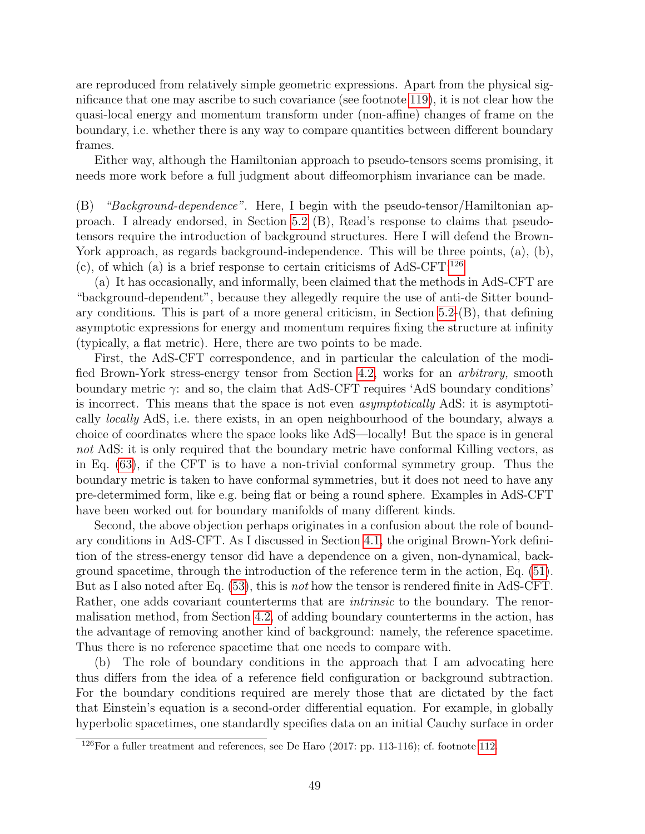are reproduced from relatively simple geometric expressions. Apart from the physical significance that one may ascribe to such covariance (see footnote [119\)](#page-44-2), it is not clear how the quasi-local energy and momentum transform under (non-affine) changes of frame on the boundary, i.e. whether there is any way to compare quantities between different boundary frames.

Either way, although the Hamiltonian approach to pseudo-tensors seems promising, it needs more work before a full judgment about diffeomorphism invariance can be made.

(B) "Background-dependence". Here, I begin with the pseudo-tensor/Hamiltonian approach. I already endorsed, in Section [5.2](#page-40-0) (B), Read's response to claims that pseudotensors require the introduction of background structures. Here I will defend the Brown-York approach, as regards background-independence. This will be three points, (a), (b), (c), of which (a) is a brief response to certain criticisms of AdS-CFT: $^{126}$  $^{126}$  $^{126}$ 

(a) It has occasionally, and informally, been claimed that the methods in AdS-CFT are "background-dependent", because they allegedly require the use of anti-de Sitter boundary conditions. This is part of a more general criticism, in Section [5.2-](#page-40-0)(B), that defining asymptotic expressions for energy and momentum requires fixing the structure at infinity (typically, a flat metric). Here, there are two points to be made.

First, the AdS-CFT correspondence, and in particular the calculation of the modified Brown-York stress-energy tensor from Section [4.2,](#page-30-0) works for an arbitrary, smooth boundary metric  $\gamma$ : and so, the claim that AdS-CFT requires 'AdS boundary conditions' is incorrect. This means that the space is not even *asymptotically* AdS: it is asymptotically locally AdS, i.e. there exists, in an open neighbourhood of the boundary, always a choice of coordinates where the space looks like AdS—locally! But the space is in general not AdS: it is only required that the boundary metric have conformal Killing vectors, as in Eq. [\(63\)](#page-37-2), if the CFT is to have a non-trivial conformal symmetry group. Thus the boundary metric is taken to have conformal symmetries, but it does not need to have any pre-determimed form, like e.g. being flat or being a round sphere. Examples in AdS-CFT have been worked out for boundary manifolds of many different kinds.

Second, the above objection perhaps originates in a confusion about the role of boundary conditions in AdS-CFT. As I discussed in Section [4.1,](#page-28-1) the original Brown-York definition of the stress-energy tensor did have a dependence on a given, non-dynamical, background spacetime, through the introduction of the reference term in the action, Eq. [\(51\)](#page-28-2). But as I also noted after Eq. [\(53\)](#page-29-2), this is not how the tensor is rendered finite in AdS-CFT. Rather, one adds covariant counterterms that are *intrinsic* to the boundary. The renormalisation method, from Section [4.2,](#page-30-0) of adding boundary counterterms in the action, has the advantage of removing another kind of background: namely, the reference spacetime. Thus there is no reference spacetime that one needs to compare with.

(b) The role of boundary conditions in the approach that I am advocating here thus differs from the idea of a reference field configuration or background subtraction. For the boundary conditions required are merely those that are dictated by the fact that Einstein's equation is a second-order differential equation. For example, in globally hyperbolic spacetimes, one standardly specifies data on an initial Cauchy surface in order

<span id="page-48-0"></span> $126$  For a fuller treatment and references, see De Haro (2017: pp. 113-116); cf. footnote [112.](#page-41-1)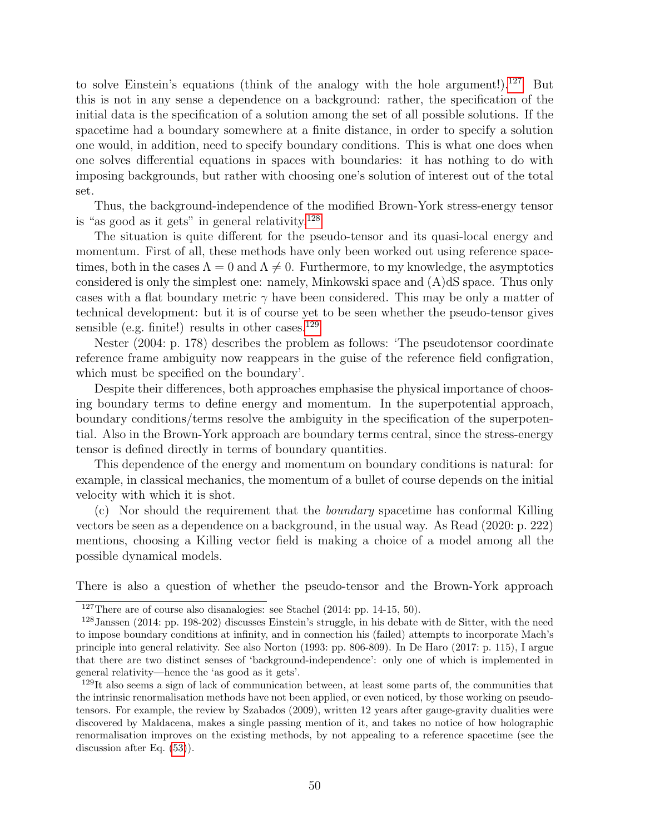to solve Einstein's equations (think of the analogy with the hole argument!).<sup>[127](#page-49-0)</sup> But this is not in any sense a dependence on a background: rather, the specification of the initial data is the specification of a solution among the set of all possible solutions. If the spacetime had a boundary somewhere at a finite distance, in order to specify a solution one would, in addition, need to specify boundary conditions. This is what one does when one solves differential equations in spaces with boundaries: it has nothing to do with imposing backgrounds, but rather with choosing one's solution of interest out of the total set.

Thus, the background-independence of the modified Brown-York stress-energy tensor is "as good as it gets" in general relativity. $128$ 

The situation is quite different for the pseudo-tensor and its quasi-local energy and momentum. First of all, these methods have only been worked out using reference spacetimes, both in the cases  $\Lambda = 0$  and  $\Lambda \neq 0$ . Furthermore, to my knowledge, the asymptotics considered is only the simplest one: namely, Minkowski space and (A)dS space. Thus only cases with a flat boundary metric  $\gamma$  have been considered. This may be only a matter of technical development: but it is of course yet to be seen whether the pseudo-tensor gives sensible (e.g. finite!) results in other cases. $^{129}$  $^{129}$  $^{129}$ 

Nester (2004: p. 178) describes the problem as follows: 'The pseudotensor coordinate reference frame ambiguity now reappears in the guise of the reference field configration, which must be specified on the boundary'.

Despite their differences, both approaches emphasise the physical importance of choosing boundary terms to define energy and momentum. In the superpotential approach, boundary conditions/terms resolve the ambiguity in the specification of the superpotential. Also in the Brown-York approach are boundary terms central, since the stress-energy tensor is defined directly in terms of boundary quantities.

This dependence of the energy and momentum on boundary conditions is natural: for example, in classical mechanics, the momentum of a bullet of course depends on the initial velocity with which it is shot.

 $(c)$  Nor should the requirement that the *boundary* spacetime has conformal Killing vectors be seen as a dependence on a background, in the usual way. As Read (2020: p. 222) mentions, choosing a Killing vector field is making a choice of a model among all the possible dynamical models.

There is also a question of whether the pseudo-tensor and the Brown-York approach

<span id="page-49-1"></span><span id="page-49-0"></span><sup>127</sup>There are of course also disanalogies: see Stachel (2014: pp. 14-15, 50).

<sup>128</sup>Janssen (2014: pp. 198-202) discusses Einstein's struggle, in his debate with de Sitter, with the need to impose boundary conditions at infinity, and in connection his (failed) attempts to incorporate Mach's principle into general relativity. See also Norton (1993: pp. 806-809). In De Haro (2017: p. 115), I argue that there are two distinct senses of 'background-independence': only one of which is implemented in general relativity—hence the 'as good as it gets'.

<span id="page-49-2"></span><sup>129</sup>It also seems a sign of lack of communication between, at least some parts of, the communities that the intrinsic renormalisation methods have not been applied, or even noticed, by those working on pseudotensors. For example, the review by Szabados (2009), written 12 years after gauge-gravity dualities were discovered by Maldacena, makes a single passing mention of it, and takes no notice of how holographic renormalisation improves on the existing methods, by not appealing to a reference spacetime (see the discussion after Eq. [\(53\)](#page-29-2)).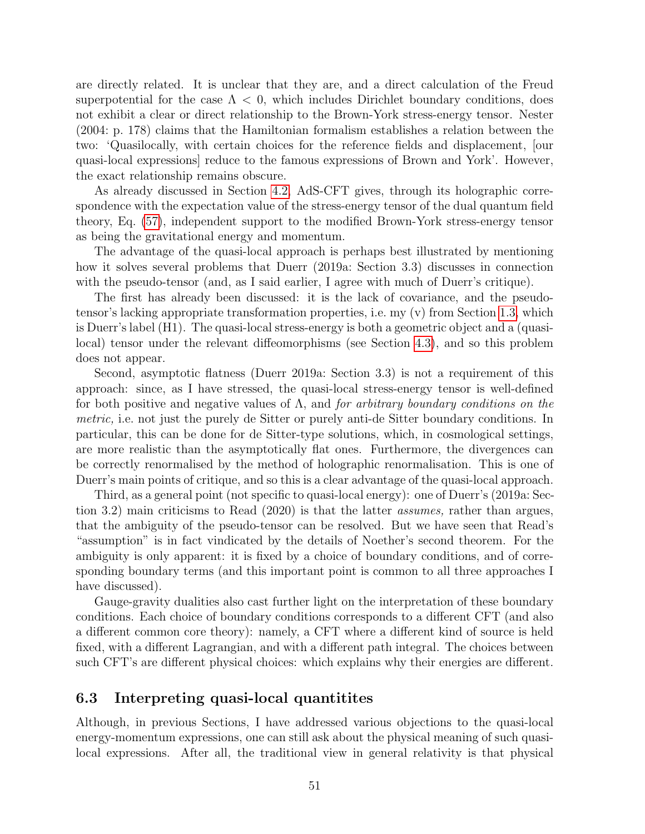are directly related. It is unclear that they are, and a direct calculation of the Freud superpotential for the case  $\Lambda < 0$ , which includes Dirichlet boundary conditions, does not exhibit a clear or direct relationship to the Brown-York stress-energy tensor. Nester (2004: p. 178) claims that the Hamiltonian formalism establishes a relation between the two: 'Quasilocally, with certain choices for the reference fields and displacement, [our quasi-local expressions] reduce to the famous expressions of Brown and York'. However, the exact relationship remains obscure.

As already discussed in Section [4.2,](#page-30-0) AdS-CFT gives, through its holographic correspondence with the expectation value of the stress-energy tensor of the dual quantum field theory, Eq. [\(57\)](#page-31-5), independent support to the modified Brown-York stress-energy tensor as being the gravitational energy and momentum.

The advantage of the quasi-local approach is perhaps best illustrated by mentioning how it solves several problems that Duerr (2019a: Section 3.3) discusses in connection with the pseudo-tensor (and, as I said earlier, I agree with much of Duerr's critique).

The first has already been discussed: it is the lack of covariance, and the pseudotensor's lacking appropriate transformation properties, i.e. my (v) from Section [1.3,](#page-14-0) which is Duerr's label (H1). The quasi-local stress-energy is both a geometric object and a (quasilocal) tensor under the relevant diffeomorphisms (see Section [4.3\)](#page-33-0), and so this problem does not appear.

Second, asymptotic flatness (Duerr 2019a: Section 3.3) is not a requirement of this approach: since, as I have stressed, the quasi-local stress-energy tensor is well-defined for both positive and negative values of  $\Lambda$ , and *for arbitrary boundary conditions on the* metric, i.e. not just the purely de Sitter or purely anti-de Sitter boundary conditions. In particular, this can be done for de Sitter-type solutions, which, in cosmological settings, are more realistic than the asymptotically flat ones. Furthermore, the divergences can be correctly renormalised by the method of holographic renormalisation. This is one of Duerr's main points of critique, and so this is a clear advantage of the quasi-local approach.

Third, as a general point (not specific to quasi-local energy): one of Duerr's (2019a: Section 3.2) main criticisms to Read (2020) is that the latter assumes, rather than argues, that the ambiguity of the pseudo-tensor can be resolved. But we have seen that Read's "assumption" is in fact vindicated by the details of Noether's second theorem. For the ambiguity is only apparent: it is fixed by a choice of boundary conditions, and of corresponding boundary terms (and this important point is common to all three approaches I have discussed).

Gauge-gravity dualities also cast further light on the interpretation of these boundary conditions. Each choice of boundary conditions corresponds to a different CFT (and also a different common core theory): namely, a CFT where a different kind of source is held fixed, with a different Lagrangian, and with a different path integral. The choices between such CFT's are different physical choices: which explains why their energies are different.

#### <span id="page-50-0"></span>6.3 Interpreting quasi-local quantitites

Although, in previous Sections, I have addressed various objections to the quasi-local energy-momentum expressions, one can still ask about the physical meaning of such quasilocal expressions. After all, the traditional view in general relativity is that physical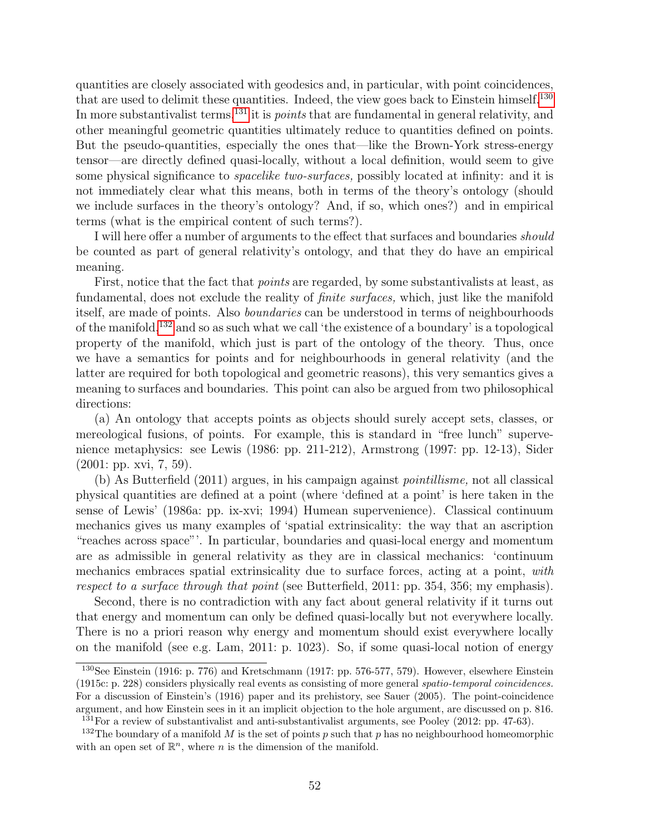quantities are closely associated with geodesics and, in particular, with point coincidences, that are used to delimit these quantities. Indeed, the view goes back to Einstein himself.<sup>[130](#page-51-0)</sup> In more substantivalist terms,  $^{131}$  $^{131}$  $^{131}$  it is *points* that are fundamental in general relativity, and other meaningful geometric quantities ultimately reduce to quantities defined on points. But the pseudo-quantities, especially the ones that—like the Brown-York stress-energy tensor—are directly defined quasi-locally, without a local definition, would seem to give some physical significance to *spacelike two-surfaces*, possibly located at infinity: and it is not immediately clear what this means, both in terms of the theory's ontology (should we include surfaces in the theory's ontology? And, if so, which ones?) and in empirical terms (what is the empirical content of such terms?).

I will here offer a number of arguments to the effect that surfaces and boundaries *should* be counted as part of general relativity's ontology, and that they do have an empirical meaning.

First, notice that the fact that *points* are regarded, by some substantivalists at least, as fundamental, does not exclude the reality of finite surfaces, which, just like the manifold itself, are made of points. Also boundaries can be understood in terms of neighbourhoods of the manifold,[132](#page-51-2) and so as such what we call 'the existence of a boundary' is a topological property of the manifold, which just is part of the ontology of the theory. Thus, once we have a semantics for points and for neighbourhoods in general relativity (and the latter are required for both topological and geometric reasons), this very semantics gives a meaning to surfaces and boundaries. This point can also be argued from two philosophical directions:

(a) An ontology that accepts points as objects should surely accept sets, classes, or mereological fusions, of points. For example, this is standard in "free lunch" supervenience metaphysics: see Lewis (1986: pp. 211-212), Armstrong (1997: pp. 12-13), Sider (2001: pp. xvi, 7, 59).

(b) As Butterfield (2011) argues, in his campaign against pointillisme, not all classical physical quantities are defined at a point (where 'defined at a point' is here taken in the sense of Lewis' (1986a: pp. ix-xvi; 1994) Humean supervenience). Classical continuum mechanics gives us many examples of 'spatial extrinsicality: the way that an ascription "reaches across space"'. In particular, boundaries and quasi-local energy and momentum are as admissible in general relativity as they are in classical mechanics: 'continuum mechanics embraces spatial extrinsicality due to surface forces, acting at a point, with respect to a surface through that point (see Butterfield, 2011: pp. 354, 356; my emphasis).

Second, there is no contradiction with any fact about general relativity if it turns out that energy and momentum can only be defined quasi-locally but not everywhere locally. There is no a priori reason why energy and momentum should exist everywhere locally on the manifold (see e.g. Lam, 2011: p. 1023). So, if some quasi-local notion of energy

<span id="page-51-0"></span><sup>130</sup>See Einstein (1916: p. 776) and Kretschmann (1917: pp. 576-577, 579). However, elsewhere Einstein (1915c: p. 228) considers physically real events as consisting of more general spatio-temporal coincidences. For a discussion of Einstein's (1916) paper and its prehistory, see Sauer (2005). The point-coincidence argument, and how Einstein sees in it an implicit objection to the hole argument, are discussed on p. 816.  $^{131}$ For a review of substantivalist and anti-substantivalist arguments, see Pooley (2012: pp. 47-63).

<span id="page-51-2"></span><span id="page-51-1"></span><sup>&</sup>lt;sup>132</sup>The boundary of a manifold M is the set of points p such that p has no neighbourhood homeomorphic with an open set of  $\mathbb{R}^n$ , where *n* is the dimension of the manifold.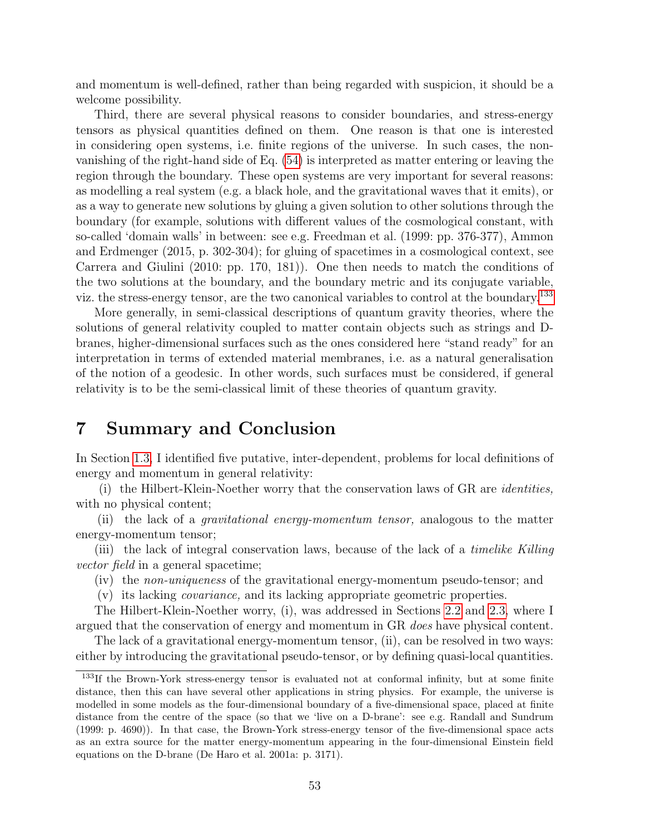and momentum is well-defined, rather than being regarded with suspicion, it should be a welcome possibility.

Third, there are several physical reasons to consider boundaries, and stress-energy tensors as physical quantities defined on them. One reason is that one is interested in considering open systems, i.e. finite regions of the universe. In such cases, the nonvanishing of the right-hand side of Eq. [\(54\)](#page-29-3) is interpreted as matter entering or leaving the region through the boundary. These open systems are very important for several reasons: as modelling a real system (e.g. a black hole, and the gravitational waves that it emits), or as a way to generate new solutions by gluing a given solution to other solutions through the boundary (for example, solutions with different values of the cosmological constant, with so-called 'domain walls' in between: see e.g. Freedman et al. (1999: pp. 376-377), Ammon and Erdmenger (2015, p. 302-304); for gluing of spacetimes in a cosmological context, see Carrera and Giulini (2010: pp. 170, 181)). One then needs to match the conditions of the two solutions at the boundary, and the boundary metric and its conjugate variable, viz. the stress-energy tensor, are the two canonical variables to control at the boundary.<sup>[133](#page-52-1)</sup>

More generally, in semi-classical descriptions of quantum gravity theories, where the solutions of general relativity coupled to matter contain objects such as strings and Dbranes, higher-dimensional surfaces such as the ones considered here "stand ready" for an interpretation in terms of extended material membranes, i.e. as a natural generalisation of the notion of a geodesic. In other words, such surfaces must be considered, if general relativity is to be the semi-classical limit of these theories of quantum gravity.

### <span id="page-52-0"></span>7 Summary and Conclusion

In Section [1.3,](#page-14-0) I identified five putative, inter-dependent, problems for local definitions of energy and momentum in general relativity:

(i) the Hilbert-Klein-Noether worry that the conservation laws of GR are identities, with no physical content;

(ii) the lack of a gravitational energy-momentum tensor, analogous to the matter energy-momentum tensor;

(iii) the lack of integral conservation laws, because of the lack of a timelike Killing vector field in a general spacetime;

(iv) the non-uniqueness of the gravitational energy-momentum pseudo-tensor; and

(v) its lacking covariance, and its lacking appropriate geometric properties.

The Hilbert-Klein-Noether worry, (i), was addressed in Sections [2.2](#page-19-0) and [2.3,](#page-22-0) where I argued that the conservation of energy and momentum in GR does have physical content.

The lack of a gravitational energy-momentum tensor, (ii), can be resolved in two ways: either by introducing the gravitational pseudo-tensor, or by defining quasi-local quantities.

<span id="page-52-1"></span><sup>&</sup>lt;sup>133</sup>If the Brown-York stress-energy tensor is evaluated not at conformal infinity, but at some finite distance, then this can have several other applications in string physics. For example, the universe is modelled in some models as the four-dimensional boundary of a five-dimensional space, placed at finite distance from the centre of the space (so that we 'live on a D-brane': see e.g. Randall and Sundrum (1999: p. 4690)). In that case, the Brown-York stress-energy tensor of the five-dimensional space acts as an extra source for the matter energy-momentum appearing in the four-dimensional Einstein field equations on the D-brane (De Haro et al. 2001a: p. 3171).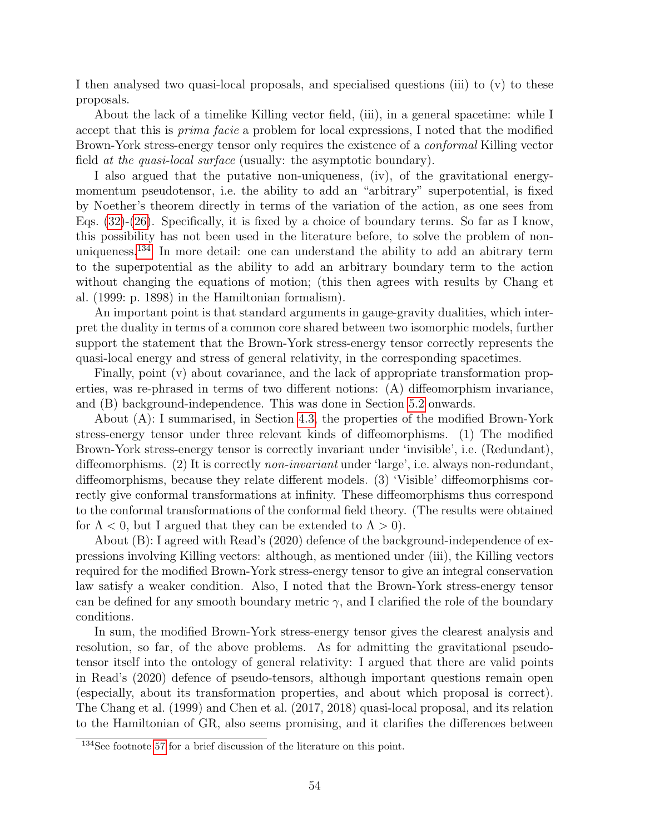I then analysed two quasi-local proposals, and specialised questions (iii) to (v) to these proposals.

About the lack of a timelike Killing vector field, (iii), in a general spacetime: while I accept that this is prima facie a problem for local expressions, I noted that the modified Brown-York stress-energy tensor only requires the existence of a conformal Killing vector field at the quasi-local surface (usually: the asymptotic boundary).

I also argued that the putative non-uniqueness, (iv), of the gravitational energymomentum pseudotensor, i.e. the ability to add an "arbitrary" superpotential, is fixed by Noether's theorem directly in terms of the variation of the action, as one sees from Eqs.  $(32)-(26)$  $(32)-(26)$ . Specifically, it is fixed by a choice of boundary terms. So far as I know, this possibility has not been used in the literature before, to solve the problem of nonuniqueness.[134](#page-53-0) In more detail: one can understand the ability to add an abitrary term to the superpotential as the ability to add an arbitrary boundary term to the action without changing the equations of motion; (this then agrees with results by Chang et al. (1999: p. 1898) in the Hamiltonian formalism).

An important point is that standard arguments in gauge-gravity dualities, which interpret the duality in terms of a common core shared between two isomorphic models, further support the statement that the Brown-York stress-energy tensor correctly represents the quasi-local energy and stress of general relativity, in the corresponding spacetimes.

Finally, point (v) about covariance, and the lack of appropriate transformation properties, was re-phrased in terms of two different notions: (A) diffeomorphism invariance, and (B) background-independence. This was done in Section [5.2](#page-40-0) onwards.

About (A): I summarised, in Section [4.3,](#page-33-0) the properties of the modified Brown-York stress-energy tensor under three relevant kinds of diffeomorphisms. (1) The modified Brown-York stress-energy tensor is correctly invariant under 'invisible', i.e. (Redundant), diffeomorphisms. (2) It is correctly non-invariant under 'large', i.e. always non-redundant, diffeomorphisms, because they relate different models. (3) 'Visible' diffeomorphisms correctly give conformal transformations at infinity. These diffeomorphisms thus correspond to the conformal transformations of the conformal field theory. (The results were obtained for  $\Lambda < 0$ , but I argued that they can be extended to  $\Lambda > 0$ .

About (B): I agreed with Read's (2020) defence of the background-independence of expressions involving Killing vectors: although, as mentioned under (iii), the Killing vectors required for the modified Brown-York stress-energy tensor to give an integral conservation law satisfy a weaker condition. Also, I noted that the Brown-York stress-energy tensor can be defined for any smooth boundary metric  $\gamma$ , and I clarified the role of the boundary conditions.

In sum, the modified Brown-York stress-energy tensor gives the clearest analysis and resolution, so far, of the above problems. As for admitting the gravitational pseudotensor itself into the ontology of general relativity: I argued that there are valid points in Read's (2020) defence of pseudo-tensors, although important questions remain open (especially, about its transformation properties, and about which proposal is correct). The Chang et al. (1999) and Chen et al. (2017, 2018) quasi-local proposal, and its relation to the Hamiltonian of GR, also seems promising, and it clarifies the differences between

<span id="page-53-0"></span><sup>134</sup>See footnote [57](#page-22-1) for a brief discussion of the literature on this point.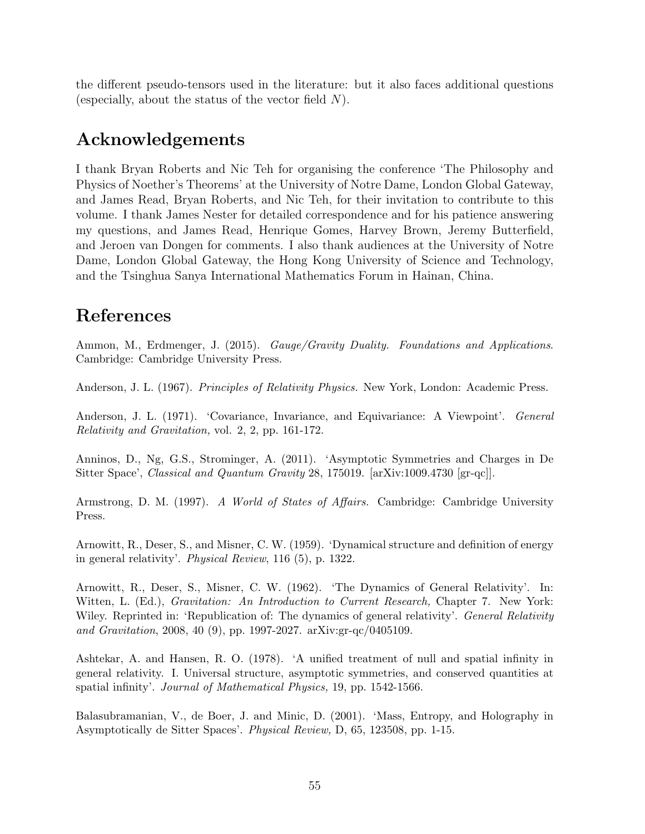the different pseudo-tensors used in the literature: but it also faces additional questions (especially, about the status of the vector field  $N$ ).

## <span id="page-54-0"></span>Acknowledgements

I thank Bryan Roberts and Nic Teh for organising the conference 'The Philosophy and Physics of Noether's Theorems' at the University of Notre Dame, London Global Gateway, and James Read, Bryan Roberts, and Nic Teh, for their invitation to contribute to this volume. I thank James Nester for detailed correspondence and for his patience answering my questions, and James Read, Henrique Gomes, Harvey Brown, Jeremy Butterfield, and Jeroen van Dongen for comments. I also thank audiences at the University of Notre Dame, London Global Gateway, the Hong Kong University of Science and Technology, and the Tsinghua Sanya International Mathematics Forum in Hainan, China.

# <span id="page-54-1"></span>References

Ammon, M., Erdmenger, J. (2015). Gauge/Gravity Duality. Foundations and Applications. Cambridge: Cambridge University Press.

Anderson, J. L. (1967). Principles of Relativity Physics. New York, London: Academic Press.

Anderson, J. L. (1971). 'Covariance, Invariance, and Equivariance: A Viewpoint'. General Relativity and Gravitation, vol. 2, 2, pp. 161-172.

Anninos, D., Ng, G.S., Strominger, A. (2011). 'Asymptotic Symmetries and Charges in De Sitter Space', Classical and Quantum Gravity 28, 175019. [arXiv:1009.4730 [gr-qc]].

Armstrong, D. M. (1997). A World of States of Affairs. Cambridge: Cambridge University Press.

Arnowitt, R., Deser, S., and Misner, C. W. (1959). 'Dynamical structure and definition of energy in general relativity'. Physical Review, 116 (5), p. 1322.

Arnowitt, R., Deser, S., Misner, C. W. (1962). 'The Dynamics of General Relativity'. In: Witten, L. (Ed.), *Gravitation: An Introduction to Current Research*, Chapter 7. New York: Wiley. Reprinted in: 'Republication of: The dynamics of general relativity'. *General Relativity* and Gravitation, 2008, 40 (9), pp. 1997-2027. arXiv:gr-qc/0405109.

Ashtekar, A. and Hansen, R. O. (1978). 'A unified treatment of null and spatial infinity in general relativity. I. Universal structure, asymptotic symmetries, and conserved quantities at spatial infinity'. Journal of Mathematical Physics, 19, pp. 1542-1566.

Balasubramanian, V., de Boer, J. and Minic, D. (2001). 'Mass, Entropy, and Holography in Asymptotically de Sitter Spaces'. Physical Review, D, 65, 123508, pp. 1-15.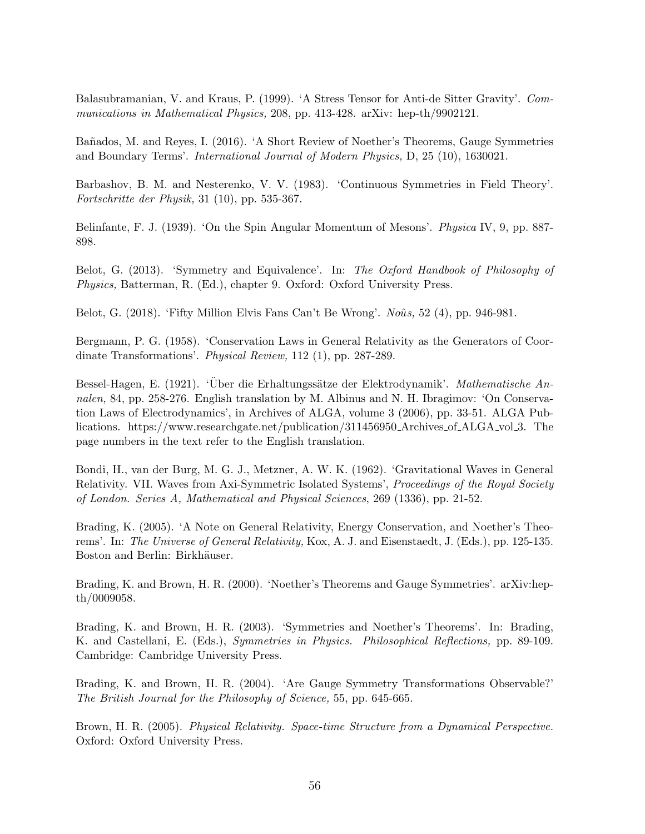Balasubramanian, V. and Kraus, P. (1999). 'A Stress Tensor for Anti-de Sitter Gravity'. Communications in Mathematical Physics, 208, pp. 413-428. arXiv: hep-th/9902121.

Ba˜nados, M. and Reyes, I. (2016). 'A Short Review of Noether's Theorems, Gauge Symmetries and Boundary Terms'. International Journal of Modern Physics, D, 25 (10), 1630021.

Barbashov, B. M. and Nesterenko, V. V. (1983). 'Continuous Symmetries in Field Theory'. Fortschritte der Physik, 31 (10), pp. 535-367.

Belinfante, F. J. (1939). 'On the Spin Angular Momentum of Mesons'. Physica IV, 9, pp. 887- 898.

Belot, G. (2013). 'Symmetry and Equivalence'. In: The Oxford Handbook of Philosophy of Physics, Batterman, R. (Ed.), chapter 9. Oxford: Oxford University Press.

Belot, G.  $(2018)$ . 'Fifty Million Elvis Fans Can't Be Wrong'. Noûs, 52  $(4)$ , pp. 946-981.

Bergmann, P. G. (1958). 'Conservation Laws in General Relativity as the Generators of Coordinate Transformations'. Physical Review, 112 (1), pp. 287-289.

Bessel-Hagen, E. (1921). 'Über die Erhaltungssätze der Elektrodynamik'. Mathematische Annalen, 84, pp. 258-276. English translation by M. Albinus and N. H. Ibragimov: 'On Conservation Laws of Electrodynamics', in Archives of ALGA, volume 3 (2006), pp. 33-51. ALGA Publications. https://www.researchgate.net/publication/311456950 Archives of ALGA vol 3. The page numbers in the text refer to the English translation.

Bondi, H., van der Burg, M. G. J., Metzner, A. W. K. (1962). 'Gravitational Waves in General Relativity. VII. Waves from Axi-Symmetric Isolated Systems', Proceedings of the Royal Society of London. Series A, Mathematical and Physical Sciences, 269 (1336), pp. 21-52.

Brading, K. (2005). 'A Note on General Relativity, Energy Conservation, and Noether's Theorems'. In: The Universe of General Relativity, Kox, A. J. and Eisenstaedt, J. (Eds.), pp. 125-135. Boston and Berlin: Birkhäuser.

Brading, K. and Brown, H. R. (2000). 'Noether's Theorems and Gauge Symmetries'. arXiv:hepth/0009058.

Brading, K. and Brown, H. R. (2003). 'Symmetries and Noether's Theorems'. In: Brading, K. and Castellani, E. (Eds.), Symmetries in Physics. Philosophical Reflections, pp. 89-109. Cambridge: Cambridge University Press.

Brading, K. and Brown, H. R. (2004). 'Are Gauge Symmetry Transformations Observable?' The British Journal for the Philosophy of Science, 55, pp. 645-665.

Brown, H. R. (2005). Physical Relativity. Space-time Structure from a Dynamical Perspective. Oxford: Oxford University Press.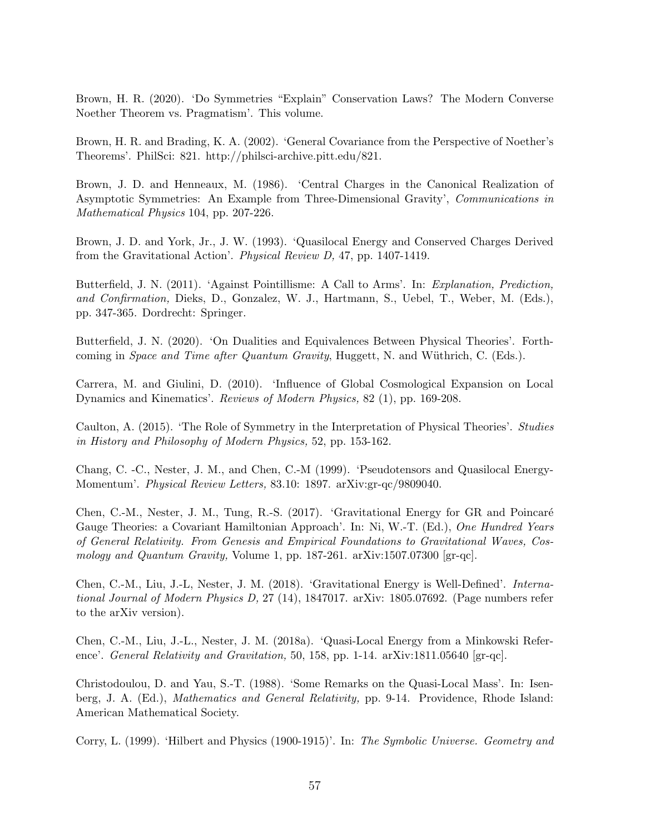Brown, H. R. (2020). 'Do Symmetries "Explain" Conservation Laws? The Modern Converse Noether Theorem vs. Pragmatism'. This volume.

Brown, H. R. and Brading, K. A. (2002). 'General Covariance from the Perspective of Noether's Theorems'. PhilSci: 821. http://philsci-archive.pitt.edu/821.

Brown, J. D. and Henneaux, M. (1986). 'Central Charges in the Canonical Realization of Asymptotic Symmetries: An Example from Three-Dimensional Gravity', Communications in Mathematical Physics 104, pp. 207-226.

Brown, J. D. and York, Jr., J. W. (1993). 'Quasilocal Energy and Conserved Charges Derived from the Gravitational Action'. Physical Review D, 47, pp. 1407-1419.

Butterfield, J. N. (2011). 'Against Pointillisme: A Call to Arms'. In: Explanation, Prediction, and Confirmation, Dieks, D., Gonzalez, W. J., Hartmann, S., Uebel, T., Weber, M. (Eds.), pp. 347-365. Dordrecht: Springer.

Butterfield, J. N. (2020). 'On Dualities and Equivalences Between Physical Theories'. Forthcoming in *Space and Time after Quantum Gravity*, Huggett, N. and Wüthrich, C. (Eds.).

Carrera, M. and Giulini, D. (2010). 'Influence of Global Cosmological Expansion on Local Dynamics and Kinematics'. Reviews of Modern Physics, 82 (1), pp. 169-208.

Caulton, A. (2015). 'The Role of Symmetry in the Interpretation of Physical Theories'. Studies in History and Philosophy of Modern Physics, 52, pp. 153-162.

Chang, C. -C., Nester, J. M., and Chen, C.-M (1999). 'Pseudotensors and Quasilocal Energy-Momentum'. Physical Review Letters, 83.10: 1897. arXiv:gr-qc/9809040.

Chen, C.-M., Nester, J. M., Tung, R.-S. (2017). 'Gravitational Energy for GR and Poincaré Gauge Theories: a Covariant Hamiltonian Approach'. In: Ni, W.-T. (Ed.), One Hundred Years of General Relativity. From Genesis and Empirical Foundations to Gravitational Waves, Cosmology and Quantum Gravity, Volume 1, pp. 187-261. arXiv:1507.07300  $\left[\text{gr-qc}\right]$ .

Chen, C.-M., Liu, J.-L, Nester, J. M. (2018). 'Gravitational Energy is Well-Defined'. International Journal of Modern Physics D, 27 (14), 1847017. arXiv: 1805.07692. (Page numbers refer to the arXiv version).

Chen, C.-M., Liu, J.-L., Nester, J. M. (2018a). 'Quasi-Local Energy from a Minkowski Reference'. *General Relativity and Gravitation*, 50, 158, pp. 1-14. arXiv:1811.05640 [gr-qc].

Christodoulou, D. and Yau, S.-T. (1988). 'Some Remarks on the Quasi-Local Mass'. In: Isenberg, J. A. (Ed.), Mathematics and General Relativity, pp. 9-14. Providence, Rhode Island: American Mathematical Society.

Corry, L. (1999). 'Hilbert and Physics (1900-1915)'. In: The Symbolic Universe. Geometry and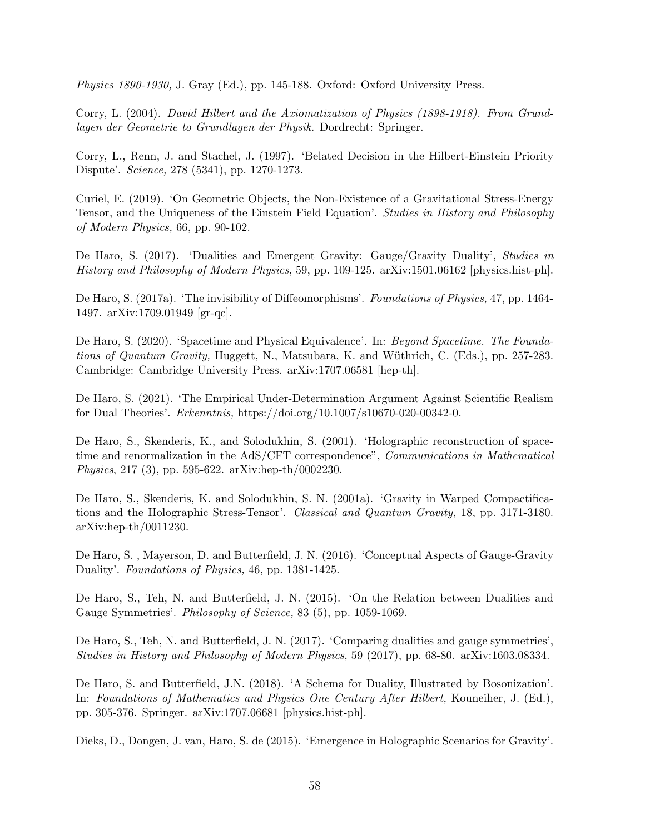Physics 1890-1930, J. Gray (Ed.), pp. 145-188. Oxford: Oxford University Press.

Corry, L. (2004). David Hilbert and the Axiomatization of Physics (1898-1918). From Grundlagen der Geometrie to Grundlagen der Physik. Dordrecht: Springer.

Corry, L., Renn, J. and Stachel, J. (1997). 'Belated Decision in the Hilbert-Einstein Priority Dispute'. Science, 278 (5341), pp. 1270-1273.

Curiel, E. (2019). 'On Geometric Objects, the Non-Existence of a Gravitational Stress-Energy Tensor, and the Uniqueness of the Einstein Field Equation'. Studies in History and Philosophy of Modern Physics, 66, pp. 90-102.

De Haro, S. (2017). 'Dualities and Emergent Gravity: Gauge/Gravity Duality', Studies in History and Philosophy of Modern Physics, 59, pp. 109-125. arXiv:1501.06162 [physics.hist-ph].

De Haro, S. (2017a). 'The invisibility of Diffeomorphisms'. Foundations of Physics, 47, pp. 1464- 1497. arXiv:1709.01949 [gr-qc].

De Haro, S. (2020). 'Spacetime and Physical Equivalence'. In: Beyond Spacetime. The Foundations of Quantum Gravity, Huggett, N., Matsubara, K. and Wüthrich, C. (Eds.), pp. 257-283. Cambridge: Cambridge University Press. arXiv:1707.06581 [hep-th].

De Haro, S. (2021). 'The Empirical Under-Determination Argument Against Scientific Realism for Dual Theories'. Erkenntnis, https://doi.org/10.1007/s10670-020-00342-0.

De Haro, S., Skenderis, K., and Solodukhin, S. (2001). 'Holographic reconstruction of spacetime and renormalization in the AdS/CFT correspondence", *Communications in Mathematical* Physics, 217 (3), pp. 595-622. arXiv:hep-th/0002230.

De Haro, S., Skenderis, K. and Solodukhin, S. N. (2001a). 'Gravity in Warped Compactifications and the Holographic Stress-Tensor'. Classical and Quantum Gravity, 18, pp. 3171-3180. arXiv:hep-th/0011230.

De Haro, S. , Mayerson, D. and Butterfield, J. N. (2016). 'Conceptual Aspects of Gauge-Gravity Duality'. Foundations of Physics, 46, pp. 1381-1425.

De Haro, S., Teh, N. and Butterfield, J. N. (2015). 'On the Relation between Dualities and Gauge Symmetries'. Philosophy of Science, 83 (5), pp. 1059-1069.

De Haro, S., Teh, N. and Butterfield, J. N. (2017). 'Comparing dualities and gauge symmetries', Studies in History and Philosophy of Modern Physics, 59 (2017), pp. 68-80. arXiv:1603.08334.

De Haro, S. and Butterfield, J.N. (2018). 'A Schema for Duality, Illustrated by Bosonization'. In: Foundations of Mathematics and Physics One Century After Hilbert, Kouneiher, J. (Ed.), pp. 305-376. Springer. arXiv:1707.06681 [physics.hist-ph].

Dieks, D., Dongen, J. van, Haro, S. de (2015). 'Emergence in Holographic Scenarios for Gravity'.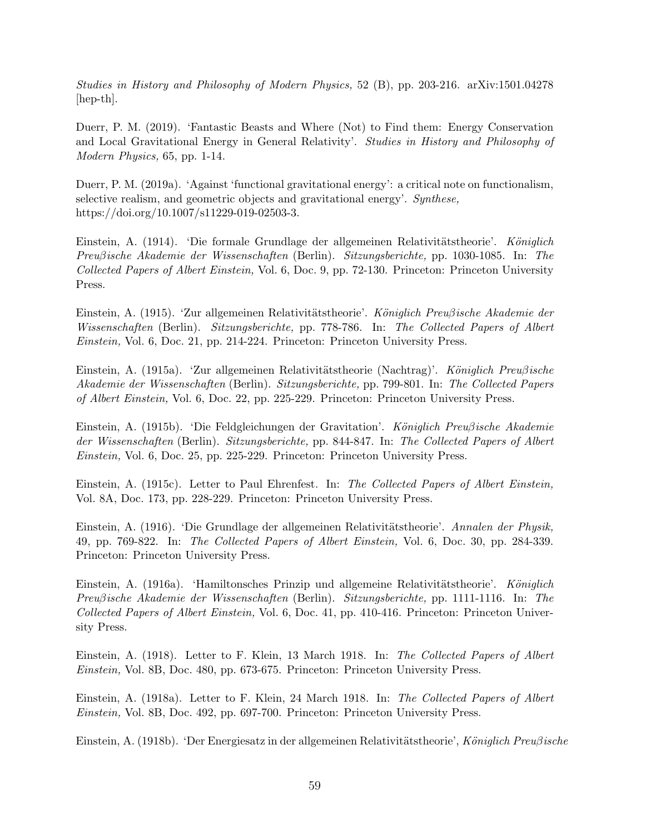Studies in History and Philosophy of Modern Physics, 52 (B), pp. 203-216. arXiv:1501.04278 [hep-th].

Duerr, P. M. (2019). 'Fantastic Beasts and Where (Not) to Find them: Energy Conservation and Local Gravitational Energy in General Relativity'. Studies in History and Philosophy of Modern Physics, 65, pp. 1-14.

Duerr, P. M. (2019a). 'Against 'functional gravitational energy': a critical note on functionalism, selective realism, and geometric objects and gravitational energy'. Synthese, https://doi.org/10.1007/s11229-019-02503-3.

Einstein, A. (1914). 'Die formale Grundlage der allgemeinen Relativitätstheorie'. Königlich Preuβische Akademie der Wissenschaften (Berlin). Sitzungsberichte, pp. 1030-1085. In: The Collected Papers of Albert Einstein, Vol. 6, Doc. 9, pp. 72-130. Princeton: Princeton University Press.

Einstein, A. (1915). 'Zur allgemeinen Relativitätstheorie'. Königlich Preuβische Akademie der Wissenschaften (Berlin). Sitzungsberichte, pp. 778-786. In: The Collected Papers of Albert Einstein, Vol. 6, Doc. 21, pp. 214-224. Princeton: Princeton University Press.

Einstein, A. (1915a). 'Zur allgemeinen Relativitätstheorie (Nachtrag)'. Königlich Preußische Akademie der Wissenschaften (Berlin). Sitzungsberichte, pp. 799-801. In: The Collected Papers of Albert Einstein, Vol. 6, Doc. 22, pp. 225-229. Princeton: Princeton University Press.

Einstein, A. (1915b). 'Die Feldgleichungen der Gravitation'. Königlich Preußische Akademie der Wissenschaften (Berlin). Sitzungsberichte, pp. 844-847. In: The Collected Papers of Albert Einstein, Vol. 6, Doc. 25, pp. 225-229. Princeton: Princeton University Press.

Einstein, A. (1915c). Letter to Paul Ehrenfest. In: The Collected Papers of Albert Einstein, Vol. 8A, Doc. 173, pp. 228-229. Princeton: Princeton University Press.

Einstein, A. (1916). 'Die Grundlage der allgemeinen Relativitätstheorie'. Annalen der Physik, 49, pp. 769-822. In: The Collected Papers of Albert Einstein, Vol. 6, Doc. 30, pp. 284-339. Princeton: Princeton University Press.

Einstein, A. (1916a). 'Hamiltonsches Prinzip und allgemeine Relativitätstheorie'. Königlich Preuβische Akademie der Wissenschaften (Berlin). Sitzungsberichte, pp. 1111-1116. In: The Collected Papers of Albert Einstein, Vol. 6, Doc. 41, pp. 410-416. Princeton: Princeton University Press.

Einstein, A. (1918). Letter to F. Klein, 13 March 1918. In: The Collected Papers of Albert Einstein, Vol. 8B, Doc. 480, pp. 673-675. Princeton: Princeton University Press.

Einstein, A. (1918a). Letter to F. Klein, 24 March 1918. In: The Collected Papers of Albert Einstein, Vol. 8B, Doc. 492, pp. 697-700. Princeton: Princeton University Press.

Einstein, A. (1918b). 'Der Energiesatz in der allgemeinen Relativitätstheorie', Königlich Preußische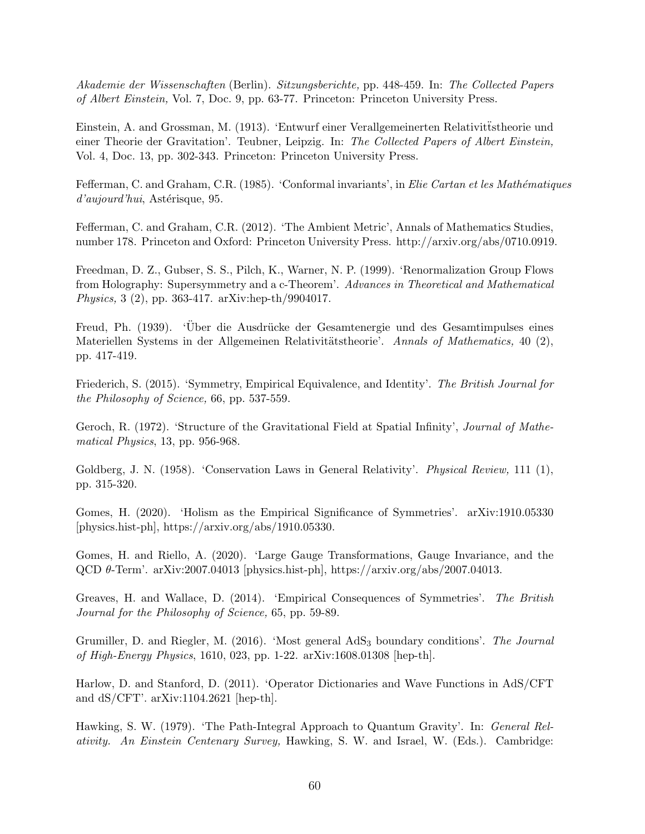Akademie der Wissenschaften (Berlin). Sitzungsberichte, pp. 448-459. In: The Collected Papers of Albert Einstein, Vol. 7, Doc. 9, pp. 63-77. Princeton: Princeton University Press.

Einstein, A. and Grossman, M. (1913). 'Entwurf einer Verallgemeinerten Relativitüstheorie und einer Theorie der Gravitation'. Teubner, Leipzig. In: The Collected Papers of Albert Einstein, Vol. 4, Doc. 13, pp. 302-343. Princeton: Princeton University Press.

Fefferman, C. and Graham, C.R. (1985). 'Conformal invariants', in Elie Cartan et les Mathématiques  $d'aujourd'hui$ , Astérisque, 95.

Fefferman, C. and Graham, C.R. (2012). 'The Ambient Metric', Annals of Mathematics Studies, number 178. Princeton and Oxford: Princeton University Press. http://arxiv.org/abs/0710.0919.

Freedman, D. Z., Gubser, S. S., Pilch, K., Warner, N. P. (1999). 'Renormalization Group Flows from Holography: Supersymmetry and a c-Theorem'. Advances in Theoretical and Mathematical Physics, 3 (2), pp. 363-417. arXiv:hep-th/9904017.

Freud, Ph. (1939). 'Über die Ausdrücke der Gesamtenergie und des Gesamtimpulses eines Materiellen Systems in der Allgemeinen Relativitätstheorie'. Annals of Mathematics, 40 (2), pp. 417-419.

Friederich, S. (2015). 'Symmetry, Empirical Equivalence, and Identity'. The British Journal for the Philosophy of Science, 66, pp. 537-559.

Geroch, R. (1972). 'Structure of the Gravitational Field at Spatial Infinity', Journal of Mathematical Physics, 13, pp. 956-968.

Goldberg, J. N. (1958). 'Conservation Laws in General Relativity'. *Physical Review*, 111 (1), pp. 315-320.

Gomes, H. (2020). 'Holism as the Empirical Significance of Symmetries'. arXiv:1910.05330 [physics.hist-ph], https://arxiv.org/abs/1910.05330.

Gomes, H. and Riello, A. (2020). 'Large Gauge Transformations, Gauge Invariance, and the QCD θ-Term'. arXiv:2007.04013 [physics.hist-ph], https://arxiv.org/abs/2007.04013.

Greaves, H. and Wallace, D. (2014). 'Empirical Consequences of Symmetries'. The British Journal for the Philosophy of Science, 65, pp. 59-89.

Grumiller, D. and Riegler, M. (2016). 'Most general AdS<sub>3</sub> boundary conditions'. The Journal of High-Energy Physics, 1610, 023, pp. 1-22. arXiv:1608.01308 [hep-th].

Harlow, D. and Stanford, D. (2011). 'Operator Dictionaries and Wave Functions in AdS/CFT and dS/CFT'. arXiv:1104.2621 [hep-th].

Hawking, S. W. (1979). 'The Path-Integral Approach to Quantum Gravity'. In: General Relativity. An Einstein Centenary Survey, Hawking, S. W. and Israel, W. (Eds.). Cambridge: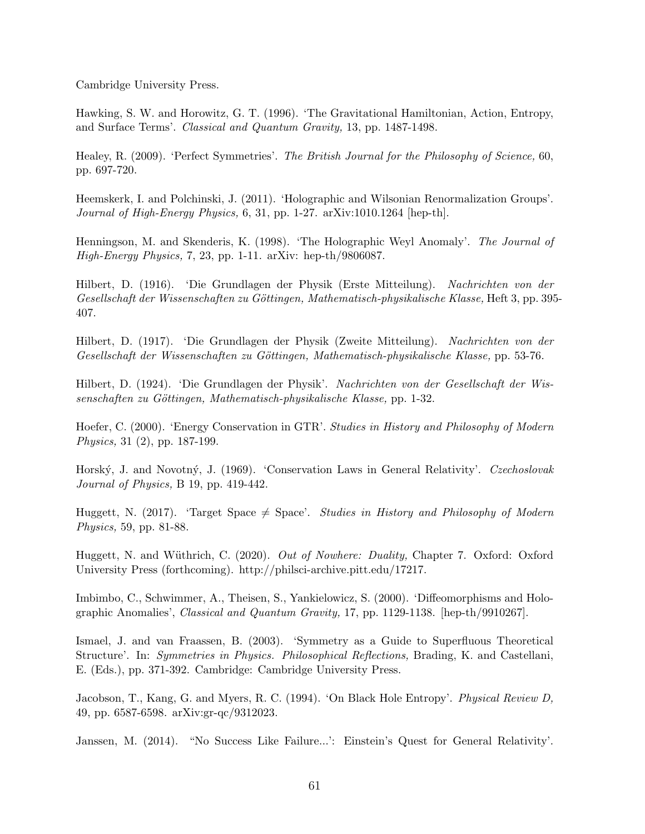Cambridge University Press.

Hawking, S. W. and Horowitz, G. T. (1996). 'The Gravitational Hamiltonian, Action, Entropy, and Surface Terms'. Classical and Quantum Gravity, 13, pp. 1487-1498.

Healey, R. (2009). 'Perfect Symmetries'. The British Journal for the Philosophy of Science, 60, pp. 697-720.

Heemskerk, I. and Polchinski, J. (2011). 'Holographic and Wilsonian Renormalization Groups'. Journal of High-Energy Physics, 6, 31, pp. 1-27. arXiv:1010.1264 [hep-th].

Henningson, M. and Skenderis, K. (1998). 'The Holographic Weyl Anomaly'. The Journal of High-Energy Physics, 7, 23, pp. 1-11. arXiv: hep-th/9806087.

Hilbert, D. (1916). 'Die Grundlagen der Physik (Erste Mitteilung). Nachrichten von der Gesellschaft der Wissenschaften zu Göttingen, Mathematisch-physikalische Klasse, Heft 3, pp. 395-407.

Hilbert, D. (1917). 'Die Grundlagen der Physik (Zweite Mitteilung). Nachrichten von der Gesellschaft der Wissenschaften zu Göttingen, Mathematisch-physikalische Klasse, pp. 53-76.

Hilbert, D. (1924). 'Die Grundlagen der Physik'. Nachrichten von der Gesellschaft der Wissenschaften zu Göttingen, Mathematisch-physikalische Klasse, pp. 1-32.

Hoefer, C. (2000). 'Energy Conservation in GTR'. Studies in History and Philosophy of Modern Physics, 31 (2), pp. 187-199.

Horský, J. and Novotný, J. (1969). 'Conservation Laws in General Relativity'. Czechoslovak Journal of Physics, B 19, pp. 419-442.

Huggett, N. (2017). 'Target Space  $\neq$  Space'. Studies in History and Philosophy of Modern Physics, 59, pp. 81-88.

Huggett, N. and Wüthrich, C. (2020). Out of Nowhere: Duality, Chapter 7. Oxford: Oxford University Press (forthcoming). http://philsci-archive.pitt.edu/17217.

Imbimbo, C., Schwimmer, A., Theisen, S., Yankielowicz, S. (2000). 'Diffeomorphisms and Holographic Anomalies', Classical and Quantum Gravity, 17, pp. 1129-1138. [hep-th/9910267].

Ismael, J. and van Fraassen, B. (2003). 'Symmetry as a Guide to Superfluous Theoretical Structure'. In: Symmetries in Physics. Philosophical Reflections, Brading, K. and Castellani, E. (Eds.), pp. 371-392. Cambridge: Cambridge University Press.

Jacobson, T., Kang, G. and Myers, R. C. (1994). 'On Black Hole Entropy'. Physical Review D, 49, pp. 6587-6598. arXiv:gr-qc/9312023.

Janssen, M. (2014). "No Success Like Failure...': Einstein's Quest for General Relativity'.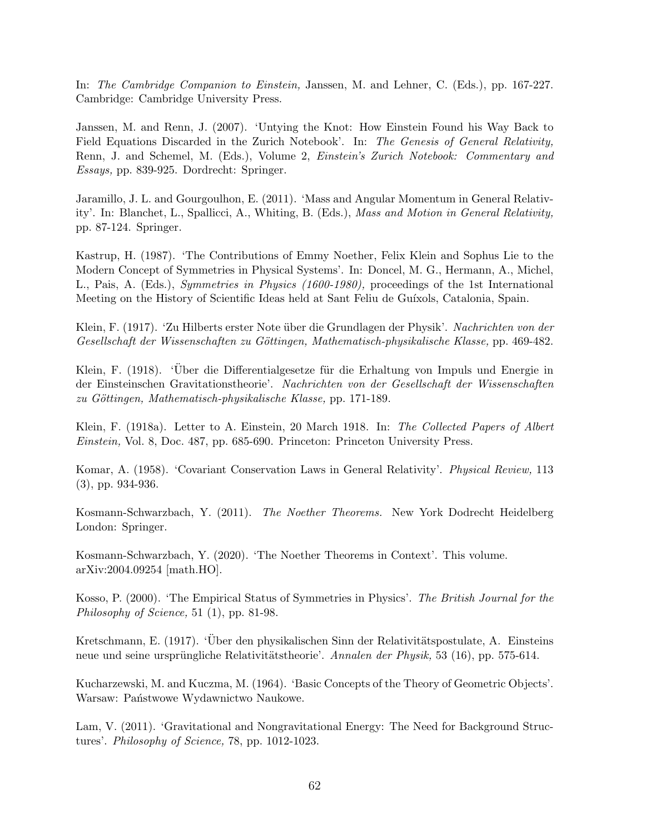In: The Cambridge Companion to Einstein, Janssen, M. and Lehner, C. (Eds.), pp. 167-227. Cambridge: Cambridge University Press.

Janssen, M. and Renn, J. (2007). 'Untying the Knot: How Einstein Found his Way Back to Field Equations Discarded in the Zurich Notebook'. In: The Genesis of General Relativity, Renn, J. and Schemel, M. (Eds.), Volume 2, Einstein's Zurich Notebook: Commentary and Essays, pp. 839-925. Dordrecht: Springer.

Jaramillo, J. L. and Gourgoulhon, E. (2011). 'Mass and Angular Momentum in General Relativity'. In: Blanchet, L., Spallicci, A., Whiting, B. (Eds.), Mass and Motion in General Relativity, pp. 87-124. Springer.

Kastrup, H. (1987). 'The Contributions of Emmy Noether, Felix Klein and Sophus Lie to the Modern Concept of Symmetries in Physical Systems'. In: Doncel, M. G., Hermann, A., Michel, L., Pais, A. (Eds.), Symmetries in Physics (1600-1980), proceedings of the 1st International Meeting on the History of Scientific Ideas held at Sant Feliu de Guíxols, Catalonia, Spain.

Klein, F. (1917). 'Zu Hilberts erster Note über die Grundlagen der Physik'. Nachrichten von der Gesellschaft der Wissenschaften zu Göttingen, Mathematisch-physikalische Klasse, pp. 469-482.

Klein, F. (1918). 'Über die Differentialgesetze für die Erhaltung von Impuls und Energie in der Einsteinschen Gravitationstheorie'. Nachrichten von der Gesellschaft der Wissenschaften zu Göttingen, Mathematisch-physikalische Klasse, pp. 171-189.

Klein, F. (1918a). Letter to A. Einstein, 20 March 1918. In: The Collected Papers of Albert Einstein, Vol. 8, Doc. 487, pp. 685-690. Princeton: Princeton University Press.

Komar, A. (1958). 'Covariant Conservation Laws in General Relativity'. Physical Review, 113 (3), pp. 934-936.

Kosmann-Schwarzbach, Y. (2011). The Noether Theorems. New York Dodrecht Heidelberg London: Springer.

Kosmann-Schwarzbach, Y. (2020). 'The Noether Theorems in Context'. This volume. arXiv:2004.09254 [math.HO].

Kosso, P. (2000). 'The Empirical Status of Symmetries in Physics'. The British Journal for the Philosophy of Science, 51 (1), pp. 81-98.

Kretschmann, E. (1917). 'Über den physikalischen Sinn der Relativitätspostulate, A. Einsteins neue und seine ursprüngliche Relativitätstheorie'. Annalen der Physik, 53 (16), pp. 575-614.

Kucharzewski, M. and Kuczma, M. (1964). 'Basic Concepts of the Theory of Geometric Objects'. Warsaw: Państwowe Wydawnictwo Naukowe.

Lam, V. (2011). 'Gravitational and Nongravitational Energy: The Need for Background Structures'. Philosophy of Science, 78, pp. 1012-1023.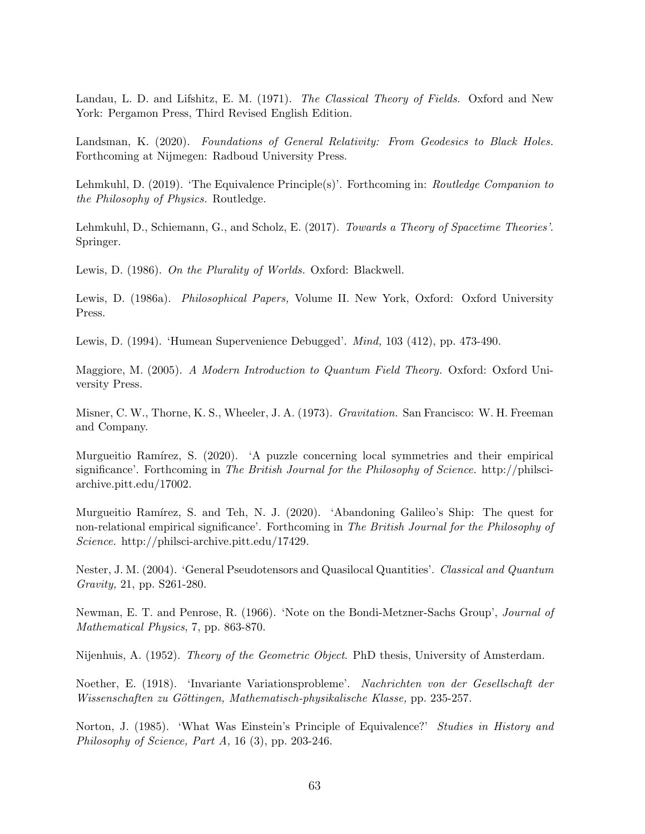Landau, L. D. and Lifshitz, E. M. (1971). The Classical Theory of Fields. Oxford and New York: Pergamon Press, Third Revised English Edition.

Landsman, K. (2020). Foundations of General Relativity: From Geodesics to Black Holes. Forthcoming at Nijmegen: Radboud University Press.

Lehmkuhl, D. (2019). 'The Equivalence Principle(s)'. Forthcoming in: Routledge Companion to the Philosophy of Physics. Routledge.

Lehmkuhl, D., Schiemann, G., and Scholz, E. (2017). Towards a Theory of Spacetime Theories'. Springer.

Lewis, D. (1986). On the Plurality of Worlds. Oxford: Blackwell.

Lewis, D. (1986a). Philosophical Papers, Volume II. New York, Oxford: Oxford University Press.

Lewis, D. (1994). 'Humean Supervenience Debugged'. Mind, 103 (412), pp. 473-490.

Maggiore, M. (2005). A Modern Introduction to Quantum Field Theory. Oxford: Oxford University Press.

Misner, C. W., Thorne, K. S., Wheeler, J. A. (1973). Gravitation. San Francisco: W. H. Freeman and Company.

Murgueitio Ramírez, S. (2020). 'A puzzle concerning local symmetries and their empirical significance'. Forthcoming in The British Journal for the Philosophy of Science. http://philsciarchive.pitt.edu/17002.

Murgueitio Ramírez, S. and Teh, N. J. (2020). 'Abandoning Galileo's Ship: The quest for non-relational empirical significance'. Forthcoming in The British Journal for the Philosophy of Science. http://philsci-archive.pitt.edu/17429.

Nester, J. M. (2004). 'General Pseudotensors and Quasilocal Quantities'. Classical and Quantum Gravity, 21, pp. S261-280.

Newman, E. T. and Penrose, R. (1966). 'Note on the Bondi-Metzner-Sachs Group', Journal of Mathematical Physics, 7, pp. 863-870.

Nijenhuis, A. (1952). Theory of the Geometric Object. PhD thesis, University of Amsterdam.

Noether, E. (1918). 'Invariante Variationsprobleme'. Nachrichten von der Gesellschaft der Wissenschaften zu Göttingen, Mathematisch-physikalische Klasse, pp. 235-257.

Norton, J. (1985). 'What Was Einstein's Principle of Equivalence?' Studies in History and Philosophy of Science, Part A, 16 (3), pp. 203-246.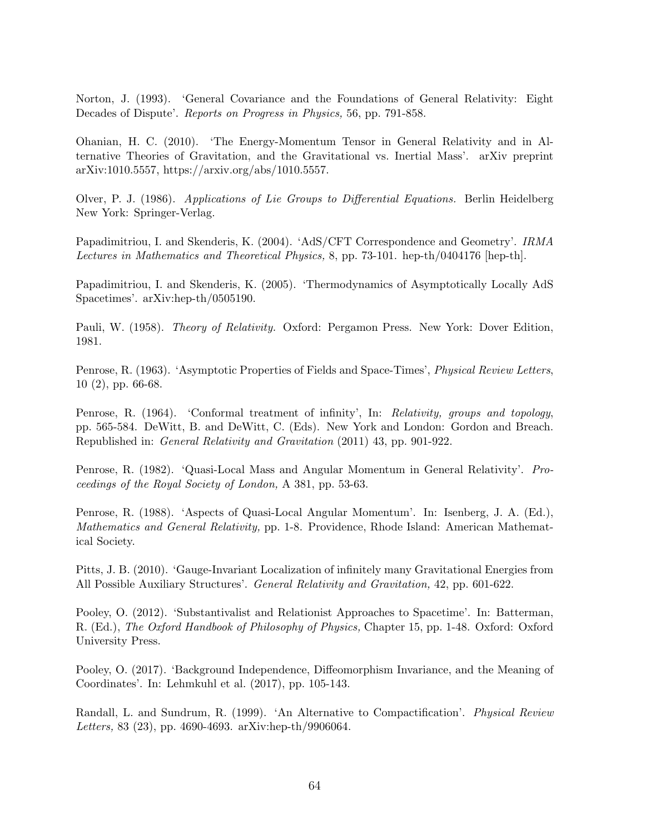Norton, J. (1993). 'General Covariance and the Foundations of General Relativity: Eight Decades of Dispute'. Reports on Progress in Physics, 56, pp. 791-858.

Ohanian, H. C. (2010). 'The Energy-Momentum Tensor in General Relativity and in Alternative Theories of Gravitation, and the Gravitational vs. Inertial Mass'. arXiv preprint arXiv:1010.5557, https://arxiv.org/abs/1010.5557.

Olver, P. J. (1986). Applications of Lie Groups to Differential Equations. Berlin Heidelberg New York: Springer-Verlag.

Papadimitriou, I. and Skenderis, K. (2004). 'AdS/CFT Correspondence and Geometry'. IRMA Lectures in Mathematics and Theoretical Physics, 8, pp. 73-101. hep-th/0404176 [hep-th].

Papadimitriou, I. and Skenderis, K. (2005). 'Thermodynamics of Asymptotically Locally AdS Spacetimes'. arXiv:hep-th/0505190.

Pauli, W. (1958). Theory of Relativity. Oxford: Pergamon Press. New York: Dover Edition, 1981.

Penrose, R. (1963). 'Asymptotic Properties of Fields and Space-Times', Physical Review Letters, 10 (2), pp. 66-68.

Penrose, R. (1964). 'Conformal treatment of infinity', In: Relativity, groups and topology, pp. 565-584. DeWitt, B. and DeWitt, C. (Eds). New York and London: Gordon and Breach. Republished in: General Relativity and Gravitation (2011) 43, pp. 901-922.

Penrose, R. (1982). 'Quasi-Local Mass and Angular Momentum in General Relativity'. Proceedings of the Royal Society of London, A 381, pp. 53-63.

Penrose, R. (1988). 'Aspects of Quasi-Local Angular Momentum'. In: Isenberg, J. A. (Ed.), Mathematics and General Relativity, pp. 1-8. Providence, Rhode Island: American Mathematical Society.

Pitts, J. B. (2010). 'Gauge-Invariant Localization of infinitely many Gravitational Energies from All Possible Auxiliary Structures'. General Relativity and Gravitation, 42, pp. 601-622.

Pooley, O. (2012). 'Substantivalist and Relationist Approaches to Spacetime'. In: Batterman, R. (Ed.), The Oxford Handbook of Philosophy of Physics, Chapter 15, pp. 1-48. Oxford: Oxford University Press.

Pooley, O. (2017). 'Background Independence, Diffeomorphism Invariance, and the Meaning of Coordinates'. In: Lehmkuhl et al. (2017), pp. 105-143.

Randall, L. and Sundrum, R. (1999). 'An Alternative to Compactification'. Physical Review Letters, 83 (23), pp. 4690-4693. arXiv:hep-th/9906064.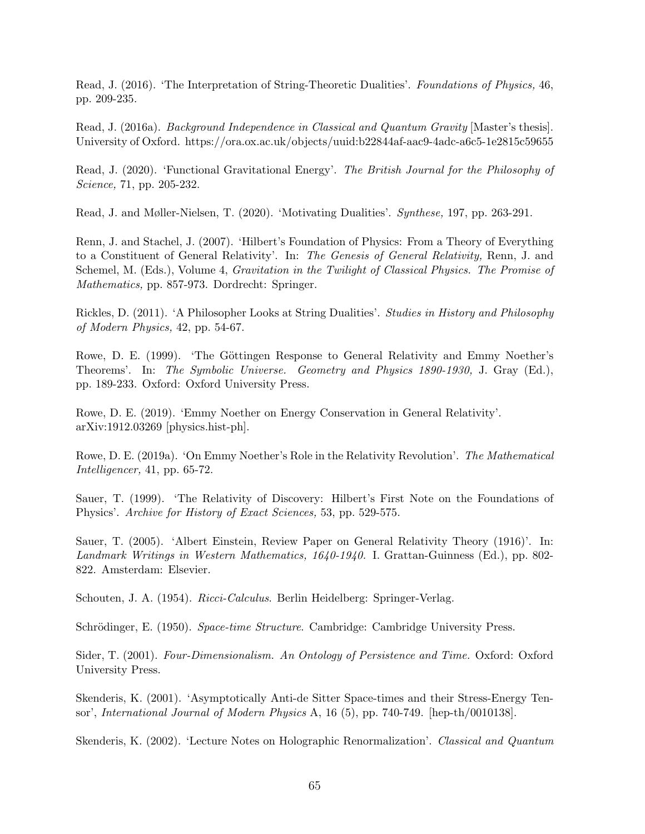Read, J. (2016). 'The Interpretation of String-Theoretic Dualities'. Foundations of Physics, 46, pp. 209-235.

Read, J. (2016a). *Background Independence in Classical and Quantum Gravity* [Master's thesis]. University of Oxford. https://ora.ox.ac.uk/objects/uuid:b22844af-aac9-4adc-a6c5-1e2815c59655

Read, J. (2020). 'Functional Gravitational Energy'. The British Journal for the Philosophy of Science, 71, pp. 205-232.

Read, J. and Møller-Nielsen, T. (2020). 'Motivating Dualities'. Synthese, 197, pp. 263-291.

Renn, J. and Stachel, J. (2007). 'Hilbert's Foundation of Physics: From a Theory of Everything to a Constituent of General Relativity'. In: The Genesis of General Relativity, Renn, J. and Schemel, M. (Eds.), Volume 4, *Gravitation in the Twilight of Classical Physics. The Promise of* Mathematics, pp. 857-973. Dordrecht: Springer.

Rickles, D. (2011). 'A Philosopher Looks at String Dualities'. Studies in History and Philosophy of Modern Physics, 42, pp. 54-67.

Rowe, D. E. (1999). 'The Göttingen Response to General Relativity and Emmy Noether's Theorems'. In: The Symbolic Universe. Geometry and Physics 1890-1930, J. Gray (Ed.), pp. 189-233. Oxford: Oxford University Press.

Rowe, D. E. (2019). 'Emmy Noether on Energy Conservation in General Relativity'. arXiv:1912.03269 [physics.hist-ph].

Rowe, D. E. (2019a). 'On Emmy Noether's Role in the Relativity Revolution'. The Mathematical Intelligencer, 41, pp. 65-72.

Sauer, T. (1999). 'The Relativity of Discovery: Hilbert's First Note on the Foundations of Physics'. Archive for History of Exact Sciences, 53, pp. 529-575.

Sauer, T. (2005). 'Albert Einstein, Review Paper on General Relativity Theory (1916)'. In: Landmark Writings in Western Mathematics, 1640-1940. I. Grattan-Guinness (Ed.), pp. 802- 822. Amsterdam: Elsevier.

Schouten, J. A. (1954). Ricci-Calculus. Berlin Heidelberg: Springer-Verlag.

Schrödinger, E. (1950). Space-time Structure. Cambridge: Cambridge University Press.

Sider, T. (2001). Four-Dimensionalism. An Ontology of Persistence and Time. Oxford: Oxford University Press.

Skenderis, K. (2001). 'Asymptotically Anti-de Sitter Space-times and their Stress-Energy Tensor', International Journal of Modern Physics A, 16 (5), pp. 740-749. [hep-th/0010138].

Skenderis, K. (2002). 'Lecture Notes on Holographic Renormalization'. Classical and Quantum